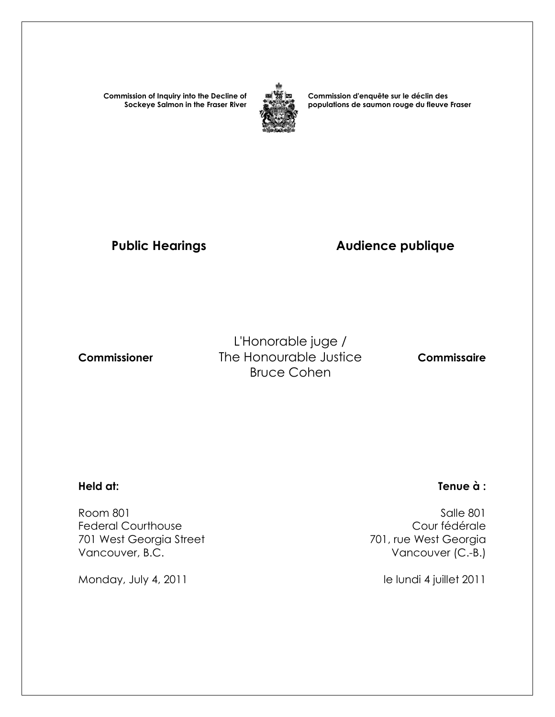**Commission of Inquiry into the Decline of Sockeye Salmon in the Fraser River**



**Commission d'enquête sur le déclin des populations de saumon rouge du fleuve Fraser** 

# Public Hearings **Audience publique**

L'Honorable juge /  **Commissioner** The Honourable Justice **Commissaire** Bruce Cohen

 Room 801 Salle 801 Federal Courthouse<br>
701 west Georgia Street<br>
701 west Georgia Street<br>
201 west Georgia 701 West Georgia Street Vancouver, B.C. **Vancouver (C.-B.)** 

Monday, July 4, 2011 and the lundi 4 juillet 2011

#### **Held at: Tenue à :**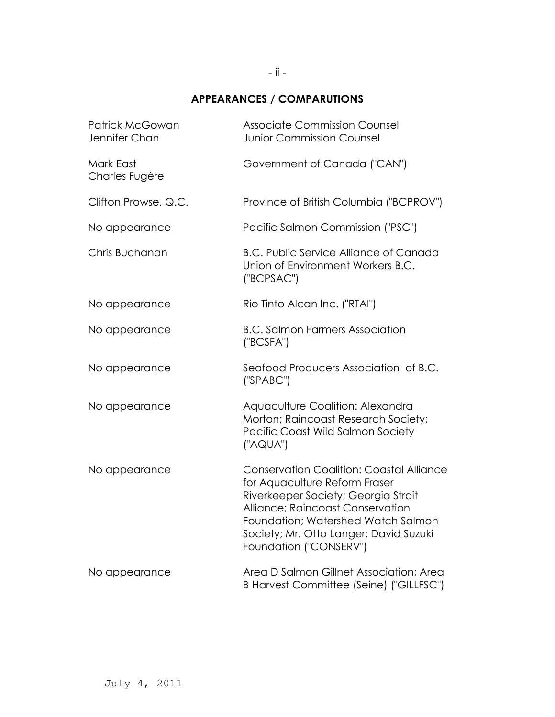### **APPEARANCES / COMPARUTIONS**

| <b>Patrick McGowan</b><br>Jennifer Chan | <b>Associate Commission Counsel</b><br><b>Junior Commission Counsel</b>                                                                                                                                                                                               |
|-----------------------------------------|-----------------------------------------------------------------------------------------------------------------------------------------------------------------------------------------------------------------------------------------------------------------------|
| Mark East<br>Charles Fugère             | Government of Canada ("CAN")                                                                                                                                                                                                                                          |
| Clifton Prowse, Q.C.                    | Province of British Columbia ("BCPROV")                                                                                                                                                                                                                               |
| No appearance                           | Pacific Salmon Commission ("PSC")                                                                                                                                                                                                                                     |
| Chris Buchanan                          | <b>B.C. Public Service Alliance of Canada</b><br>Union of Environment Workers B.C.<br>("BCPSAC")                                                                                                                                                                      |
| No appearance                           | Rio Tinto Alcan Inc. ("RTAI")                                                                                                                                                                                                                                         |
| No appearance                           | <b>B.C. Salmon Farmers Association</b><br>("BCSFA")                                                                                                                                                                                                                   |
| No appearance                           | Seafood Producers Association of B.C.<br>('SPABC")                                                                                                                                                                                                                    |
| No appearance                           | Aquaculture Coalition: Alexandra<br>Morton; Raincoast Research Society;<br>Pacific Coast Wild Salmon Society<br>("AQUA")                                                                                                                                              |
| No appearance                           | <b>Conservation Coalition: Coastal Alliance</b><br>for Aquaculture Reform Fraser<br>Riverkeeper Society; Georgia Strait<br>Alliance; Raincoast Conservation<br>Foundation; Watershed Watch Salmon<br>Society; Mr. Otto Langer; David Suzuki<br>Foundation ("CONSERV") |
| No appearance                           | Area D Salmon Gillnet Association; Area<br>B Harvest Committee (Seine) ("GILLFSC")                                                                                                                                                                                    |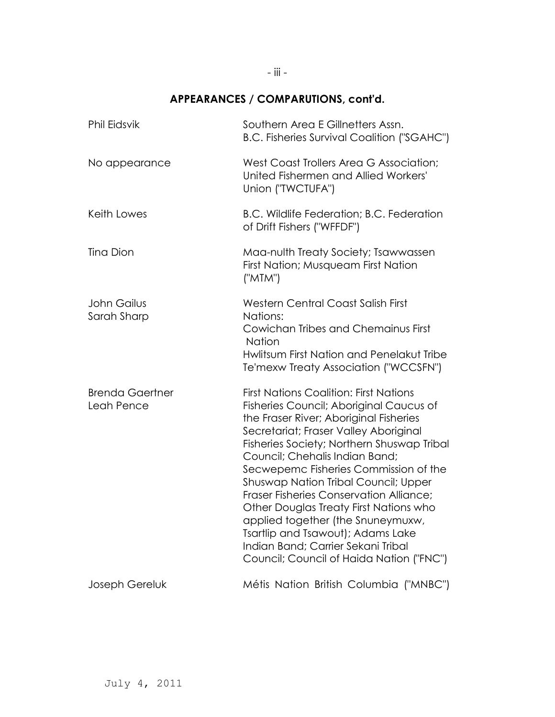## **APPEARANCES / COMPARUTIONS, cont'd.**

| Phil Eidsvik                         | Southern Area E Gillnetters Assn.<br><b>B.C. Fisheries Survival Coalition ("SGAHC")</b>                                                                                                                                                                                                                                                                                                                                                                                                                                                                                                                     |
|--------------------------------------|-------------------------------------------------------------------------------------------------------------------------------------------------------------------------------------------------------------------------------------------------------------------------------------------------------------------------------------------------------------------------------------------------------------------------------------------------------------------------------------------------------------------------------------------------------------------------------------------------------------|
| No appearance                        | West Coast Trollers Area G Association;<br>United Fishermen and Allied Workers'<br>Union ("TWCTUFA")                                                                                                                                                                                                                                                                                                                                                                                                                                                                                                        |
| Keith Lowes                          | B.C. Wildlife Federation; B.C. Federation<br>of Drift Fishers ("WFFDF")                                                                                                                                                                                                                                                                                                                                                                                                                                                                                                                                     |
| <b>Tina Dion</b>                     | Maa-nulth Treaty Society; Tsawwassen<br>First Nation; Musqueam First Nation<br>("MTM")                                                                                                                                                                                                                                                                                                                                                                                                                                                                                                                      |
| John Gailus<br>Sarah Sharp           | Western Central Coast Salish First<br>Nations:<br>Cowichan Tribes and Chemainus First<br><b>Nation</b><br>Hwlitsum First Nation and Penelakut Tribe<br>Te'mexw Treaty Association ("WCCSFN")                                                                                                                                                                                                                                                                                                                                                                                                                |
| <b>Brenda Gaertner</b><br>Leah Pence | <b>First Nations Coalition: First Nations</b><br>Fisheries Council; Aboriginal Caucus of<br>the Fraser River; Aboriginal Fisheries<br>Secretariat; Fraser Valley Aboriginal<br>Fisheries Society; Northern Shuswap Tribal<br>Council; Chehalis Indian Band;<br>Secwepemc Fisheries Commission of the<br><b>Shuswap Nation Tribal Council; Upper</b><br><b>Fraser Fisheries Conservation Alliance;</b><br>Other Douglas Treaty First Nations who<br>applied together (the Snuneymuxw,<br>Tsartlip and Tsawout); Adams Lake<br>Indian Band; Carrier Sekani Tribal<br>Council; Council of Haida Nation ("FNC") |
| Joseph Gereluk                       | Métis Nation British Columbia ("MNBC")                                                                                                                                                                                                                                                                                                                                                                                                                                                                                                                                                                      |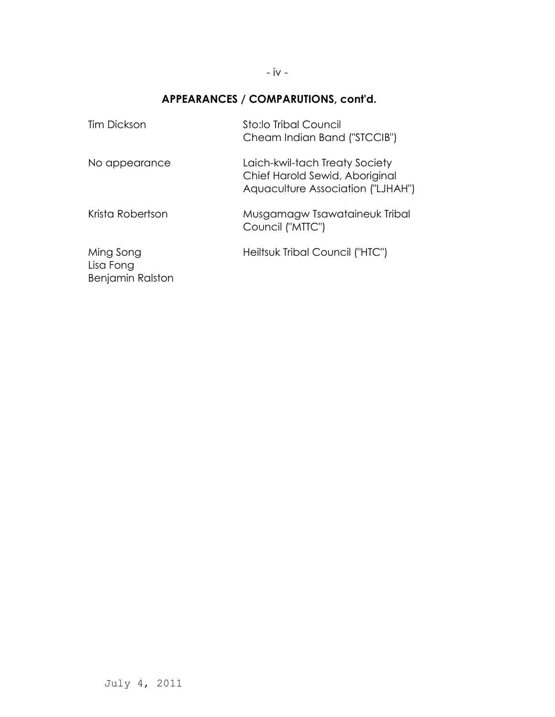## **APPEARANCES / COMPARUTIONS, cont'd.**

| <b>Tim Dickson</b>                                | Sto:lo Tribal Council<br>Cheam Indian Band ("STCCIB")                                                 |
|---------------------------------------------------|-------------------------------------------------------------------------------------------------------|
| No appearance                                     | Laich-kwil-tach Treaty Society<br>Chief Harold Sewid, Aboriginal<br>Aquaculture Association ("LJHAH") |
| Krista Robertson                                  | Musgamagw Tsawataineuk Tribal<br>Council ("MTTC")                                                     |
| Ming Song<br>Lisa Fong<br><b>Benjamin Ralston</b> | Heiltsuk Tribal Council ("HTC")                                                                       |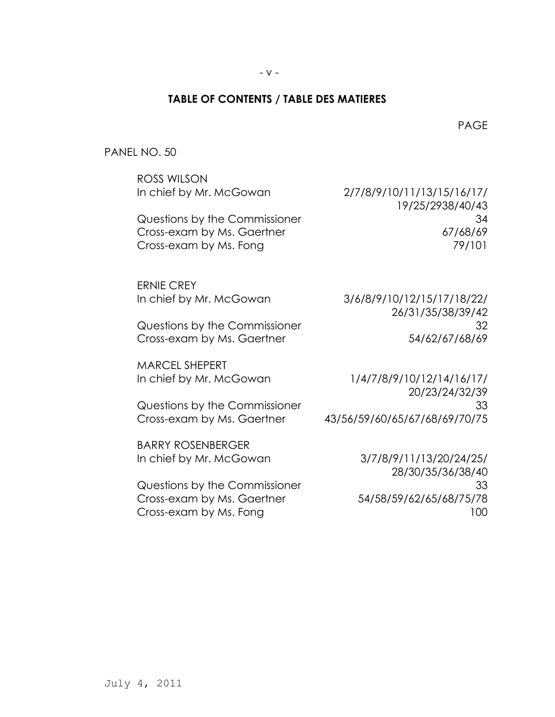### **TABLE OF CONTENTS / TABLE DES MATIERES**

en de la provincia de la provincia de la provincia de la provincia de la provincia de la provincia de la provi

PANEL NO. 50

| ROSS WILSON<br>In chief by Mr. McGowan               | 2/7/8/9/10/11/13/15/16/17/                      |
|------------------------------------------------------|-------------------------------------------------|
| Questions by the Commissioner                        | 19/25/2938/40/43<br>34                          |
| Cross-exam by Ms. Gaertner<br>Cross-exam by Ms. Fong | 67/68/69<br>79/101                              |
| <b>ERNIE CREY</b>                                    |                                                 |
| In chief by Mr. McGowan                              | 3/6/8/9/10/12/15/17/18/22/<br>26/31/35/38/39/42 |
| Questions by the Commissioner                        | 32                                              |
| Cross-exam by Ms. Gaertner                           | 54/62/67/68/69                                  |
| <b>MARCEL SHEPERT</b>                                |                                                 |
| In chief by Mr. McGowan                              | 1/4/7/8/9/10/12/14/16/17/<br>20/23/24/32/39     |
| Questions by the Commissioner                        | 33                                              |
| Cross-exam by Ms. Gaertner                           | 43/56/59/60/65/67/68/69/70/75                   |
| <b>BARRY ROSENBERGER</b>                             |                                                 |
| In chief by Mr. McGowan                              | 3/7/8/9/11/13/20/24/25/                         |
| Questions by the Commissioner                        | 28/30/35/36/38/40<br>33                         |
| Cross-exam by Ms. Gaertner                           | 54/58/59/62/65/68/75/78                         |
| Cross-exam by Ms. Fong                               | 100                                             |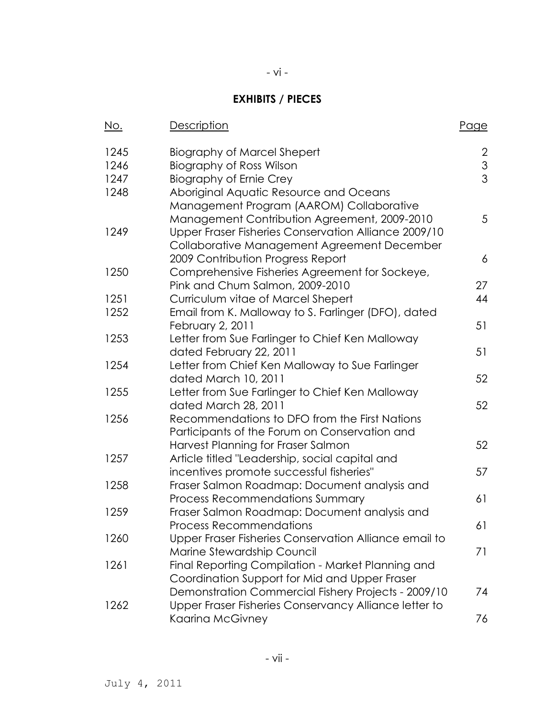## **EXHIBITS / PIECES**

- vi -

| No.  | <u>Description</u>                                    | Page           |
|------|-------------------------------------------------------|----------------|
| 1245 | Biography of Marcel Shepert                           | $\overline{2}$ |
| 1246 | <b>Biography of Ross Wilson</b>                       | $\mathfrak{S}$ |
| 1247 | <b>Biography of Ernie Crey</b>                        | $\overline{3}$ |
| 1248 | Aboriginal Aquatic Resource and Oceans                |                |
|      | Management Program (AAROM) Collaborative              |                |
|      | Management Contribution Agreement, 2009-2010          | 5              |
| 1249 | Upper Fraser Fisheries Conservation Alliance 2009/10  |                |
|      | Collaborative Management Agreement December           |                |
|      | 2009 Contribution Progress Report                     | 6              |
| 1250 | Comprehensive Fisheries Agreement for Sockeye,        |                |
|      | Pink and Chum Salmon, 2009-2010                       | 27             |
| 1251 | Curriculum vitae of Marcel Shepert                    | 44             |
| 1252 | Email from K. Malloway to S. Farlinger (DFO), dated   |                |
|      | February 2, 2011                                      | 51             |
| 1253 | Letter from Sue Farlinger to Chief Ken Malloway       |                |
|      | dated February 22, 2011                               | 51             |
| 1254 | Letter from Chief Ken Malloway to Sue Farlinger       |                |
|      | dated March 10, 2011                                  | 52             |
| 1255 | Letter from Sue Farlinger to Chief Ken Malloway       |                |
|      | dated March 28, 2011                                  | 52             |
| 1256 | Recommendations to DFO from the First Nations         |                |
|      | Participants of the Forum on Conservation and         |                |
|      | Harvest Planning for Fraser Salmon                    | 52             |
| 1257 | Article titled "Leadership, social capital and        |                |
|      | incentives promote successful fisheries"              | 57             |
| 1258 | Fraser Salmon Roadmap: Document analysis and          |                |
|      | <b>Process Recommendations Summary</b>                | 61             |
| 1259 | Fraser Salmon Roadmap: Document analysis and          |                |
|      | <b>Process Recommendations</b>                        | 61             |
| 1260 | Upper Fraser Fisheries Conservation Alliance email to |                |
|      | Marine Stewardship Council                            | 71             |
| 1261 | Final Reporting Compilation - Market Planning and     |                |
|      | Coordination Support for Mid and Upper Fraser         |                |
|      | Demonstration Commercial Fishery Projects - 2009/10   | 74             |
| 1262 | Upper Fraser Fisheries Conservancy Alliance letter to |                |
|      | Kaarina McGivney                                      | 76             |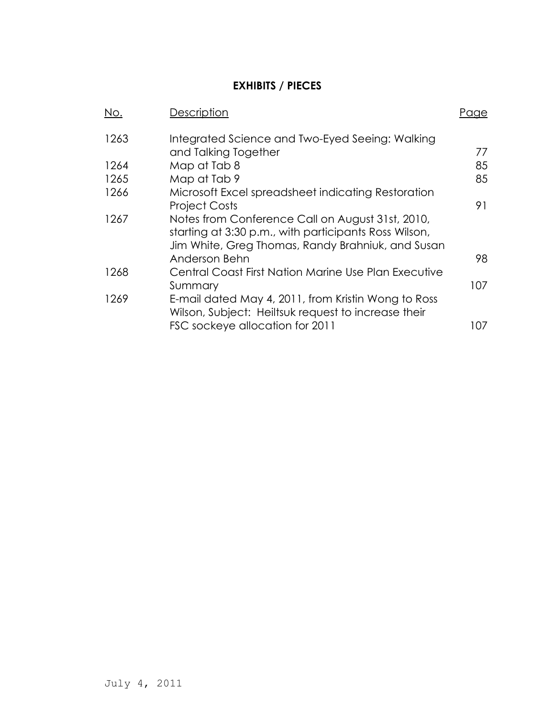### **EXHIBITS / PIECES**

| No.  | Description                                                                                                                                                    | Paae |
|------|----------------------------------------------------------------------------------------------------------------------------------------------------------------|------|
| 1263 | Integrated Science and Two-Eyed Seeing: Walking<br>and Talking Together                                                                                        | 77   |
| 1264 | Map at Tab 8                                                                                                                                                   | 85   |
| 1265 | Map at Tab 9                                                                                                                                                   | 85   |
| 1266 | Microsoft Excel spreadsheet indicating Restoration                                                                                                             |      |
|      | <b>Project Costs</b>                                                                                                                                           | 91   |
| 1267 | Notes from Conference Call on August 31st, 2010,<br>starting at 3:30 p.m., with participants Ross Wilson,<br>Jim White, Greg Thomas, Randy Brahniuk, and Susan |      |
|      | Anderson Behn                                                                                                                                                  | 98   |
| 1268 | Central Coast First Nation Marine Use Plan Executive                                                                                                           |      |
|      | Summary                                                                                                                                                        | 107  |
| 1269 | E-mail dated May 4, 2011, from Kristin Wong to Ross<br>Wilson, Subject: Heiltsuk request to increase their                                                     |      |
|      | FSC sockeye allocation for 2011                                                                                                                                | 107  |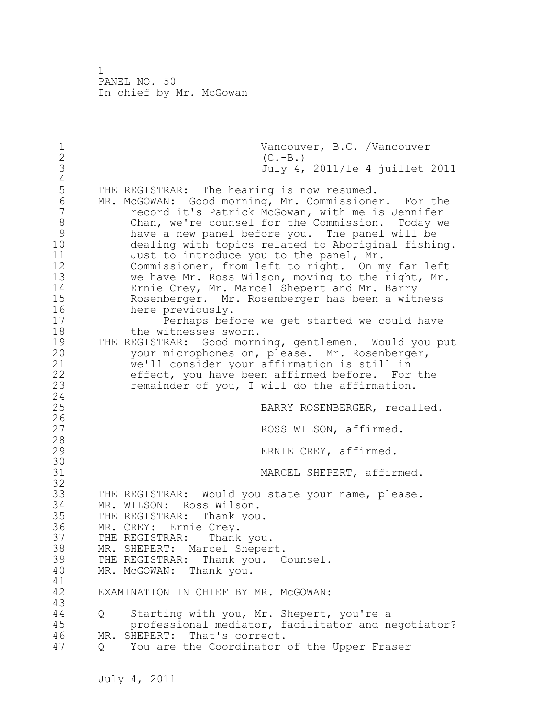1 Vancouver, B.C. /Vancouver<br>2 (C.-B.) 2  $(C.-B.)$ <br>3  $July 4,$ 3 July 4, 2011/le 4 juillet 2011  $\frac{4}{5}$ 5 THE REGISTRAR: The hearing is now resumed.<br>6 MR. McGOWAN: Good morning, Mr. Commissione 6 MR. McGOWAN: Good morning, Mr. Commissioner. For the record it's Patrick McGowan, with me is Jennifer 8 Chan, we're counsel for the Commission. Today we 9 have a new panel before you. The panel will be dealing with topics related to Aboriginal fishing. 11 Just to introduce you to the panel, Mr. 12 Commissioner, from left to right. On my far left 13 we have Mr. Ross Wilson, moving to the right, Mr. 14 Ernie Crey, Mr. Marcel Shepert and Mr. Barry 15 Rosenberger. Mr. Rosenberger has been a witness 16 here previously. 17 Perhaps before we get started we could have 18 the witnesses sworn. 19 THE REGISTRAR: Good morning, gentlemen. Would you put<br>20 vour microphones on, please. Mr. Rosenberger, your microphones on, please. Mr. Rosenberger, 21 we'll consider your affirmation is still in 22 effect, you have been affirmed before. For the 23 remainder of you, I will do the affirmation. 24 25 BARRY ROSENBERGER, recalled.  $\frac{26}{27}$ ROSS WILSON, affirmed. 28 29 ERNIE CREY, affirmed. 30<br>31 MARCEL SHEPERT, affirmed. 32 33 THE REGISTRAR: Would you state your name, please. 34 MR. WILSON: Ross Wilson. 35 THE REGISTRAR: Thank you. 36 MR. CREY: Ernie Crey.<br>37 THE REGISTRAR: Thank you. 37 THE REGISTRAR: 38 MR. SHEPERT: Marcel Shepert. 39 THE REGISTRAR: Thank you. Counsel. 40 MR. McGOWAN: Thank you. 41<br>42 EXAMINATION IN CHIEF BY MR. McGOWAN: 43 44 Q Starting with you, Mr. Shepert, you're a 45 professional mediator, facilitator and negotiator? 46 MR. SHEPERT: That's correct. 47 Q You are the Coordinator of the Upper Fraser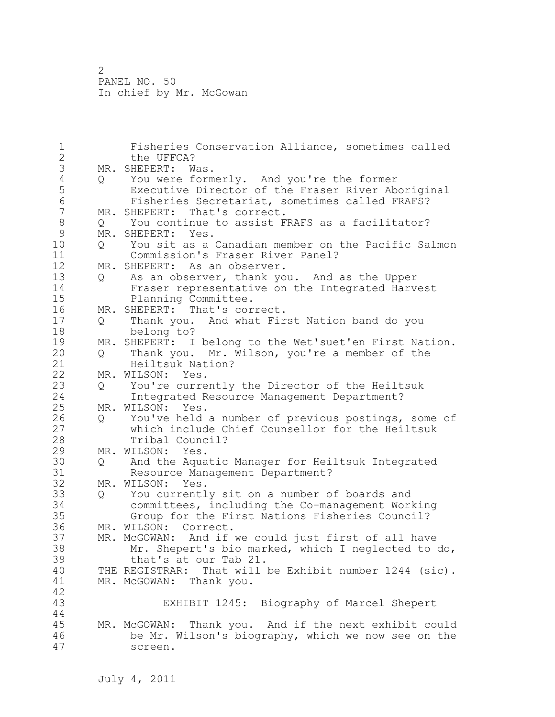1 Fisheries Conservation Alliance, sometimes called 2 the UFFCA? 3 MR. SHEPERT: Was.<br>4 Q You were form 4 Q You were formerly. And you're the former<br>5 Executive Director of the Fraser River Ab 5 Executive Director of the Fraser River Aboriginal<br>6 Fisheries Secretariat, sometimes called FRAFS? 6 Fisheries Secretariat, sometimes called FRAFS? MR. SHEPERT: That's correct. 8 Q You continue to assist FRAFS as a facilitator?<br>9 MR. SHEPERT: Yes. 9 MR. SHEPERT: Yes.<br>10 0 You sit as a 10 Q You sit as a Canadian member on the Pacific Salmon 11 Commission's Fraser River Panel? 12 MR. SHEPERT: As an observer. 13 Q As an observer, thank you. And as the Upper 14 Fraser representative on the Integrated Harvest<br>15 Planning Committee. Planning Committee. 16 MR. SHEPERT: That's correct. 17 Q Thank you. And what First Nation band do you 18 belong to? 19 MR. SHEPERT: I belong to the Wet'suet'en First Nation.<br>20 0 Thank you. Mr. Wilson, you're a member of the 20 Q Thank you. Mr. Wilson, you're a member of the 21 Heiltsuk Nation? 22 MR. WILSON: Yes. 23 Q You're currently the Director of the Heiltsuk 24 Integrated Resource Management Department? 25 MR. WILSON: Yes. 26 Q You've held a number of previous postings, some of<br>27 which include Chief Counsellor for the Heiltsuk which include Chief Counsellor for the Heiltsuk 28 Tribal Council? 29 MR. WILSON: Yes. 30 Q And the Aquatic Manager for Heiltsuk Integrated 31 Resource Management Department?<br>32 MR. WILSON: Yes. MR. WILSON: Yes. 33 Q You currently sit on a number of boards and 34 committees, including the Co-management Working 35 Group for the First Nations Fisheries Council?<br>36 MR. WILSON: Correct. MR. WILSON: Correct. 37 MR. McGOWAN: And if we could just first of all have<br>38 Mr. Shepert's bio marked, which I neqlected to  $Mr.$  Shepert's bio marked, which I neglected to do, 39 that's at our Tab 21. 40 THE REGISTRAR: That will be Exhibit number 1244 (sic). 41 MR. McGOWAN: Thank you. 42 EXHIBIT 1245: Biography of Marcel Shepert 44 45 MR. McGOWAN: Thank you. And if the next exhibit could 46 be Mr. Wilson's biography, which we now see on the 47 screen.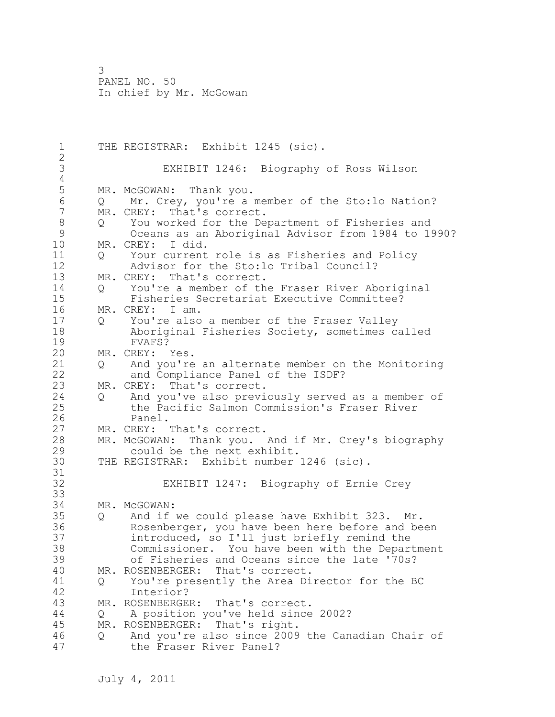1 THE REGISTRAR: Exhibit 1245 (sic). 2 3 EXHIBIT 1246: Biography of Ross Wilson  $\frac{4}{5}$ 5 MR. McGOWAN: Thank you.<br>6 0 Mr. Crev, vou're a m 6 Q Mr. Crey, you're a member of the Sto:lo Nation? MR. CREY: That's correct. 8 Q You worked for the Department of Fisheries and 9 Oceans as an Aboriginal Advisor from 1984 to 1990? MR. CREY: I did. 11 Q Your current role is as Fisheries and Policy 12 Advisor for the Sto:lo Tribal Council? MR. CREY: That's correct. 14 Q You're a member of the Fraser River Aboriginal<br>15 Fisheries Secretariat Executive Committee? 15 Fisheries Secretariat Executive Committee? 16 MR. CREY: I am. 17 Q You're also a member of the Fraser Valley 18 Aboriginal Fisheries Society, sometimes called 19 FVAFS?<br>20 MR. CREY: MR. CREY: Yes. 21 Q And you're an alternate member on the Monitoring 22 and Compliance Panel of the ISDF? 23 MR. CREY: That's correct. 24 Q And you've also previously served as a member of 25 the Pacific Salmon Commission's Fraser River 26 Panel.<br>27 MR. CREY: MR. CREY: That's correct. 28 MR. McGOWAN: Thank you. And if Mr. Crey's biography 29 could be the next exhibit. 30 THE REGISTRAR: Exhibit number 1246 (sic). 31<br>32 EXHIBIT 1247: Biography of Ernie Crey 33 34 MR. McGOWAN: 35 Q And if we could please have Exhibit 323. Mr. 36 Rosenberger, you have been here before and been 37 introduced, so I'll just briefly remind the 38 Commissioner. You have been with the Department 39 of Fisheries and Oceans since the late '70s? 40 MR. ROSENBERGER: That's correct. 41 Q You're presently the Area Director for the BC<br>42 Interior? 42 Interior?<br>43 MR. ROSENBERGE MR. ROSENBERGER: That's correct. 44 Q A position you've held since 2002? 45 MR. ROSENBERGER: That's right. 46 Q And you're also since 2009 the Canadian Chair of 47 the Fraser River Panel?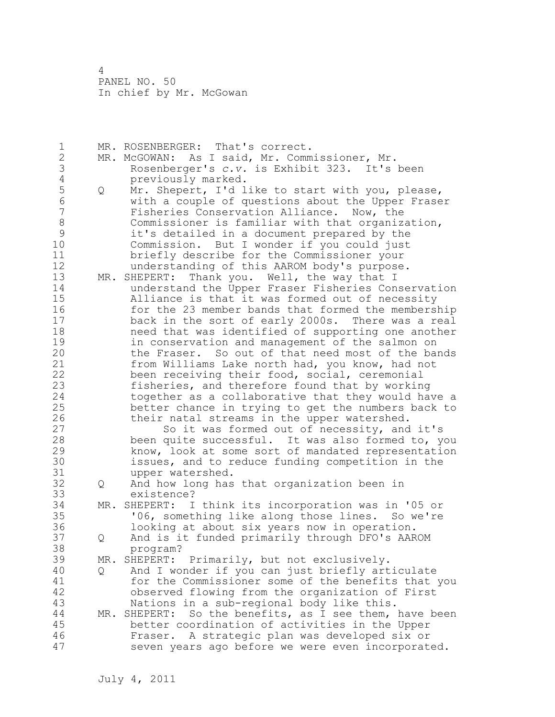1 MR. ROSENBERGER: That's correct. 2 MR. McGOWAN: As I said, Mr. Commissioner, Mr. 3 Rosenberger's *c.v.* is Exhibit 323. It's been 4 previously marked.<br>5 Q Mr. Shepert, I'd l 5 Q Mr. Shepert, I'd like to start with you, please,<br>6 with a couple of questions about the Upper Frase 6 with a couple of questions about the Upper Fraser Fisheries Conservation Alliance. Now, the 8 Commissioner is familiar with that organization,<br>9 it's detailed in a document prepared by the 9 it's detailed in a document prepared by the Commission. But I wonder if you could just 11 briefly describe for the Commissioner your 12 understanding of this AAROM body's purpose. 13 MR. SHEPERT: Thank you. Well, the way that I 14 understand the Upper Fraser Fisheries Conservation 15 Alliance is that it was formed out of necessity 16 for the 23 member bands that formed the membership 17 back in the sort of early 2000s. There was a real 18 need that was identified of supporting one another 19 in conservation and management of the salmon on<br>20 the Fraser. So out of that need most of the bay the Fraser. So out of that need most of the bands 21 from Williams Lake north had, you know, had not 22 been receiving their food, social, ceremonial 23 fisheries, and therefore found that by working 24 together as a collaborative that they would have a 25 better chance in trying to get the numbers back to 26 their natal streams in the upper watershed.<br>27 So it was formed out of necessity, and So it was formed out of necessity, and it's 28 been quite successful. It was also formed to, you 29 know, look at some sort of mandated representation 30 issues, and to reduce funding competition in the 31 upper watershed.<br>32 0 And how long has 32 Q And how long has that organization been in 33 existence? 34 MR. SHEPERT: I think its incorporation was in '05 or 35 '06, something like along those lines. So we're<br>36 100king at about six years now in operation. looking at about six years now in operation. 37 Q And is it funded primarily through DFO's AAROM 38 program? 39 MR. SHEPERT: Primarily, but not exclusively. 40 Q And I wonder if you can just briefly articulate 41 for the Commissioner some of the benefits that you<br>42 beserved flowing from the organization of First observed flowing from the organization of First 43 Nations in a sub-regional body like this. 44 MR. SHEPERT: So the benefits, as I see them, have been 45 better coordination of activities in the Upper 46 Fraser. A strategic plan was developed six or 47 seven years ago before we were even incorporated.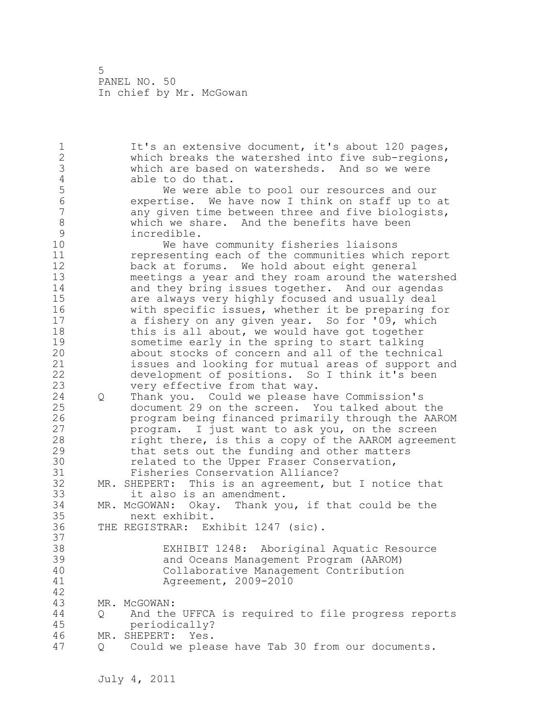1 It's an extensive document, it's about 120 pages, 2 which breaks the watershed into five sub-regions, 3 which are based on watersheds. And so we were 4 able to do that.<br>5 We were abl 5 We were able to pool our resources and our 6 expertise. We have now I think on staff up to at any given time between three and five biologists, 8 which we share. And the benefits have been<br>9 incredible. 9 incredible.<br>10 We hav We have community fisheries liaisons 11 representing each of the communities which report 12 back at forums. We hold about eight general 13 meetings a year and they roam around the watershed 14 and they bring issues together. And our agendas 15 are always very highly focused and usually deal 16 with specific issues, whether it be preparing for 17 a fishery on any given year. So for '09, which 18 this is all about, we would have got together 19 sometime early in the spring to start talking<br>20 about stocks of concern and all of the techni about stocks of concern and all of the technical 21 issues and looking for mutual areas of support and 22 development of positions. So I think it's been 23 very effective from that way. 24 Q Thank you. Could we please have Commission's 25 document 29 on the screen. You talked about the 26 program being financed primarily through the AAROM<br>27 program. I just want to ask you, on the screen program. I just want to ask you, on the screen 28 right there, is this a copy of the AAROM agreement 29 that sets out the funding and other matters 30 **related to the Upper Fraser Conservation,**<br>31 Fisheries Conservation Alliance? Fisheries Conservation Alliance? 32 MR. SHEPERT: This is an agreement, but I notice that 33 it also is an amendment. 34 MR. McGOWAN: Okay. Thank you, if that could be the 35 next exhibit. 36 THE REGISTRAR: Exhibit 1247 (sic). 37 38 EXHIBIT 1248: Aboriginal Aquatic Resource 39 and Oceans Management Program (AAROM) 40 Collaborative Management Contribution 41 Agreement, 2009-2010 42 43 MR. McGOWAN: 44 Q And the UFFCA is required to file progress reports 45 periodically? 46 MR. SHEPERT: Yes. 47 Q Could we please have Tab 30 from our documents.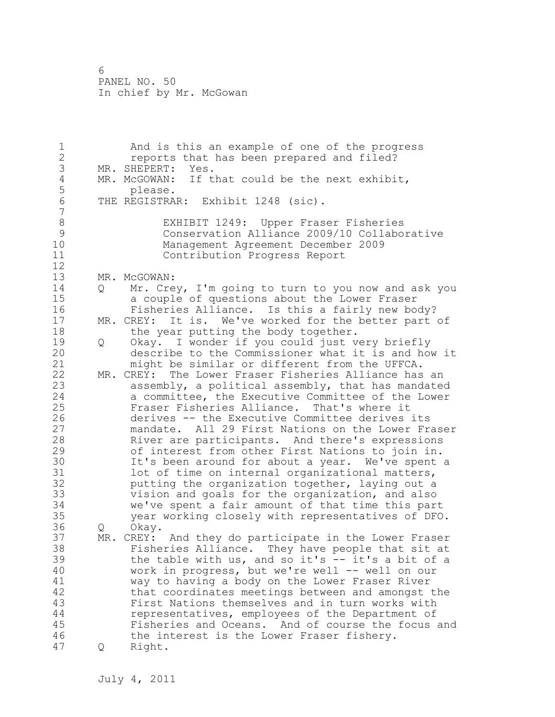1 And is this an example of one of the progress 2 reports that has been prepared and filed? 3 MR. SHEPERT: Yes.<br>4 MR. McGOWAN: If t 4 MR. McGOWAN: If that could be the next exhibit,<br>5 blease. 5 please.<br>6 THE REGISTRA THE REGISTRAR: Exhibit 1248 (sic). 7 8 EXHIBIT 1249: Upper Fraser Fisheries<br>9 Conservation Alliance 2009/10 Collabo 9 Conservation Alliance 2009/10 Collaborative Management Agreement December 2009 11 Contribution Progress Report 12 13 MR. McGOWAN: 14 Q Mr. Crey, I'm going to turn to you now and ask you 15 a couple of questions about the Lower Fraser 16 Fisheries Alliance. Is this a fairly new body? 17 MR. CREY: It is. We've worked for the better part of 18 the year putting the body together. 19 Q Okay. I wonder if you could just very briefly<br>20 describe to the Commissioner what it is and ho describe to the Commissioner what it is and how it 21 might be similar or different from the UFFCA. 22 MR. CREY: The Lower Fraser Fisheries Alliance has an 23 assembly, a political assembly, that has mandated 24 a committee, the Executive Committee of the Lower 25 Fraser Fisheries Alliance. That's where it 26 derives -- the Executive Committee derives its<br>27 mandate. All 29 First Nations on the Lower Fr. mandate. All 29 First Nations on the Lower Fraser 28 River are participants. And there's expressions 29 of interest from other First Nations to join in. 30 It's been around for about a year. We've spent a<br>31 10t of time on internal organizational matters, lot of time on internal organizational matters, 32 putting the organization together, laying out a 33 vision and goals for the organization, and also 34 we've spent a fair amount of that time this part 35 year working closely with representatives of DFO. 36 Q Okay. 37 MR. CREY: And they do participate in the Lower Fraser 38 Fisheries Alliance. They have people that sit at 39 the table with us, and so it's -- it's a bit of a 40 work in progress, but we're well -- well on our 41 way to having a body on the Lower Fraser River<br>42 that coordinates meetings between and amongst that coordinates meetings between and amongst the 43 First Nations themselves and in turn works with 44 representatives, employees of the Department of 45 Fisheries and Oceans. And of course the focus and 46 the interest is the Lower Fraser fishery. 47 Q Right.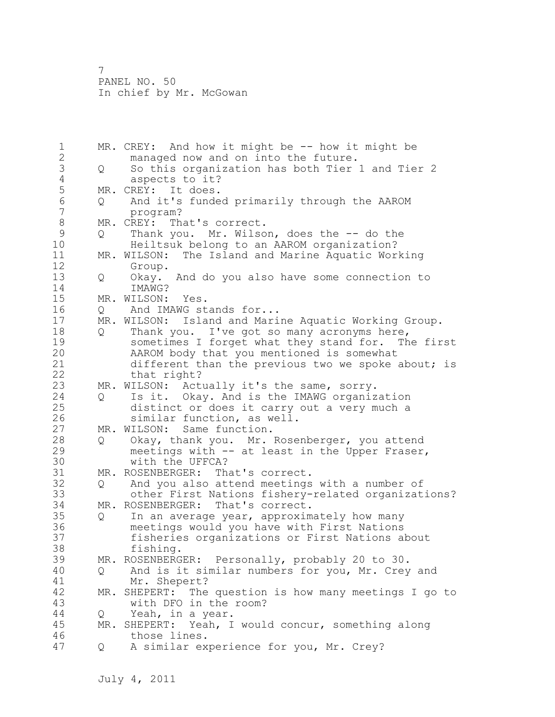1 MR. CREY: And how it might be -- how it might be 2 managed now and on into the future. 3 Q So this organization has both Tier 1 and Tier 2 4 aspects to it?<br>5 MR. CREY: It does. 5 MR. CREY: It does.<br>6 0 And it's funde 6 Q And it's funded primarily through the AAROM 7 program? 8 MR. CREY: That's correct.<br>9 0 Thank you. Mr. Wilso 9 Q Thank you. Mr. Wilson, does the -- do the<br>10 Heiltsuk belong to an AAROM organization? Heiltsuk belong to an AAROM organization? 11 MR. WILSON: The Island and Marine Aquatic Working 12 Group. 13 Q Okay. And do you also have some connection to 14 IMAWG? 15 MR. WILSON: Yes. 16 Q And IMAWG stands for... 17 MR. WILSON: Island and Marine Aquatic Working Group. 18 Q Thank you. I've got so many acronyms here, 19 sometimes I forget what they stand for. The first<br>20 AAROM body that you mentioned is somewhat AAROM body that you mentioned is somewhat 21 different than the previous two we spoke about; is 22 that right? 23 MR. WILSON: Actually it's the same, sorry. 24 Q Is it. Okay. And is the IMAWG organization 25 distinct or does it carry out a very much a 26 similar function, as well.<br>27 MR. WILSON: Same function. MR. WILSON: Same function. 28 Q Okay, thank you. Mr. Rosenberger, you attend 29 meetings with -- at least in the Upper Fraser, 30 with the UFFCA?<br>31 MR. ROSENBERGER: The MR. ROSENBERGER: That's correct. 32 Q And you also attend meetings with a number of 33 other First Nations fishery-related organizations? 34 MR. ROSENBERGER: That's correct. 35 Q In an average year, approximately how many 36 meetings would you have with First Nations 37 fisheries organizations or First Nations about 38 fishing. 39 MR. ROSENBERGER: Personally, probably 20 to 30. 40 Q And is it similar numbers for you, Mr. Crey and 41 Mr. Shepert?<br>42 MR. SHEPERT: The MR. SHEPERT: The question is how many meetings I go to 43 with DFO in the room? 44 Q Yeah, in a year. 45 MR. SHEPERT: Yeah, I would concur, something along 46 those lines. 47 Q A similar experience for you, Mr. Crey?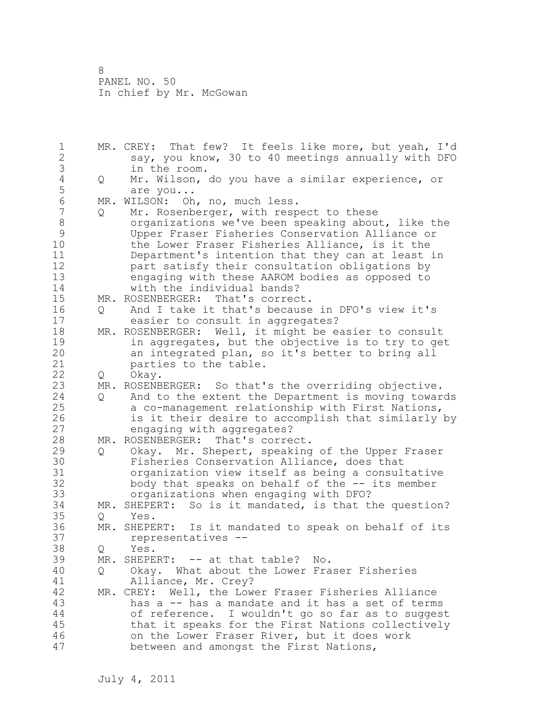1 MR. CREY: That few? It feels like more, but yeah, I'd 2 say, you know, 30 to 40 meetings annually with DFO 3 in the room.<br>4 Q Mr. Wilson, 4 Q Mr. Wilson, do you have a similar experience, or 5 are you...<br>6 MR. WILSON: Oh 6 MR. WILSON: Oh, no, much less. Q Mr. Rosenberger, with respect to these 8 organizations we've been speaking about, like the 9 Upper Fraser Fisheries Conservation Alliance or the Lower Fraser Fisheries Alliance, is it the 11 Department's intention that they can at least in 12 part satisfy their consultation obligations by 13 engaging with these AAROM bodies as opposed to 14 with the individual bands? 15 MR. ROSENBERGER: That's correct. 16 Q And I take it that's because in DFO's view it's 17 easier to consult in aggregates? 18 MR. ROSENBERGER: Well, it might be easier to consult 19 in aggregates, but the objective is to try to get<br>20 an integrated plan, so it's better to bring all an integrated plan, so it's better to bring all 21 parties to the table. 22 O Okav. 23 MR. ROSENBERGER: So that's the overriding objective. 24 Q And to the extent the Department is moving towards 25 a co-management relationship with First Nations, 26 is it their desire to accomplish that similarly by<br>27 engaging with aggregates? engaging with aggregates? 28 MR. ROSENBERGER: That's correct. 29 Q Okay. Mr. Shepert, speaking of the Upper Fraser 30 Fisheries Conservation Alliance, does that<br>31 organization view itself as being a consul organization view itself as being a consultative 32 body that speaks on behalf of the -- its member 33 organizations when engaging with DFO? 34 MR. SHEPERT: So is it mandated, is that the question? 35 Q Yes.<br>36 MR. SHEPE MR. SHEPERT: Is it mandated to speak on behalf of its 37 representatives -- 38 Q Yes. 39 MR. SHEPERT: -- at that table? No. 40 Q Okay. What about the Lower Fraser Fisheries 41 Alliance, Mr. Crey?<br>42 MR. CREY: Well, the Low MR. CREY: Well, the Lower Fraser Fisheries Alliance 43 has a -- has a mandate and it has a set of terms 44 of reference. I wouldn't go so far as to suggest 45 that it speaks for the First Nations collectively 46 on the Lower Fraser River, but it does work 47 between and amongst the First Nations,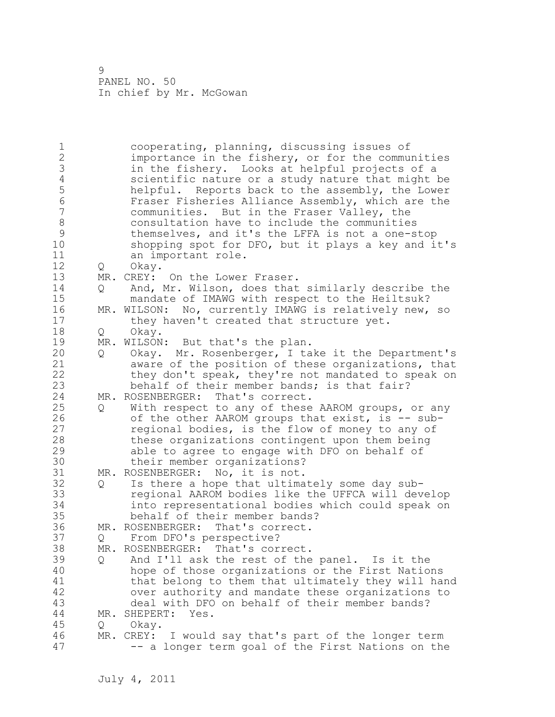1 cooperating, planning, discussing issues of 2 importance in the fishery, or for the communities 3 in the fishery. Looks at helpful projects of a 4 scientific nature or a study nature that might be<br>5 helpful. Reports back to the assembly, the Lower 5 helpful. Reports back to the assembly, the Lower 6 Fraser Fisheries Alliance Assembly, which are the communities. But in the Fraser Valley, the 8 6 8 consultation have to include the communities<br>8 6 themselves, and it's the LFFA is not a one-s 9 themselves, and it's the LFFA is not a one-stop<br>10 shopping spot for DFO, but it plays a key and i shopping spot for DFO, but it plays a key and it's 11 an important role. 12 Q Okay. 13 MR. CREY: On the Lower Fraser. 14 Q And, Mr. Wilson, does that similarly describe the 15 mandate of IMAWG with respect to the Heiltsuk? 16 MR. WILSON: No, currently IMAWG is relatively new, so 17 they haven't created that structure yet. 18 Q Okay. 19 MR. WILSON: But that's the plan.<br>20 0 Okav. Mr. Rosenberger, I ta 20 Q Okay. Mr. Rosenberger, I take it the Department's 21 aware of the position of these organizations, that 22 they don't speak, they're not mandated to speak on 23 behalf of their member bands; is that fair? 24 MR. ROSENBERGER: That's correct. 25 Q With respect to any of these AAROM groups, or any 26 of the other AAROM groups that exist, is -- sub-<br>27 eqional bodies, is the flow of money to any of regional bodies, is the flow of money to any of 28 these organizations contingent upon them being 29 able to agree to engage with DFO on behalf of 30 their member organizations?<br>31 MR. ROSENBERGER: No. it is not. MR. ROSENBERGER: No, it is not. 32 Q Is there a hope that ultimately some day sub-33 regional AAROM bodies like the UFFCA will develop 34 into representational bodies which could speak on 35 behalf of their member bands? 36 MR. ROSENBERGER: That's correct. 37 Q From DFO's perspective? 38 MR. ROSENBERGER: That's correct. 39 Q And I'll ask the rest of the panel. Is it the 40 hope of those organizations or the First Nations 41 that belong to them that ultimately they will hand<br>42 over authority and mandate these organizations to over authority and mandate these organizations to 43 deal with DFO on behalf of their member bands? 44 MR. SHEPERT: Yes. 45 Q Okay. 46 MR. CREY: I would say that's part of the longer term 47 -- a longer term goal of the First Nations on the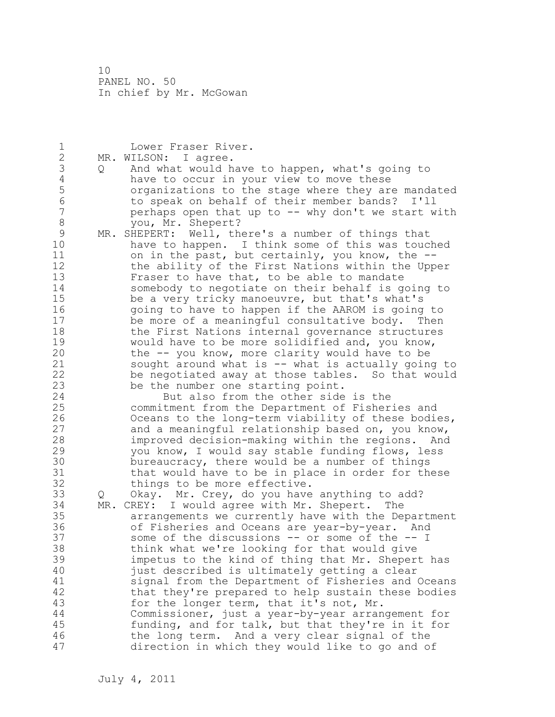1 Lower Fraser River. 2 MR. WILSON: I agree. 3 Q And what would have to happen, what's going to<br>4 have to occur in your view to move these 4 have to occur in your view to move these<br>5 organizations to the stage where they are 5 5 organizations to the stage where they are mandated<br>6 5 to speak on behalf of their member bands? I'll 6 to speak on behalf of their member bands? I'll perhaps open that up to -- why don't we start with 8 you, Mr. Shepert? 9 MR. SHEPERT: Well, there's a number of things that<br>10 have to happen. I think some of this was touc have to happen. I think some of this was touched 11 on in the past, but certainly, you know, the -- 12 the ability of the First Nations within the Upper 13 Fraser to have that, to be able to mandate 14 somebody to negotiate on their behalf is going to 15 be a very tricky manoeuvre, but that's what's 16 going to have to happen if the AAROM is going to 17 be more of a meaningful consultative body. Then 18 the First Nations internal governance structures 19 would have to be more solidified and, you know,<br>20 the -- you know, more clarity would have to be the -- you know, more clarity would have to be 21 sought around what is -- what is actually going to 22 be negotiated away at those tables. So that would 23 be the number one starting point. 24 But also from the other side is the 25 commitment from the Department of Fisheries and 26 Oceans to the long-term viability of these bodies,<br>27 and a meaningful relationship based on, you know, and a meaningful relationship based on, you know, 28 improved decision-making within the regions. And 29 you know, I would say stable funding flows, less 30 bureaucracy, there would be a number of things<br>31 that would have to be in place in order for th 31 that would have to be in place in order for these<br>32 things to be more effective. things to be more effective. 33 Q Okay. Mr. Crey, do you have anything to add? 34 MR. CREY: I would agree with Mr. Shepert. The 35 arrangements we currently have with the Department 36 of Fisheries and Oceans are year-by-year. And 37 some of the discussions -- or some of the -- I 38 think what we're looking for that would give 39 impetus to the kind of thing that Mr. Shepert has 40 just described is ultimately getting a clear 41 signal from the Department of Fisheries and Oceans<br>42 that they're prepared to help sustain these bodies that they're prepared to help sustain these bodies 43 for the longer term, that it's not, Mr. 44 Commissioner, just a year-by-year arrangement for 45 funding, and for talk, but that they're in it for 46 the long term. And a very clear signal of the 47 direction in which they would like to go and of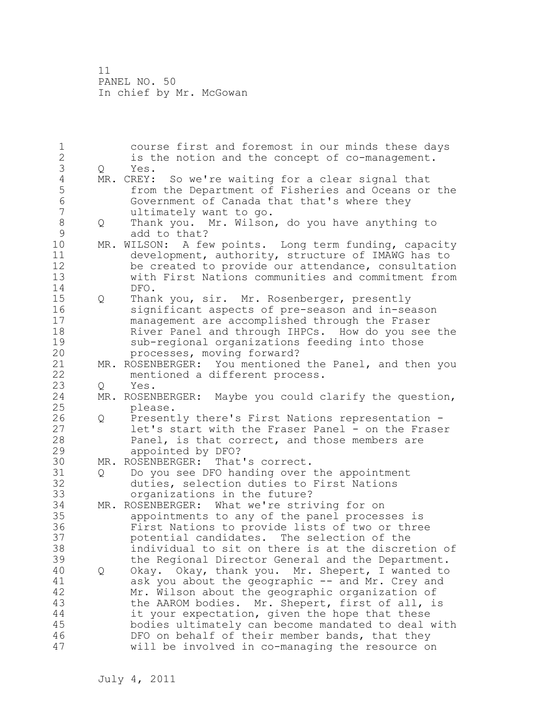1 course first and foremost in our minds these days 2 is the notion and the concept of co-management. 3 Q Yes.<br>4 MR. CREY: 4 MR. CREY: So we're waiting for a clear signal that<br>5 from the Department of Fisheries and Oceans or 5 from the Department of Fisheries and Oceans or the<br>6 6 Government of Canada that that's where they 6 Government of Canada that that's where they ultimately want to go. 8 Q Thank you. Mr. Wilson, do you have anything to 9 add to that?<br>10 MR. WILSON: A fe MR. WILSON: A few points. Long term funding, capacity 11 development, authority, structure of IMAWG has to 12 be created to provide our attendance, consultation 13 with First Nations communities and commitment from 14 DFO. 15 Q Thank you, sir. Mr. Rosenberger, presently 16 significant aspects of pre-season and in-season 17 management are accomplished through the Fraser 18 River Panel and through IHPCs. How do you see the 19 sub-regional organizations feeding into those<br>20 processes, moving forward? processes, moving forward? 21 MR. ROSENBERGER: You mentioned the Panel, and then you 22 mentioned a different process. 23 Q Yes. 24 MR. ROSENBERGER: Maybe you could clarify the question, 25 please. 26 Q Presently there's First Nations representation -<br>27 let's start with the Fraser Panel - on the Frase let's start with the Fraser Panel - on the Fraser 28 Panel, is that correct, and those members are 29 appointed by DFO? 30 MR. ROSENBERGER: That's correct.<br>31 0 Do you see DFO handing over 31 Q Do you see DFO handing over the appointment<br>32 duties, selection duties to First Nations duties, selection duties to First Nations 33 organizations in the future? 34 MR. ROSENBERGER: What we're striving for on 35 appointments to any of the panel processes is 36 First Nations to provide lists of two or three 37 potential candidates. The selection of the 38 individual to sit on there is at the discretion of 39 the Regional Director General and the Department. 40 Q Okay. Okay, thank you. Mr. Shepert, I wanted to 41 ask you about the geographic -- and Mr. Crey and<br>42 Mr. Wilson about the geographic organization of Mr. Wilson about the geographic organization of 43 the AAROM bodies. Mr. Shepert, first of all, is 44 it your expectation, given the hope that these 45 bodies ultimately can become mandated to deal with 46 DFO on behalf of their member bands, that they 47 will be involved in co-managing the resource on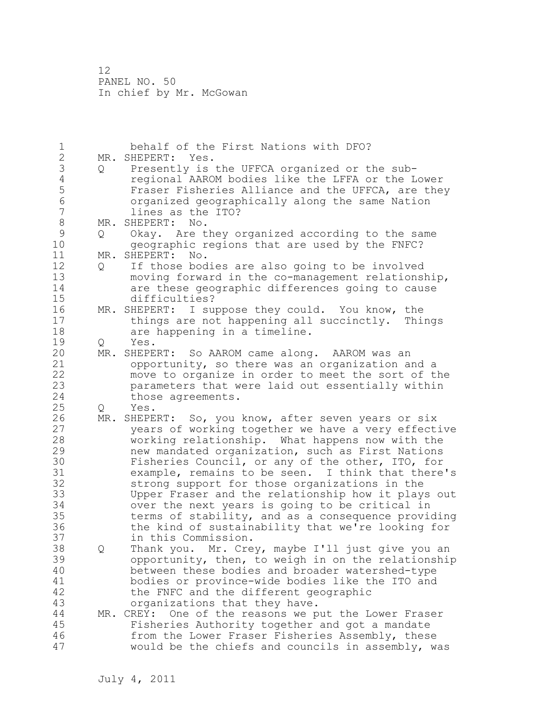| $\mathbf 1$      |     | behalf of the First Nations with DFO?                   |
|------------------|-----|---------------------------------------------------------|
| $\mathbf{2}$     |     | Yes.<br>MR. SHEPERT:                                    |
| 3                | Q   | Presently is the UFFCA organized or the sub-            |
| $\sqrt{4}$       |     | regional AAROM bodies like the LFFA or the Lower        |
| 5                |     | Fraser Fisheries Alliance and the UFFCA, are they       |
| $\sqrt{6}$       |     | organized geographically along the same Nation          |
| $\boldsymbol{7}$ |     | lines as the ITO?                                       |
| $\,8\,$          |     | MR. SHEPERT:<br>No.                                     |
| $\mathsf 9$      | Q   | Okay. Are they organized according to the same          |
| 10               |     | geographic regions that are used by the FNFC?           |
| 11               |     |                                                         |
|                  |     | MR. SHEPERT:<br>No.                                     |
| 12               | Q   | If those bodies are also going to be involved           |
| 13               |     | moving forward in the co-management relationship,       |
| 14               |     | are these geographic differences going to cause         |
| 15               |     | difficulties?                                           |
| 16               |     | I suppose they could. You know, the<br>MR. SHEPERT:     |
| 17               |     | things are not happening all succinctly. Things         |
| 18               |     | are happening in a timeline.                            |
| 19               | Q   | Yes.                                                    |
| 20               |     | MR. SHEPERT: So AAROM came along. AAROM was an          |
| 21               |     | opportunity, so there was an organization and a         |
| 22               |     | move to organize in order to meet the sort of the       |
| 23               |     | parameters that were laid out essentially within        |
| 24               |     | those agreements.                                       |
| 25               | Q   | Yes.                                                    |
| 26               | MR. | SHEPERT: So, you know, after seven years or six         |
| 27               |     | years of working together we have a very effective      |
| 28               |     | working relationship. What happens now with the         |
| 29               |     | new mandated organization, such as First Nations        |
| 30               |     | Fisheries Council, or any of the other, ITO, for        |
| 31               |     | example, remains to be seen. I think that there's       |
| 32               |     | strong support for those organizations in the           |
| 33               |     | Upper Fraser and the relationship how it plays out      |
| 34               |     | over the next years is going to be critical in          |
| 35               |     | terms of stability, and as a consequence providing      |
| 36               |     |                                                         |
|                  |     | the kind of sustainability that we're looking for       |
| 37               |     | in this Commission.                                     |
| 38               | Q   | Thank you. Mr. Crey, maybe I'll just give you an        |
| 39               |     | opportunity, then, to weigh in on the relationship      |
| 40               |     | between these bodies and broader watershed-type         |
| 41               |     | bodies or province-wide bodies like the ITO and         |
| 42               |     | the FNFC and the different geographic                   |
| 43               |     | organizations that they have.                           |
| 44               |     | One of the reasons we put the Lower Fraser<br>MR. CREY: |
| 45               |     | Fisheries Authority together and got a mandate          |
| 46               |     | from the Lower Fraser Fisheries Assembly, these         |
| 47               |     | would be the chiefs and councils in assembly, was       |
|                  |     |                                                         |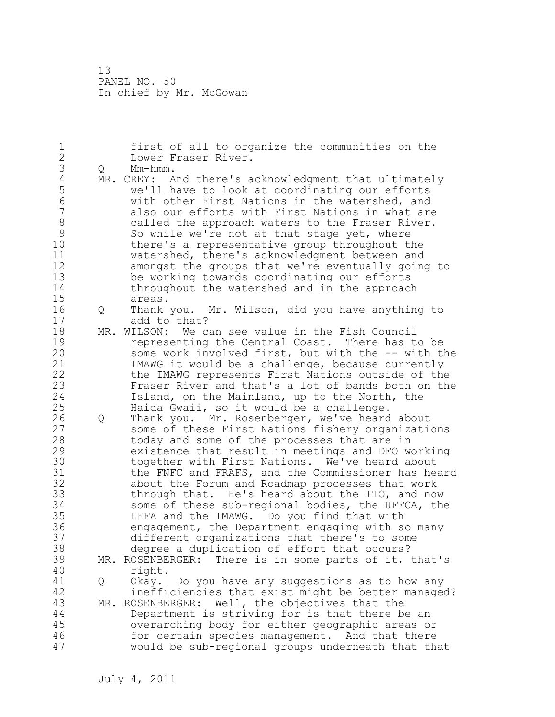1 first of all to organize the communities on the 2 Lower Fraser River. 3 Q Mm-hmm.<br>4 MR. CREY: A 4 MR. CREY: And there's acknowledgment that ultimately<br>5 we'll have to look at coordinating our efforts 5 we'll have to look at coordinating our efforts 6 with other First Nations in the watershed, and also our efforts with First Nations in what are 8 called the approach waters to the Fraser River.<br>9 So while we're not at that stage yet, where 9 So while we're not at that stage yet, where<br>10 there's a representative group throughout t there's a representative group throughout the 11 watershed, there's acknowledgment between and 12 amongst the groups that we're eventually going to 13 be working towards coordinating our efforts 14 throughout the watershed and in the approach 15 areas. 16 Q Thank you. Mr. Wilson, did you have anything to 17 add to that? 18 MR. WILSON: We can see value in the Fish Council 19 representing the Central Coast. There has to be<br>20 some work involved first, but with the -- with the some work involved first, but with the -- with the 21 IMAWG it would be a challenge, because currently 22 the IMAWG represents First Nations outside of the 23 Fraser River and that's a lot of bands both on the 24 Island, on the Mainland, up to the North, the 25 Haida Gwaii, so it would be a challenge. 26 Q Thank you. Mr. Rosenberger, we've heard about<br>27 some of these First Nations fishery organizati some of these First Nations fishery organizations 28 today and some of the processes that are in 29 existence that result in meetings and DFO working 30 together with First Nations. We've heard about<br>31 the FNFC and FRAFS, and the Commissioner has hea 31 the FNFC and FRAFS, and the Commissioner has heard<br>32 about the Forum and Roadmap processes that work about the Forum and Roadmap processes that work 33 through that. He's heard about the ITO, and now 34 some of these sub-regional bodies, the UFFCA, the 35 LFFA and the IMAWG. Do you find that with 36 engagement, the Department engaging with so many 37 different organizations that there's to some 38 degree a duplication of effort that occurs? 39 MR. ROSENBERGER: There is in some parts of it, that's 40 right. 41 Q Okay. Do you have any suggestions as to how any inefficiencies that exist might be better managed? 43 MR. ROSENBERGER: Well, the objectives that the 44 Department is striving for is that there be an 45 overarching body for either geographic areas or 46 for certain species management. And that there 47 would be sub-regional groups underneath that that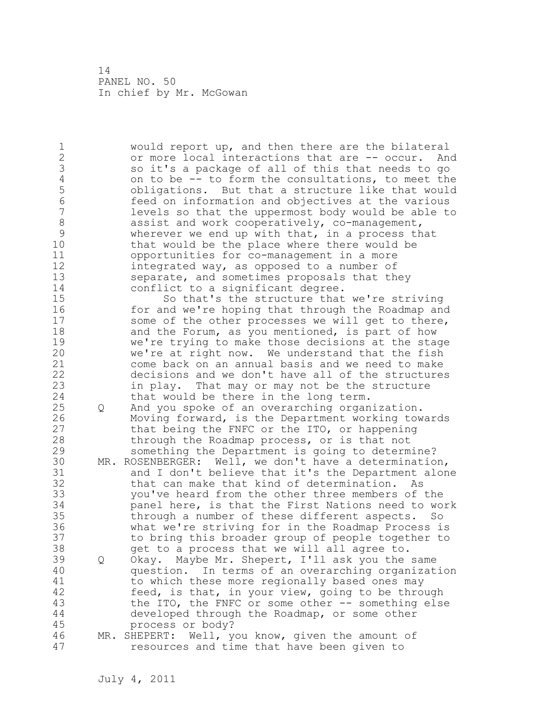1 would report up, and then there are the bilateral 2 or more local interactions that are -- occur. And 3 so it's a package of all of this that needs to go<br>4 on to be -- to form the consultations, to meet the 4 on to be -- to form the consultations, to meet the<br>5 0bligations. But that a structure like that would 5 obligations. But that a structure like that would 6 feed on information and objectives at the various levels so that the uppermost body would be able to 8 assist and work cooperatively, co-management,<br>9 wherever we end up with that, in a process th 9 wherever we end up with that, in a process that<br>10 that would be the place where there would be that would be the place where there would be 11 opportunities for co-management in a more 12 integrated way, as opposed to a number of 13 separate, and sometimes proposals that they 14 conflict to a significant degree. 15 So that's the structure that we're striving 16 for and we're hoping that through the Roadmap and 17 some of the other processes we will get to there, 18 and the Forum, as you mentioned, is part of how 19 we're trying to make those decisions at the stage<br>20 we're at right now. We understand that the fish we're at right now. We understand that the fish 21 come back on an annual basis and we need to make 22 decisions and we don't have all of the structures 23 in play. That may or may not be the structure 24 that would be there in the long term. 25 Q And you spoke of an overarching organization. 26 Moving forward, is the Department working towards<br>27 that being the FNFC or the ITO, or happening that being the FNFC or the ITO, or happening 28 through the Roadmap process, or is that not 29 something the Department is going to determine? 30 MR. ROSENBERGER: Well, we don't have a determination,<br>31 and I don't believe that it's the Department alon 31 and I don't believe that it's the Department alone<br>32 that can make that kind of determination. As that can make that kind of determination. As 33 you've heard from the other three members of the 34 panel here, is that the First Nations need to work 35 through a number of these different aspects. So 36 what we're striving for in the Roadmap Process is 37 to bring this broader group of people together to 38 get to a process that we will all agree to. 39 Q Okay. Maybe Mr. Shepert, I'll ask you the same 40 question. In terms of an overarching organization 41 to which these more regionally based ones may<br>42 feed, is that, in your view, going to be throw feed, is that, in your view, going to be through 43 the ITO, the FNFC or some other -- something else 44 developed through the Roadmap, or some other 45 process or body? 46 MR. SHEPERT: Well, you know, given the amount of 47 resources and time that have been given to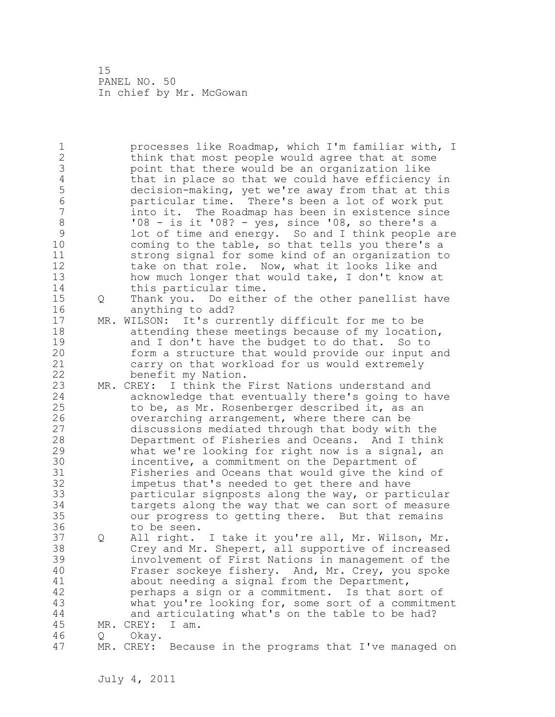1 processes like Roadmap, which I'm familiar with, I 2 think that most people would agree that at some 3 boint that there would be an organization like<br>4 that in place so that we could have efficiency 4 that in place so that we could have efficiency in<br>5 decision-making, yet we're away from that at this 5 decision-making, yet we're away from that at this 6 particular time. There's been a lot of work put into it. The Roadmap has been in existence since 8 '08 - is it '08? - yes, since '08, so there's a<br>9 1 ot of time and energy. So and I think people 9 lot of time and energy. So and I think people are<br>10 coming to the table, so that tells you there's a coming to the table, so that tells you there's a 11 strong signal for some kind of an organization to 12 take on that role. Now, what it looks like and 13 how much longer that would take, I don't know at 14 this particular time. 15 Q Thank you. Do either of the other panellist have 16 anything to add? 17 MR. WILSON: It's currently difficult for me to be 18 attending these meetings because of my location, 19 and I don't have the budget to do that. So to<br>20 form a structure that would provide our input form a structure that would provide our input and 21 carry on that workload for us would extremely 22 benefit my Nation. 23 MR. CREY: I think the First Nations understand and 24 acknowledge that eventually there's going to have 25 to be, as Mr. Rosenberger described it, as an 26 overarching arrangement, where there can be<br>27 discussions mediated through that body with discussions mediated through that body with the 28 Department of Fisheries and Oceans. And I think 29 what we're looking for right now is a signal, an 30 incentive, a commitment on the Department of<br>31 Fisheries and Oceans that would give the kin 31 Fisheries and Oceans that would give the kind of<br>32 impetus that's needed to get there and have impetus that's needed to get there and have 33 particular signposts along the way, or particular 34 targets along the way that we can sort of measure 35 our progress to getting there. But that remains 36 to be seen. 37 Q All right. I take it you're all, Mr. Wilson, Mr. 38 Crey and Mr. Shepert, all supportive of increased 39 involvement of First Nations in management of the 40 Fraser sockeye fishery. And, Mr. Crey, you spoke 41 about needing a signal from the Department,<br>42 berhaps a sign or a commitment. Is that so perhaps a sign or a commitment. Is that sort of 43 what you're looking for, some sort of a commitment 44 and articulating what's on the table to be had? 45 MR. CREY: I am. 46 Q Okay. 47 MR. CREY: Because in the programs that I've managed on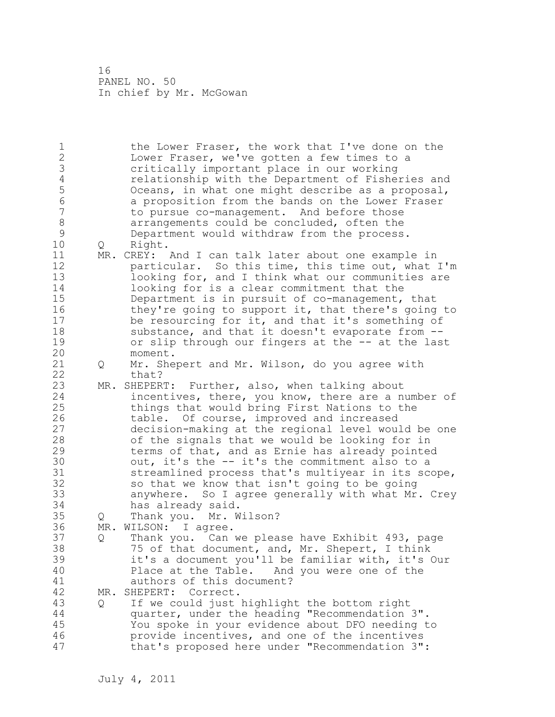1 the Lower Fraser, the work that I've done on the 2 Lower Fraser, we've gotten a few times to a 3 critically important place in our working<br>4 critionship with the Department of Fishe: 4 relationship with the Department of Fisheries and<br>5 0 Oceans, in what one might describe as a proposal, 5 Oceans, in what one might describe as a proposal, 6 a proposition from the bands on the Lower Fraser to pursue co-management. And before those 8 arrangements could be concluded, often the<br>9 Department would withdraw from the process 9 Department would withdraw from the process.<br>10 0 Right. 0 Right. 11 MR. CREY: And I can talk later about one example in 12 particular. So this time, this time out, what I'm 13 **looking for, and I think what our communities are** 14 looking for is a clear commitment that the 15 Department is in pursuit of co-management, that 16 they're going to support it, that there's going to 17 be resourcing for it, and that it's something of 18 substance, and that it doesn't evaporate from --19 or slip through our fingers at the -- at the last<br>20 moment. moment. 21 Q Mr. Shepert and Mr. Wilson, do you agree with 22 that? 23 MR. SHEPERT: Further, also, when talking about 24 incentives, there, you know, there are a number of 25 things that would bring First Nations to the 26 table. Of course, improved and increased<br>27 decision-making at the regional level wou. decision-making at the regional level would be one 28 of the signals that we would be looking for in 29 terms of that, and as Ernie has already pointed 30 out, it's the -- it's the commitment also to a<br>31 streamlined process that's multiyear in its sc streamlined process that's multiyear in its scope, 32 so that we know that isn't going to be going 33 anywhere. So I agree generally with what Mr. Crey 34 has already said. 35 Q Thank you. Mr. Wilson? 36 MR. WILSON: I agree. 37 Q Thank you. Can we please have Exhibit 493, page 38 75 of that document, and, Mr. Shepert, I think 39 it's a document you'll be familiar with, it's Our 40 Place at the Table. And you were one of the 41 authors of this document?<br>42 MR. SHEPERT: Correct. MR. SHEPERT: Correct. 43 Q If we could just highlight the bottom right 44 quarter, under the heading "Recommendation 3". 45 You spoke in your evidence about DFO needing to 46 provide incentives, and one of the incentives 47 that's proposed here under "Recommendation 3":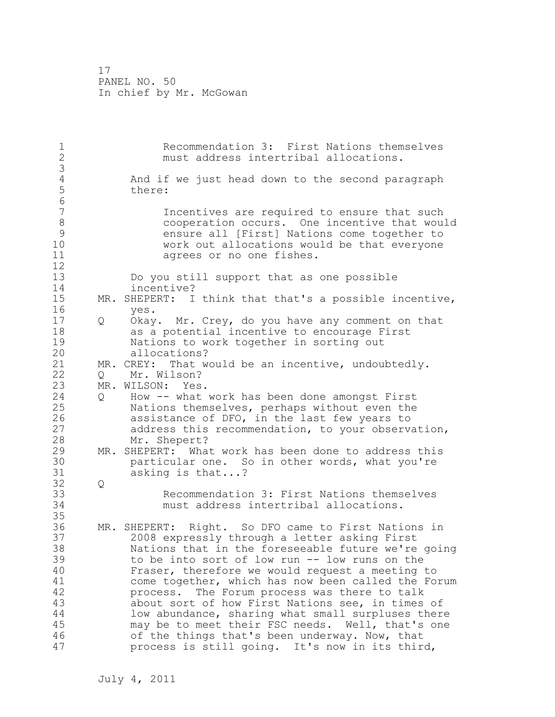1 Recommendation 3: First Nations themselves 2 must address intertribal allocations. 3 4 And if we just head down to the second paragraph<br>5 there: there: 6 Incentives are required to ensure that such 8 cooperation occurs. One incentive that would<br>9 ensure all [First] Nations come together to 9 ensure all [First] Nations come together to<br>10 work out allocations would be that evervone work out allocations would be that everyone 11 agrees or no one fishes. 12 13 Do you still support that as one possible 14 incentive? 15 MR. SHEPERT: I think that that's a possible incentive, 16 yes. 17 Q Okay. Mr. Crey, do you have any comment on that 18 as a potential incentive to encourage First 19 19 Nations to work together in sorting out<br>20 110 allocations? allocations? 21 MR. CREY: That would be an incentive, undoubtedly. 22 Q Mr. Wilson? 23 MR. WILSON: Yes. 24 Q How -- what work has been done amongst First 25 Nations themselves, perhaps without even the 26 assistance of DFO, in the last few years to<br>27 address this recommendation, to your observa address this recommendation, to your observation, 28 Mr. Shepert? 29 MR. SHEPERT: What work has been done to address this 30 particular one. So in other words, what you're<br>31 asking is that...? asking is that...? 32 Q 33 Recommendation 3: First Nations themselves 34 must address intertribal allocations. 35 36 MR. SHEPERT: Right. So DFO came to First Nations in 37 2008 expressly through a letter asking First 38 Nations that in the foreseeable future we're going 39 to be into sort of low run -- low runs on the 40 Fraser, therefore we would request a meeting to 41 come together, which has now been called the Forum<br>42 **come of Forum** process was there to talk process. The Forum process was there to talk 43 about sort of how First Nations see, in times of 44 low abundance, sharing what small surpluses there 45 may be to meet their FSC needs. Well, that's one 46 of the things that's been underway. Now, that 47 process is still going. It's now in its third,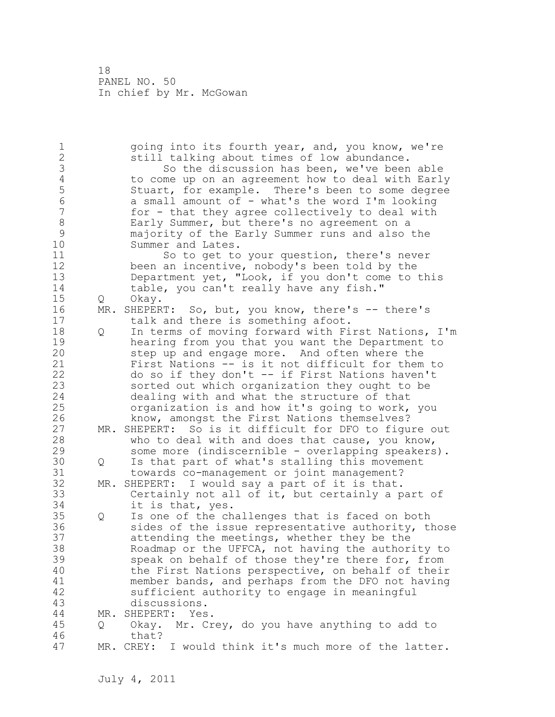1 going into its fourth year, and, you know, we're 2 still talking about times of low abundance. 3 So the discussion has been, we've been able<br>4 to come up on an agreement how to deal with Earl 4 to come up on an agreement how to deal with Early<br>5 Stuart, for example. There's been to some degree 5 Stuart, for example. There's been to some degree<br>6 a small amount of - what's the word I'm looking 6 a small amount of - what's the word I'm looking for - that they agree collectively to deal with 8 Early Summer, but there's no agreement on a<br>9 majority of the Early Summer runs and also 9 majority of the Early Summer runs and also the Summer and Lates. 11 So to get to your question, there's never 12 been an incentive, nobody's been told by the 13 Department yet, "Look, if you don't come to this 14 table, you can't really have any fish." 15 Q Okay. 16 MR. SHEPERT: So, but, you know, there's -- there's 17 talk and there is something afoot. 18 Q In terms of moving forward with First Nations, I'm 19 hearing from you that you want the Department to<br>20 step up and engage more. And often where the step up and engage more. And often where the 21 First Nations -- is it not difficult for them to 22 do so if they don't -- if First Nations haven't 23 sorted out which organization they ought to be 24 dealing with and what the structure of that 25 organization is and how it's going to work, you 26 know, amongst the First Nations themselves?<br>27 MR. SHEPERT: So is it difficult for DFO to fiqu MR. SHEPERT: So is it difficult for DFO to figure out 28 who to deal with and does that cause, you know, 29 some more (indiscernible - overlapping speakers). 30 Q Is that part of what's stalling this movement<br>31 towards co-management or joint management? towards co-management or joint management? 32 MR. SHEPERT: I would say a part of it is that. 33 Certainly not all of it, but certainly a part of 34 it is that, yes. 35 Q Is one of the challenges that is faced on both 36 sides of the issue representative authority, those 37 attending the meetings, whether they be the 38 Roadmap or the UFFCA, not having the authority to 39 speak on behalf of those they're there for, from 40 the First Nations perspective, on behalf of their 41 member bands, and perhaps from the DFO not having<br>42 sufficient authority to engage in meaningful sufficient authority to engage in meaningful 43 discussions. 44 MR. SHEPERT: Yes. 45 Q Okay. Mr. Crey, do you have anything to add to 46 that? 47 MR. CREY: I would think it's much more of the latter.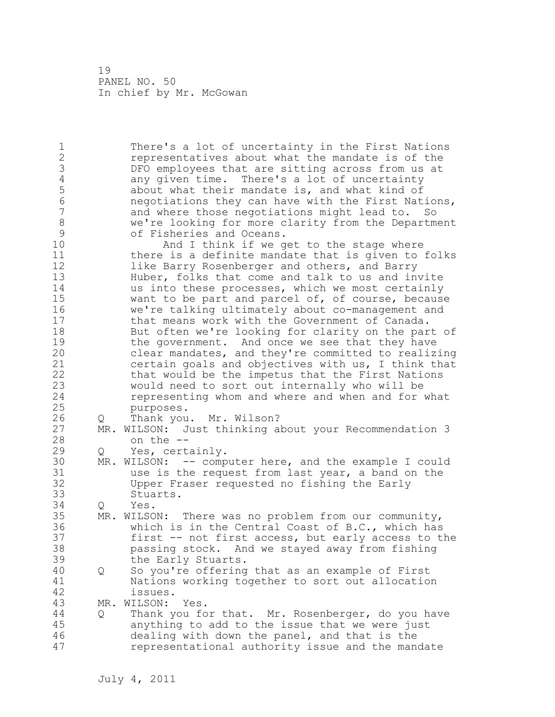1 There's a lot of uncertainty in the First Nations 2 representatives about what the mandate is of the 3 DFO employees that are sitting across from us at<br>4 any given time. There's a lot of uncertainty 4 any given time. There's a lot of uncertainty<br>5 about what their mandate is, and what kind of 5 about what their mandate is, and what kind of 6 19 negotiations they can have with the First Nations,<br>  $\frac{1}{2}$  and where those negotiations might lead to. So and where those negotiations might lead to. So 8 we're looking for more clarity from the Department 9 of Fisheries and Oceans.<br>10 Mnd I think if we g And I think if we get to the stage where 11 there is a definite mandate that is given to folks 12 like Barry Rosenberger and others, and Barry 13 Huber, folks that come and talk to us and invite 14 us into these processes, which we most certainly 15 want to be part and parcel of, of course, because 16 we're talking ultimately about co-management and 17 that means work with the Government of Canada. 18 But often we're looking for clarity on the part of 19 the government. And once we see that they have<br>20 clear mandates, and they're committed to realiz clear mandates, and they're committed to realizing 21 certain goals and objectives with us, I think that 22 that would be the impetus that the First Nations 23 would need to sort out internally who will be 24 representing whom and where and when and for what 25 purposes. 26 Q Thank you. Mr. Wilson?<br>27 MR. WILSON: Just thinking a MR. WILSON: Just thinking about your Recommendation 3 28 on the -- 29 Q Yes, certainly. 30 MR. WILSON: -- computer here, and the example I could 31 use is the request from last year, a band on the<br>32 Upper Fraser requested no fishing the Early Upper Fraser requested no fishing the Early 33 Stuarts. 34 Q Yes. 35 MR. WILSON: There was no problem from our community, 36 which is in the Central Coast of B.C., which has 37 first -- not first access, but early access to the 38 passing stock. And we stayed away from fishing 39 the Early Stuarts. 40 Q So you're offering that as an example of First 41 Nations working together to sort out allocation<br>42 issues. issues. 43 MR. WILSON: Yes. 44 Q Thank you for that. Mr. Rosenberger, do you have 45 anything to add to the issue that we were just 46 dealing with down the panel, and that is the 47 representational authority issue and the mandate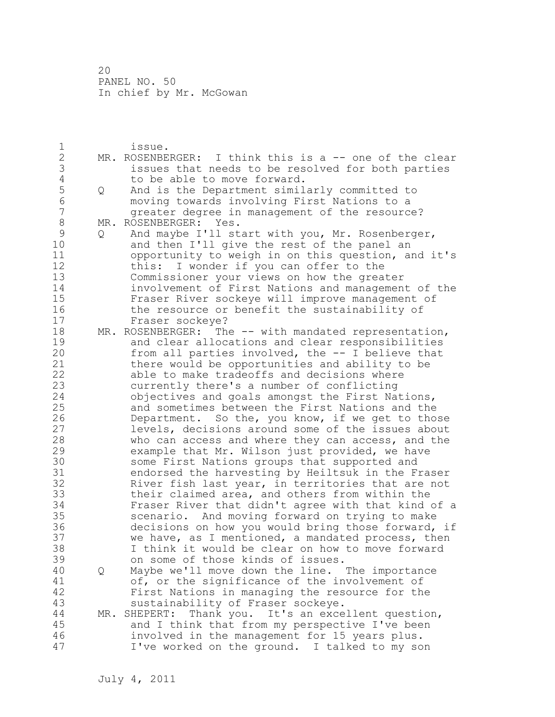1 issue. 2 MR. ROSENBERGER: I think this is a -- one of the clear 3 issues that needs to be resolved for both parties 4 to be able to move forward.<br>5 Q And is the Department simil 5 Q And is the Department similarly committed to<br>6 moving towards involving First Nations to a 6 moving towards involving First Nations to a greater degree in management of the resource? 8 MR. ROSENBERGER: Yes.<br>9 Q And maybe I'll st 9 Q And maybe I'll start with you, Mr. Rosenberger,<br>10 and then I'll give the rest of the panel an and then I'll give the rest of the panel an 11 opportunity to weigh in on this question, and it's 12 this: I wonder if you can offer to the 13 Commissioner your views on how the greater 14 involvement of First Nations and management of the 15 Fraser River sockeye will improve management of 16 the resource or benefit the sustainability of 17 Fraser sockeye? 18 MR. ROSENBERGER: The -- with mandated representation, 19 and clear allocations and clear responsibilities<br>20 from all parties involved, the -- I believe that from all parties involved, the  $--$  I believe that 21 there would be opportunities and ability to be 22 able to make tradeoffs and decisions where 23 currently there's a number of conflicting 24 objectives and goals amongst the First Nations, 25 and sometimes between the First Nations and the 26 Department. So the, you know, if we get to those<br>27 levels, decisions around some of the issues about levels, decisions around some of the issues about 28 who can access and where they can access, and the 29 example that Mr. Wilson just provided, we have 30 some First Nations groups that supported and<br>31 endorsed the harvesting by Heiltsuk in the F. 31 endorsed the harvesting by Heiltsuk in the Fraser<br>32 River fish last year, in territories that are not River fish last year, in territories that are not 33 their claimed area, and others from within the 34 Fraser River that didn't agree with that kind of a 35 scenario. And moving forward on trying to make 36 decisions on how you would bring those forward, if 37 we have, as I mentioned, a mandated process, then 38 I think it would be clear on how to move forward 39 on some of those kinds of issues. 40 Q Maybe we'll move down the line. The importance 41 of, or the significance of the involvement of<br>42 First Nations in managing the resource for th First Nations in managing the resource for the 43 sustainability of Fraser sockeye. 44 MR. SHEPERT: Thank you. It's an excellent question, 45 and I think that from my perspective I've been 46 involved in the management for 15 years plus. 47 I've worked on the ground. I talked to my son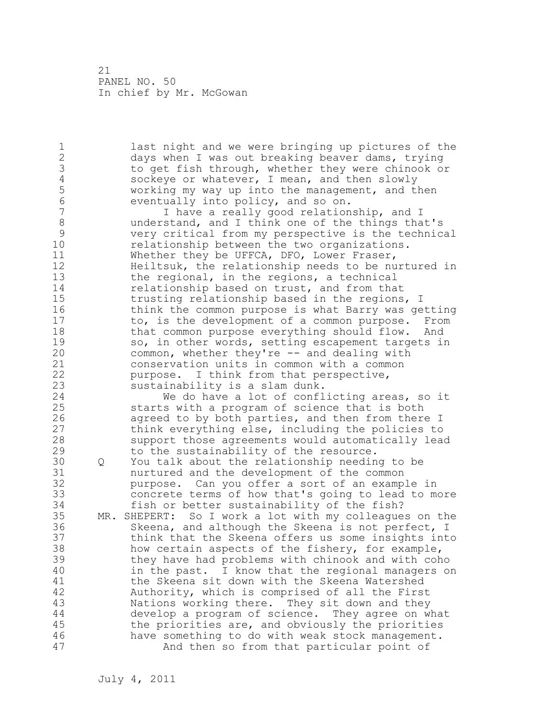1 last night and we were bringing up pictures of the 2 days when I was out breaking beaver dams, trying 3 to get fish through, whether they were chinook or<br>4 sockeye or whatever, I mean, and then slowly 4 sockeye or whatever, I mean, and then slowly<br>5 working my way up into the management, and t 5 working my way up into the management, and then 6 eventually into policy, and so on. I have a really good relationship, and I 8 understand, and I think one of the things that's<br>9 very critical from my perspective is the technic 9 very critical from my perspective is the technical relationship between the two organizations. 11 Whether they be UFFCA, DFO, Lower Fraser, 12 Heiltsuk, the relationship needs to be nurtured in 13 the regional, in the regions, a technical 14 relationship based on trust, and from that 15 trusting relationship based in the regions, I 16 think the common purpose is what Barry was getting 17 to, is the development of a common purpose. From 18 that common purpose everything should flow. And 19 so, in other words, setting escapement targets in<br>20 common, whether they're -- and dealing with common, whether they're -- and dealing with 21 conservation units in common with a common 22 purpose. I think from that perspective, 23 sustainability is a slam dunk. 24 We do have a lot of conflicting areas, so it 25 starts with a program of science that is both 26 agreed to by both parties, and then from there I<br>27 think everything else, including the policies to think everything else, including the policies to 28 support those agreements would automatically lead 29 to the sustainability of the resource. 30 Q You talk about the relationship needing to be nurtured and the development of the common 32 purpose. Can you offer a sort of an example in 33 concrete terms of how that's going to lead to more 34 fish or better sustainability of the fish? 35 MR. SHEPERT: So I work a lot with my colleagues on the 36 Skeena, and although the Skeena is not perfect, I 37 think that the Skeena offers us some insights into 38 how certain aspects of the fishery, for example, 39 they have had problems with chinook and with coho 40 in the past. I know that the regional managers on 41 the Skeena sit down with the Skeena Watershed<br>42 Authority, which is comprised of all the Firs Authority, which is comprised of all the First 43 Nations working there. They sit down and they 44 develop a program of science. They agree on what 45 the priorities are, and obviously the priorities 46 have something to do with weak stock management. 47 And then so from that particular point of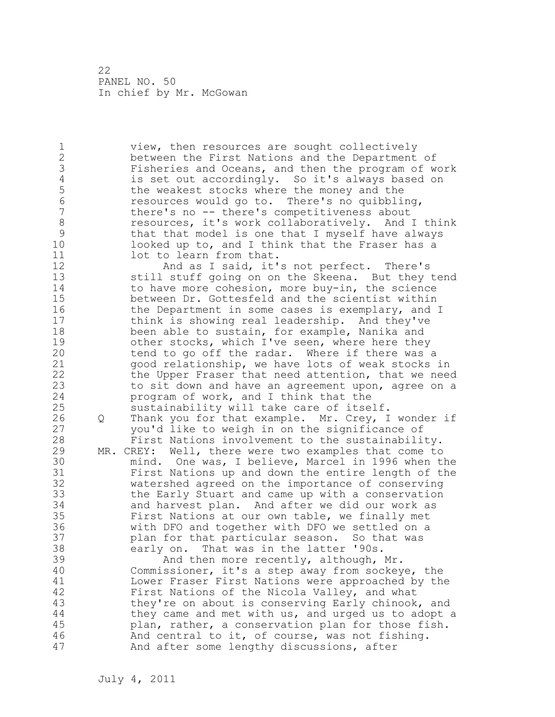1 view, then resources are sought collectively 2 between the First Nations and the Department of 3 Fisheries and Oceans, and then the program of work 4 is set out accordingly. So it's always based on<br>5 the weakest stocks where the money and the 5 the weakest stocks where the money and the<br>6 second the stole of to. There's no quibbli 6 resources would go to. There's no quibbling, there's no -- there's competitiveness about 8 resources, it's work collaboratively. And I think<br>9 that that model is one that I myself have always 9 that that model is one that I myself have always<br>10 10 looked up to, and I think that the Fraser has a 10 looked up to, and I think that the Fraser has a 11 lot to learn from that. 12 And as I said, it's not perfect. There's 13 still stuff going on on the Skeena. But they tend 14 to have more cohesion, more buy-in, the science 15 between Dr. Gottesfeld and the scientist within 16 the Department in some cases is exemplary, and I 17 think is showing real leadership. And they've 18 been able to sustain, for example, Nanika and 19 other stocks, which I've seen, where here they<br>20 tend to go off the radar. Where if there was tend to go off the radar. Where if there was a 21 good relationship, we have lots of weak stocks in 22 the Upper Fraser that need attention, that we need 23 to sit down and have an agreement upon, agree on a 24 program of work, and I think that the 25 sustainability will take care of itself. 26 Q Thank you for that example. Mr. Crey, I wonder if<br>27 vou'd like to weigh in on the significance of you'd like to weigh in on the significance of 28 First Nations involvement to the sustainability. 29 MR. CREY: Well, there were two examples that come to 30 mind. One was, I believe, Marcel in 1996 when the First Nations up and down the entire length of the 32 watershed agreed on the importance of conserving 33 the Early Stuart and came up with a conservation 34 and harvest plan. And after we did our work as 35 First Nations at our own table, we finally met 36 with DFO and together with DFO we settled on a 37 plan for that particular season. So that was 38 early on. That was in the latter '90s. 39 And then more recently, although, Mr. 40 Commissioner, it's a step away from sockeye, the 41 Lower Fraser First Nations were approached by the<br>42 First Nations of the Nicola Valley, and what First Nations of the Nicola Valley, and what 43 they're on about is conserving Early chinook, and 44 they came and met with us, and urged us to adopt a 45 plan, rather, a conservation plan for those fish.

46 And central to it, of course, was not fishing.

47 And after some lengthy discussions, after

July 4, 2011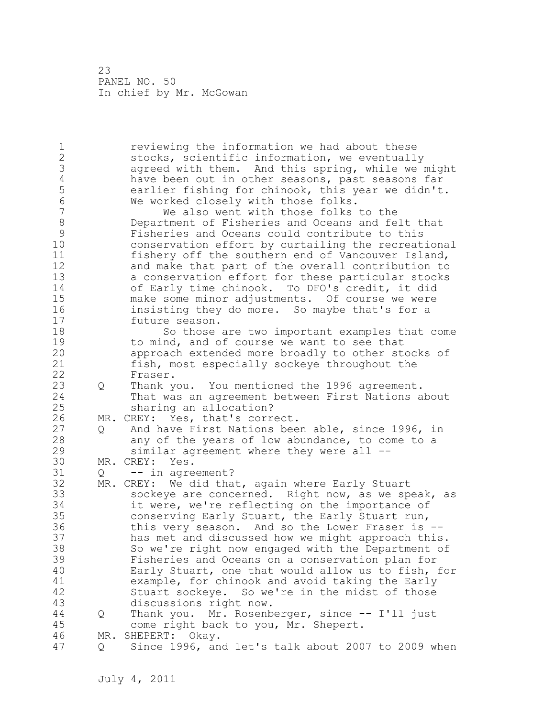1 reviewing the information we had about these 2 stocks, scientific information, we eventually 3 agreed with them. And this spring, while we might<br>4 have been out in other seasons, past seasons far 4 have been out in other seasons, past seasons far<br>5 earlier fishing for chinook, this year we didn't 5 earlier fishing for chinook, this year we didn't.<br>6 We worked closelv with those folks. 6 We worked closely with those folks.<br>7 We also went with those folks We also went with those folks to the 8 Department of Fisheries and Oceans and felt that 9 Fisheries and Oceans could contribute to this conservation effort by curtailing the recreational 11 fishery off the southern end of Vancouver Island, 12 and make that part of the overall contribution to 13 a conservation effort for these particular stocks 14 of Early time chinook. To DFO's credit, it did 15 make some minor adjustments. Of course we were 16 insisting they do more. So maybe that's for a 17 future season. 18 So those are two important examples that come 19 to mind, and of course we want to see that<br>20 approach extended more broadly to other ste approach extended more broadly to other stocks of 21 fish, most especially sockeye throughout the 22 Fraser. 23 Q Thank you. You mentioned the 1996 agreement. 24 That was an agreement between First Nations about 25 sharing an allocation? 26 MR. CREY: Yes, that's correct.<br>27 0 And have First Nations bee 0 And have First Nations been able, since 1996, in 28 any of the years of low abundance, to come to a 29 similar agreement where they were all -- 30 MR. CREY: Yes.<br>31 0 -- in agre  $Q \leftarrow -i \text{in agreement}$ ? 32 MR. CREY: We did that, again where Early Stuart 33 sockeye are concerned. Right now, as we speak, as 34 it were, we're reflecting on the importance of 35 conserving Early Stuart, the Early Stuart run, 36 this very season. And so the Lower Fraser is -- 37 has met and discussed how we might approach this. 38 So we're right now engaged with the Department of 39 Fisheries and Oceans on a conservation plan for 40 Early Stuart, one that would allow us to fish, for 41 example, for chinook and avoid taking the Early<br>42 Stuart sockeye. So we're in the midst of those Stuart sockeye. So we're in the midst of those 43 discussions right now. 44 Q Thank you. Mr. Rosenberger, since -- I'll just 45 come right back to you, Mr. Shepert. 46 MR. SHEPERT: Okay. 47 Q Since 1996, and let's talk about 2007 to 2009 when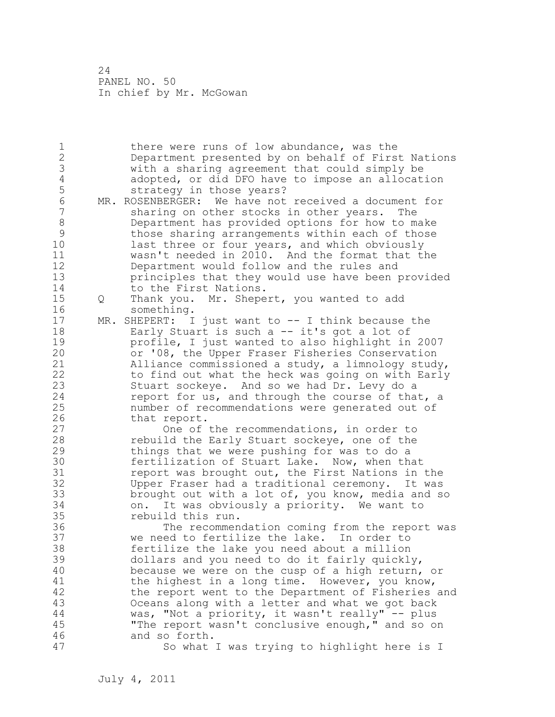1 there were runs of low abundance, was the 2 Department presented by on behalf of First Nations 3 with a sharing agreement that could simply be 4 adopted, or did DFO have to impose an allocation<br>5 strategy in those years? 5 strategy in those years?<br>6 MR. ROSENBERGER: We have not 6 MR. ROSENBERGER: We have not received a document for<br>7 Sharing on other stocks in other vears. The sharing on other stocks in other years. The 8 Department has provided options for how to make 9 those sharing arrangements within each of those<br>10 1ast three or four years, and which obviously last three or four years, and which obviously 11 wasn't needed in 2010. And the format that the 12 Department would follow and the rules and 13 principles that they would use have been provided 14 to the First Nations. 15 Q Thank you. Mr. Shepert, you wanted to add 16 something. 17 MR. SHEPERT: I just want to -- I think because the 18 Early Stuart is such a -- it's got a lot of 19 profile, I just wanted to also highlight in 2007<br>20 or '08, the Upper Fraser Fisheries Conservation or '08, the Upper Fraser Fisheries Conservation 21 Alliance commissioned a study, a limnology study, 22 to find out what the heck was going on with Early 23 Stuart sockeye. And so we had Dr. Levy do a 24 report for us, and through the course of that, a 25 number of recommendations were generated out of 26 that report.<br>27 One of One of the recommendations, in order to 28 rebuild the Early Stuart sockeye, one of the 29 things that we were pushing for was to do a 30 fertilization of Stuart Lake. Now, when that<br>31 feport was brought out, the First Nations in report was brought out, the First Nations in the 32 Upper Fraser had a traditional ceremony. It was 33 brought out with a lot of, you know, media and so 34 on. It was obviously a priority. We want to 35 rebuild this run. 36 The recommendation coming from the report was 37 we need to fertilize the lake. In order to 38 fertilize the lake you need about a million 39 dollars and you need to do it fairly quickly, 40 because we were on the cusp of a high return, or 41 the highest in a long time. However, you know,<br>42 the report went to the Department of Fisheries the report went to the Department of Fisheries and 43 Oceans along with a letter and what we got back 44 was, "Not a priority, it wasn't really" -- plus 45 "The report wasn't conclusive enough," and so on 46 and so forth. 47 So what I was trying to highlight here is I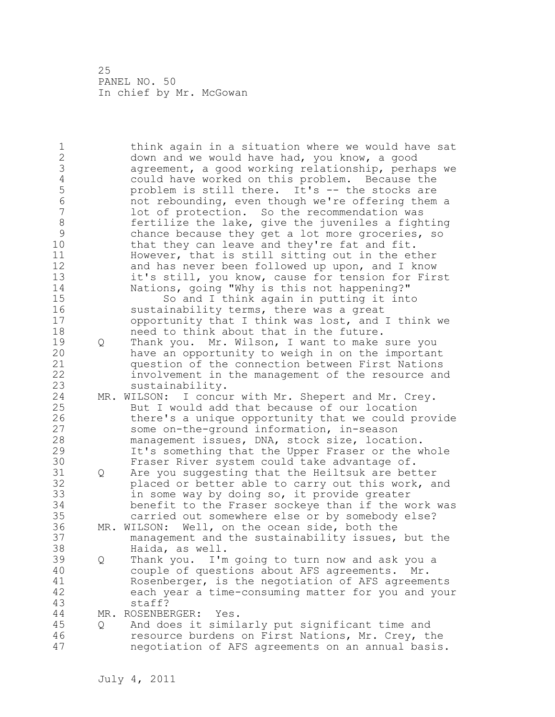1 think again in a situation where we would have sat 2 down and we would have had, you know, a good 3 agreement, a good working relationship, perhaps we 4 could have worked on this problem. Because the<br>5 problem is still there. It's -- the stocks are 5 b problem is still there. It's -- the stocks are<br>6 hot rebounding, even though we're offering them 6 not rebounding, even though we're offering them a lot of protection. So the recommendation was 8 fertilize the lake, give the juveniles a fighting<br>9 chance because they get a lot more groceries, so 9 chance because they get a lot more groceries, so<br>10 that they can leave and they're fat and fit. that they can leave and they're fat and fit. 11 However, that is still sitting out in the ether 12 and has never been followed up upon, and I know 13 it's still, you know, cause for tension for First 14 Nations, going "Why is this not happening?" 15 So and I think again in putting it into 16 sustainability terms, there was a great 17 opportunity that I think was lost, and I think we 18 need to think about that in the future. 19 Q Thank you. Mr. Wilson, I want to make sure you<br>20 have an opportunity to weigh in on the important have an opportunity to weigh in on the important 21 question of the connection between First Nations 22 involvement in the management of the resource and 23 sustainability. 24 MR. WILSON: I concur with Mr. Shepert and Mr. Crey. 25 But I would add that because of our location 26 there's a unique opportunity that we could provide<br>27 some on-the-ground information, in-season some on-the-ground information, in-season 28 management issues, DNA, stock size, location. 29 It's something that the Upper Fraser or the whole 30 Fraser River system could take advantage of.<br>31 0 Are you suggesting that the Heiltsuk are bet Q Are you suggesting that the Heiltsuk are better 32 placed or better able to carry out this work, and 33 in some way by doing so, it provide greater 34 benefit to the Fraser sockeye than if the work was 35 carried out somewhere else or by somebody else? 36 MR. WILSON: Well, on the ocean side, both the 37 management and the sustainability issues, but the 38 Haida, as well. 39 Q Thank you. I'm going to turn now and ask you a 40 couple of questions about AFS agreements. Mr. 41 Rosenberger, is the negotiation of AFS agreements<br>42 each year a time-consuming matter for you and you: each year a time-consuming matter for you and your 43 staff? 44 MR. ROSENBERGER: Yes. 45 Q And does it similarly put significant time and 46 resource burdens on First Nations, Mr. Crey, the 47 negotiation of AFS agreements on an annual basis.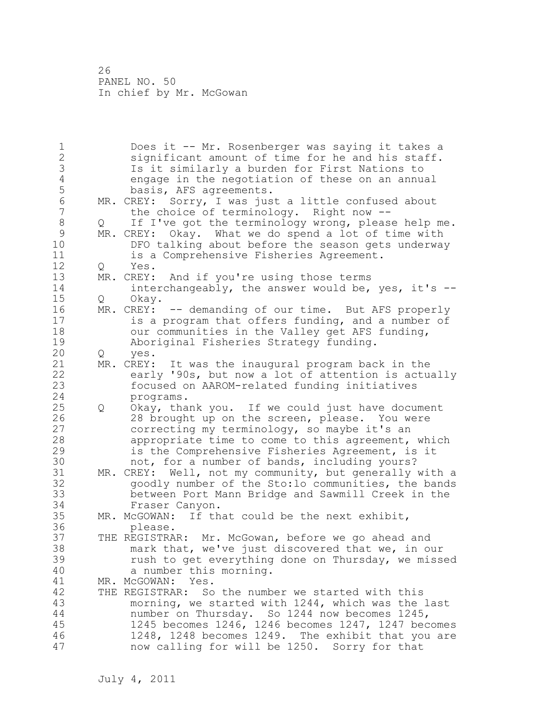1 Does it -- Mr. Rosenberger was saying it takes a 2 significant amount of time for he and his staff. 3 Is it similarly a burden for First Nations to 4 engage in the negotiation of these on an annual<br>5 basis, AFS agreements. 5 basis, AFS agreements.<br>6 MR. CREY: Sorry, I was jus 6 MR. CREY: Sorry, I was just a little confused about<br>7 the choice of terminology. Right now -the choice of terminology. Right now  $-$ -8 Q If I've got the terminology wrong, please help me. 9 MR. CREY: Okay. What we do spend a lot of time with<br>10 DFO talking about before the season gets underway DFO talking about before the season gets underway 11 is a Comprehensive Fisheries Agreement. 12 Q Yes. 13 MR. CREY: And if you're using those terms 14 interchangeably, the answer would be, yes, it's -- 15 Q Okay. 16 MR. CREY: -- demanding of our time. But AFS properly 17 is a program that offers funding, and a number of 18 our communities in the Valley get AFS funding, 19 Aboriginal Fisheries Strategy funding.<br>20 0 yes. 20 Q yes. 21 MR. CREY: It was the inaugural program back in the 22 early '90s, but now a lot of attention is actually 23 focused on AAROM-related funding initiatives 24 programs. 25 Q Okay, thank you. If we could just have document 26 28 brought up on the screen, please. You were<br>27 correcting my terminology, so maybe it's an correcting my terminology, so maybe it's an 28 appropriate time to come to this agreement, which 29 is the Comprehensive Fisheries Agreement, is it 30 not, for a number of bands, including yours?<br>31 MR. CREY: Well, not my community, but generally MR. CREY: Well, not my community, but generally with a 32 goodly number of the Sto:lo communities, the bands 33 between Port Mann Bridge and Sawmill Creek in the 34 Fraser Canyon. 35 MR. McGOWAN: If that could be the next exhibit, 36 please. 37 THE REGISTRAR: Mr. McGowan, before we go ahead and 38 mark that, we've just discovered that we, in our 39 rush to get everything done on Thursday, we missed 40 a number this morning. 41 MR. McGOWAN: Yes.<br>42 THE REGISTRAR: So THE REGISTRAR: So the number we started with this 43 morning, we started with 1244, which was the last 44 number on Thursday. So 1244 now becomes 1245, 45 1245 becomes 1246, 1246 becomes 1247, 1247 becomes 46 1248, 1248 becomes 1249. The exhibit that you are 47 now calling for will be 1250. Sorry for that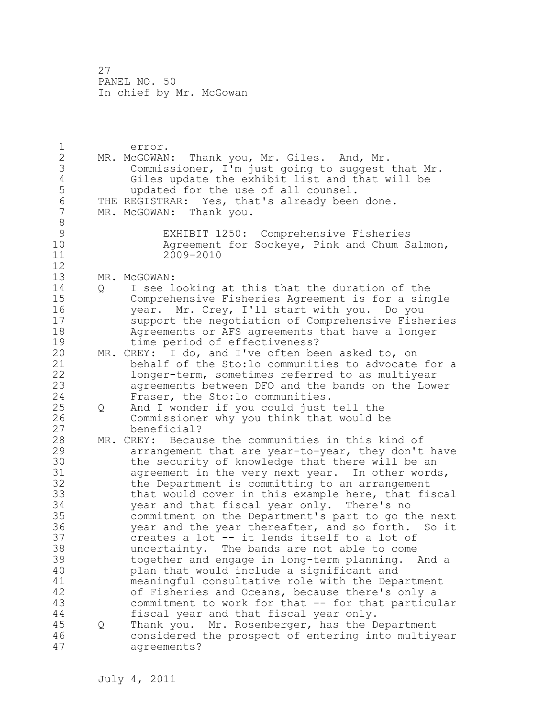1 error. 2 MR. McGOWAN: Thank you, Mr. Giles. And, Mr. 3 Commissioner, I'm just going to suggest that Mr.<br>4 Giles update the exhibit list and that will be 4 Giles update the exhibit list and that will be<br>5 wpdated for the use of all counsel. 5 updated for the use of all counsel.<br>6 THE REGISTRAR: Yes, that's already been 6 THE REGISTRAR: Yes, that's already been done.<br>7 MR. McGOWAN: Thank you. MR. McGOWAN: Thank you. 8 9 EXHIBIT 1250: Comprehensive Fisheries Agreement for Sockeye, Pink and Chum Salmon, 11 2009-2010 12 13 MR. McGOWAN: 14 Q I see looking at this that the duration of the 15 Comprehensive Fisheries Agreement is for a single 16 year. Mr. Crey, I'll start with you. Do you 17 support the negotiation of Comprehensive Fisheries 18 Agreements or AFS agreements that have a longer 19 time period of effectiveness?<br>20 MR. CREY: I do. and I've often be MR. CREY: I do, and I've often been asked to, on 21 behalf of the Sto:lo communities to advocate for a 22 longer-term, sometimes referred to as multiyear 23 agreements between DFO and the bands on the Lower 24 Fraser, the Sto:lo communities. 25 Q And I wonder if you could just tell the 26 Commissioner why you think that would be<br>27 beneficial? beneficial? 28 MR. CREY: Because the communities in this kind of 29 arrangement that are year-to-year, they don't have 30 the security of knowledge that there will be an<br>31 agreement in the very next year. In other word: agreement in the very next year. In other words, 32 the Department is committing to an arrangement 33 that would cover in this example here, that fiscal 34 year and that fiscal year only. There's no 35 commitment on the Department's part to go the next 36 year and the year thereafter, and so forth. So it 37 creates a lot -- it lends itself to a lot of 38 uncertainty. The bands are not able to come 39 together and engage in long-term planning. And a 40 plan that would include a significant and 41 meaningful consultative role with the Department<br>42 of Fisheries and Oceans, because there's only a of Fisheries and Oceans, because there's only a 43 commitment to work for that -- for that particular 44 fiscal year and that fiscal year only. 45 Q Thank you. Mr. Rosenberger, has the Department 46 considered the prospect of entering into multiyear 47 agreements?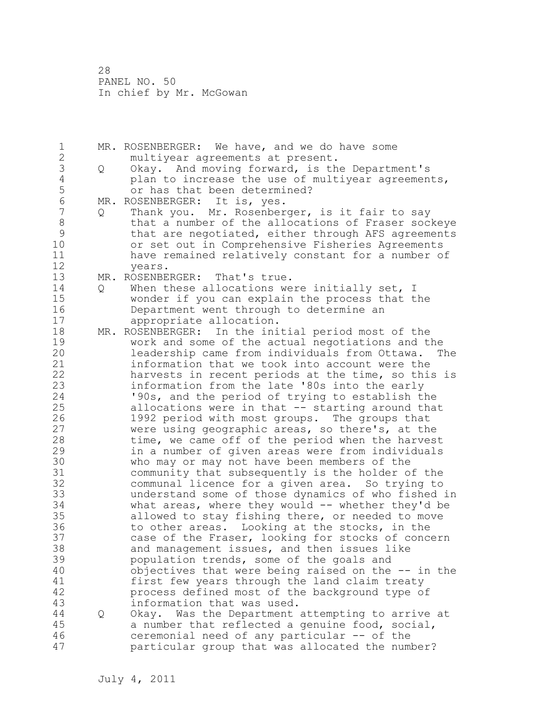1 MR. ROSENBERGER: We have, and we do have some 2 multiyear agreements at present. 3 Q Okay. And moving forward, is the Department's 4 plan to increase the use of multiyear agreements,<br>5 or has that been determined? 5 or has that been determined?<br>6 MR. ROSENBERGER: It is, ves. 6 MR. ROSENBERGER: It is, yes.<br>7 0 Thank vou. Mr. Rosenber Thank you. Mr. Rosenberger, is it fair to say 8 black that a number of the allocations of Fraser sockeye 9 that are negotiated, either through AFS agreements or set out in Comprehensive Fisheries Agreements 11 have remained relatively constant for a number of 12 years. 13 MR. ROSENBERGER: That's true. 14 Q When these allocations were initially set, I 15 wonder if you can explain the process that the 16 Department went through to determine an 17 appropriate allocation. 18 MR. ROSENBERGER: In the initial period most of the 19 work and some of the actual negotiations and the<br>20 1eadership came from individuals from Ottawa. T leadership came from individuals from Ottawa. The 21 information that we took into account were the 22 harvests in recent periods at the time, so this is 23 information from the late '80s into the early 24 '90s, and the period of trying to establish the 25 allocations were in that -- starting around that 26 1992 period with most groups. The groups that<br>27 were using geographic areas, so there's, at the were using geographic areas, so there's, at the 28 time, we came off of the period when the harvest 29 in a number of given areas were from individuals 30 who may or may not have been members of the 31 community that subsequently is the holder of the communal licence for a given area. So trying to 33 understand some of those dynamics of who fished in 34 what areas, where they would -- whether they'd be 35 allowed to stay fishing there, or needed to move 36 to other areas. Looking at the stocks, in the 37 case of the Fraser, looking for stocks of concern 38 and management issues, and then issues like 39 population trends, some of the goals and 40 objectives that were being raised on the -- in the 41 first few years through the land claim treaty<br>42 process defined most of the background type o process defined most of the background type of 43 information that was used. 44 Q Okay. Was the Department attempting to arrive at 45 a number that reflected a genuine food, social, 46 ceremonial need of any particular -- of the 47 particular group that was allocated the number?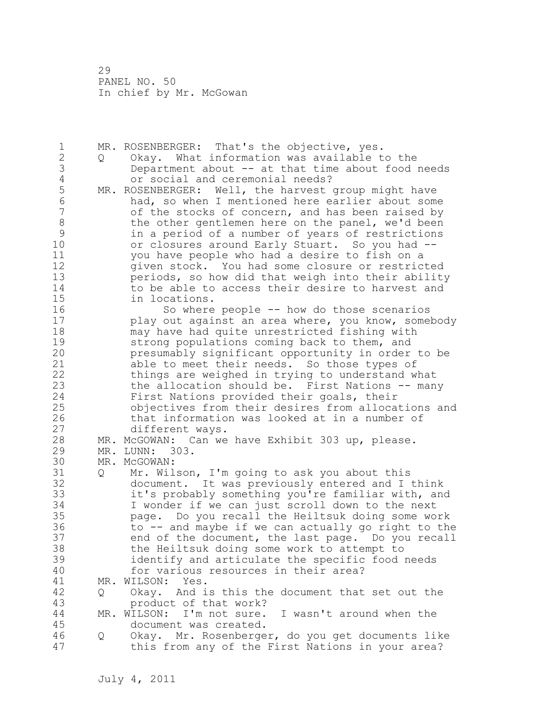1 MR. ROSENBERGER: That's the objective, yes. 2 Q Okay. What information was available to the 3 Department about -- at that time about food needs 4 or social and ceremonial needs?<br>5 MR. ROSENBERGER: Well, the harvest 5 MR. ROSENBERGER: Well, the harvest group might have<br>6 had, so when I mentioned here earlier about some 6 had, so when I mentioned here earlier about some of the stocks of concern, and has been raised by 8 the other gentlemen here on the panel, we'd been 9 in a period of a number of years of restrictions<br>10 or closures around Early Stuart. So you had -or closures around Early Stuart. So you had --11 you have people who had a desire to fish on a 12 given stock. You had some closure or restricted 13 periods, so how did that weigh into their ability 14 to be able to access their desire to harvest and<br>15 in locations. in locations. 16 So where people -- how do those scenarios 17 play out against an area where, you know, somebody 18 may have had quite unrestricted fishing with 19 strong populations coming back to them, and<br>20 presumably significant opportunity in order presumably significant opportunity in order to be 21 able to meet their needs. So those types of 22 things are weighed in trying to understand what 23 the allocation should be. First Nations -- many 24 First Nations provided their goals, their 25 objectives from their desires from allocations and 26 that information was looked at in a number of<br>27 different ways. different ways. 28 MR. McGOWAN: Can we have Exhibit 303 up, please. 29 MR. LUNN: 303. 30 MR. McGOWAN:<br>31 0 Mr. Wil Q Mr. Wilson, I'm going to ask you about this 32 document. It was previously entered and I think 33 it's probably something you're familiar with, and 34 I wonder if we can just scroll down to the next 35 page. Do you recall the Heiltsuk doing some work 36 to -- and maybe if we can actually go right to the 37 end of the document, the last page. Do you recall 38 the Heiltsuk doing some work to attempt to 39 identify and articulate the specific food needs 40 for various resources in their area? 41 MR. WILSON: Yes.<br>42 0 Okav. And i 42 Q Okay. And is this the document that set out the 43 product of that work? 44 MR. WILSON: I'm not sure. I wasn't around when the 45 document was created. 46 Q Okay. Mr. Rosenberger, do you get documents like 47 this from any of the First Nations in your area?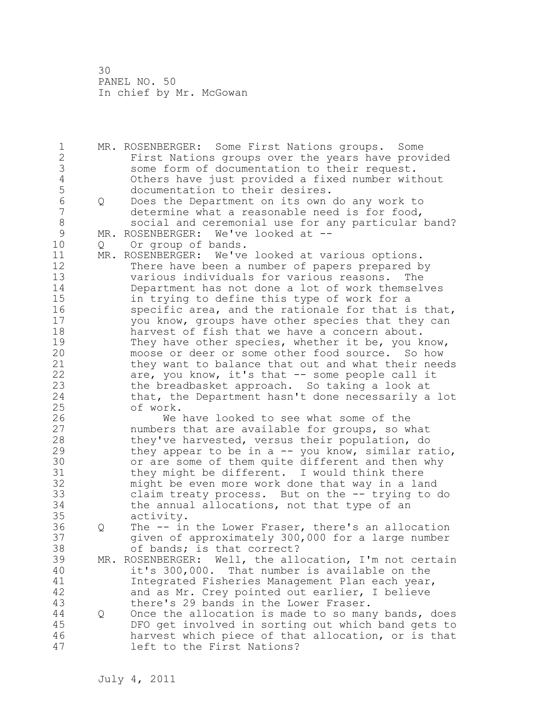1 MR. ROSENBERGER: Some First Nations groups. Some 2 First Nations groups over the years have provided 3 some form of documentation to their request.<br>4 0thers have just provided a fixed number wit 4 Others have just provided a fixed number without 5 documentation to their desires.<br>6 0 Does the Department on its own 6 Q Does the Department on its own do any work to<br>7 determine what a reasonable need is for food, determine what a reasonable need is for food, 8 social and ceremonial use for any particular band?<br>9 MR. ROSENBERGER: We've looked at --9 MR. ROSENBERGER: We've looked at --<br>10 0 Or group of bands. 10 Q Or group of bands. 11 MR. ROSENBERGER: We've looked at various options. 12 There have been a number of papers prepared by 13 various individuals for various reasons. The 14 Department has not done a lot of work themselves 15 in trying to define this type of work for a 16 specific area, and the rationale for that is that, 17 you know, groups have other species that they can 18 harvest of fish that we have a concern about. 19 They have other species, whether it be, you know,<br>20 moose or deer or some other food source. So how moose or deer or some other food source. So how 21 they want to balance that out and what their needs 22 are, you know, it's that -- some people call it 23 the breadbasket approach. So taking a look at 24 that, the Department hasn't done necessarily a lot 25 of work. 26 We have looked to see what some of the<br>27 mumbers that are available for groups, so w numbers that are available for groups, so what 28 they've harvested, versus their population, do 29 they appear to be in a -- you know, similar ratio, 30 or are some of them quite different and then why<br>31 they might be different. I would think there they might be different. I would think there 32 might be even more work done that way in a land 33 claim treaty process. But on the -- trying to do 34 the annual allocations, not that type of an 35 activity. 36 Q The -- in the Lower Fraser, there's an allocation 37 given of approximately 300,000 for a large number 38 of bands; is that correct? 39 MR. ROSENBERGER: Well, the allocation, I'm not certain 40 it's 300,000. That number is available on the 41 Integrated Fisheries Management Plan each year,<br>42 and as Mr. Crev pointed out earlier, I believe and as Mr. Crey pointed out earlier, I believe 43 there's 29 bands in the Lower Fraser. 44 Q Once the allocation is made to so many bands, does 45 DFO get involved in sorting out which band gets to 46 harvest which piece of that allocation, or is that 47 left to the First Nations?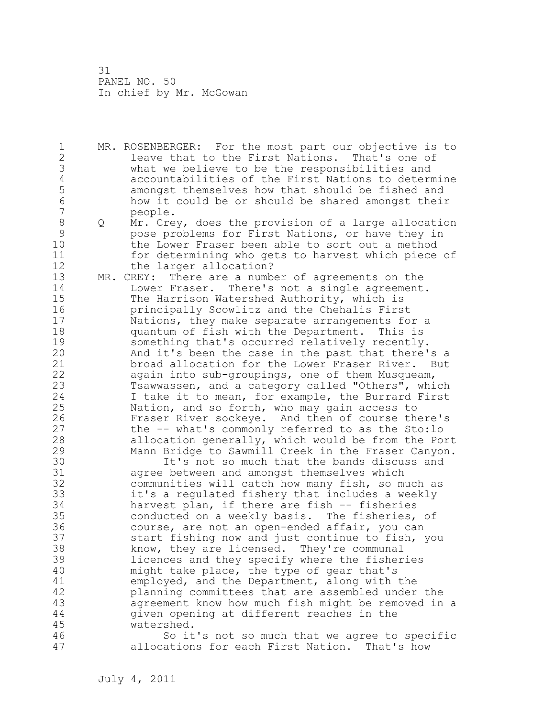1 MR. ROSENBERGER: For the most part our objective is to 2 leave that to the First Nations. That's one of 3 what we believe to be the responsibilities and 4 accountabilities of the First Nations to determine 5 amongst themselves how that should be fished and<br>6 bow it could be or should be shared amongst their 6 how it could be or should be shared amongst their 7 people.

- 8 Q Mr. Crey, does the provision of a large allocation 9 pose problems for First Nations, or have they in the Lower Fraser been able to sort out a method 11 for determining who gets to harvest which piece of 12 the larger allocation?
- 13 MR. CREY: There are a number of agreements on the 14 Lower Fraser. There's not a single agreement. 15 The Harrison Watershed Authority, which is 16 principally Scowlitz and the Chehalis First 17 Nations, they make separate arrangements for a 18 quantum of fish with the Department. This is 19 something that's occurred relatively recently.<br>20 And it's been the case in the past that there' And it's been the case in the past that there's a 21 broad allocation for the Lower Fraser River. But 22 again into sub-groupings, one of them Musqueam, 23 Tsawwassen, and a category called "Others", which 24 I take it to mean, for example, the Burrard First 25 Nation, and so forth, who may gain access to 26 Fraser River sockeye. And then of course there's<br>27 the -- what's commonly referred to as the Sto:lo the -- what's commonly referred to as the Sto:lo 28 allocation generally, which would be from the Port 29 Mann Bridge to Sawmill Creek in the Fraser Canyon.

30 It's not so much that the bands discuss and<br>31 agree between and amongst themselves which 31 agree between and amongst themselves which<br>32 communities will catch how many fish, so m communities will catch how many fish, so much as 33 it's a regulated fishery that includes a weekly 34 harvest plan, if there are fish -- fisheries 35 conducted on a weekly basis. The fisheries, of 36 course, are not an open-ended affair, you can 37 start fishing now and just continue to fish, you 38 know, they are licensed. They're communal 39 licences and they specify where the fisheries 40 might take place, the type of gear that's 41 employed, and the Department, along with the<br>42 planning committees that are assembled under planning committees that are assembled under the 43 agreement know how much fish might be removed in a 44 given opening at different reaches in the 45 watershed.

46 So it's not so much that we agree to specific 47 allocations for each First Nation. That's how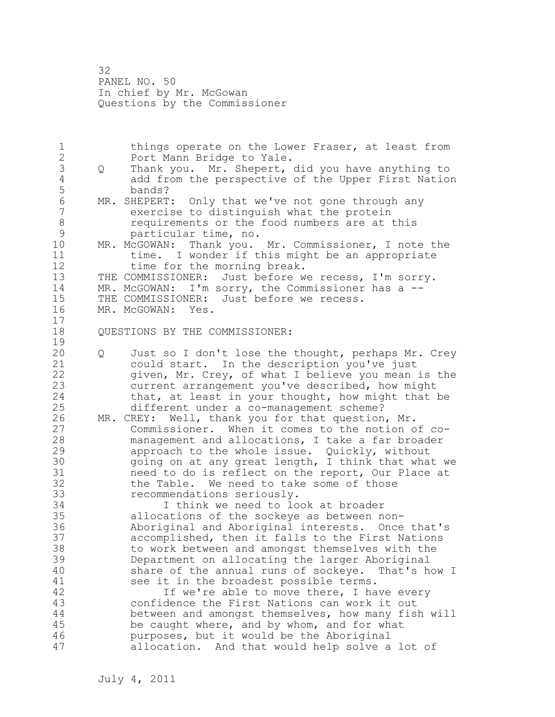32 PANEL NO. 50 In chief by Mr. McGowan Questions by the Commissioner

1 things operate on the Lower Fraser, at least from 2 Port Mann Bridge to Yale. 3 Q Thank you. Mr. Shepert, did you have anything to 4 add from the perspective of the Upper First Nation 5 bands?<br>6 MR. SHEPERT 6 MR. SHEPERT: Only that we've not gone through any<br>7 exercise to distinguish what the protein exercise to distinguish what the protein 8 requirements or the food numbers are at this<br>9 particular time, no. 9 particular time, no.<br>10 MR. McGOWAN: Thank vou. MR. McGOWAN: Thank you. Mr. Commissioner, I note the 11 time. I wonder if this might be an appropriate 12 time for the morning break. 13 THE COMMISSIONER: Just before we recess, I'm sorry. 14 MR. McGOWAN: I'm sorry, the Commissioner has a -- 15 THE COMMISSIONER: Just before we recess.<br>16 MR. McGOWAN: Yes. MR. McGOWAN: Yes. 17 18 QUESTIONS BY THE COMMISSIONER:  $\begin{array}{c} 19 \\ 20 \end{array}$ 20 Q Just so I don't lose the thought, perhaps Mr. Crey 21 could start. In the description you've just 22 given, Mr. Crey, of what I believe you mean is the 23 current arrangement you've described, how might 24 that, at least in your thought, how might that be 25 different under a co-management scheme? 26 MR. CREY: Well, thank you for that question, Mr.<br>27 Commissioner. When it comes to the notion o Commissioner. When it comes to the notion of co-28 management and allocations, I take a far broader 29 approach to the whole issue. Quickly, without 30 30 going on at any great length, I think that what we<br>31 aneed to do is reflect on the report, Our Place at 31 and to do is reflect on the report, Our Place at 32 the Table. We need to take some of those 33 recommendations seriously. 34 I think we need to look at broader 35 allocations of the sockeye as between non-36 Aboriginal and Aboriginal interests. Once that's 37 accomplished, then it falls to the First Nations 38 to work between and amongst themselves with the 39 Department on allocating the larger Aboriginal 40 share of the annual runs of sockeye. That's how I 41 see it in the broadest possible terms.<br>42 1f we're able to move there, I ha If we're able to move there, I have every 43 confidence the First Nations can work it out 44 between and amongst themselves, how many fish will 45 be caught where, and by whom, and for what 46 purposes, but it would be the Aboriginal 47 allocation. And that would help solve a lot of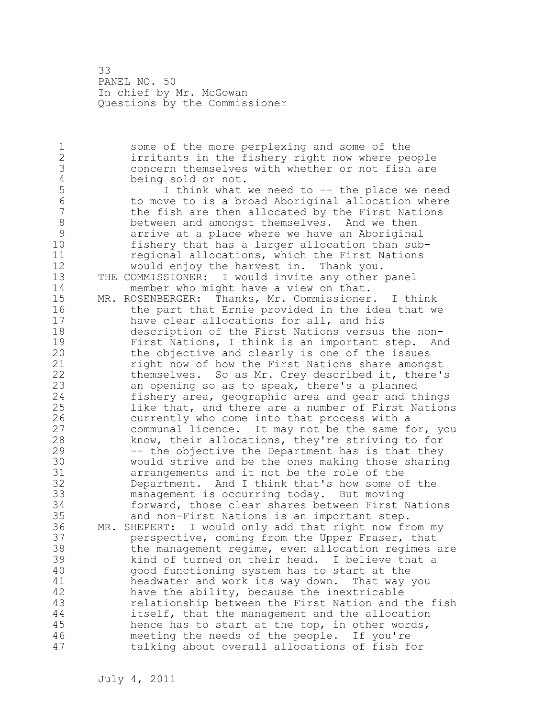33 PANEL NO. 50 In chief by Mr. McGowan Questions by the Commissioner

1 some of the more perplexing and some of the 2 irritants in the fishery right now where people 3 concern themselves with whether or not fish are<br>4 being sold or not. 4 being sold or not.<br>5 1 think what 5 1 think what we need to -- the place we need<br>6 1 to move to is a broad Aboriginal allocation where 6 to move to is a broad Aboriginal allocation where the fish are then allocated by the First Nations 8 between and amongst themselves. And we then<br>9 arrive at a place where we have an Aborigina 9 arrive at a place where we have an Aboriginal<br>10 fisherv that has a larger allocation than sub fishery that has a larger allocation than sub-11 regional allocations, which the First Nations 12 would enjoy the harvest in. Thank you. 13 THE COMMISSIONER: I would invite any other panel 14 member who might have a view on that. 15 MR. ROSENBERGER: Thanks, Mr. Commissioner. I think 16 the part that Ernie provided in the idea that we 17 have clear allocations for all, and his 18 description of the First Nations versus the non-19 First Nations, I think is an important step. And<br>20 the objective and clearly is one of the issues the objective and clearly is one of the issues 21 right now of how the First Nations share amongst 22 themselves. So as Mr. Crey described it, there's 23 an opening so as to speak, there's a planned 24 fishery area, geographic area and gear and things 25 like that, and there are a number of First Nations 26 currently who come into that process with a<br>27 communal licence. It may not be the same f communal licence. It may not be the same for, you 28 know, their allocations, they're striving to for 29 -- the objective the Department has is that they 30 would strive and be the ones making those sharing 31 arrangements and it not be the role of the<br>32 Department. And I think that's how some o Department. And I think that's how some of the 33 management is occurring today. But moving 34 forward, those clear shares between First Nations 35 and non-First Nations is an important step. 36 MR. SHEPERT: I would only add that right now from my 37 perspective, coming from the Upper Fraser, that 38 the management regime, even allocation regimes are 39 kind of turned on their head. I believe that a 40 good functioning system has to start at the 41 headwater and work its way down. That way you<br>42 have the ability, because the inextricable have the ability, because the inextricable 43 relationship between the First Nation and the fish 44 itself, that the management and the allocation 45 hence has to start at the top, in other words, 46 meeting the needs of the people. If you're 47 talking about overall allocations of fish for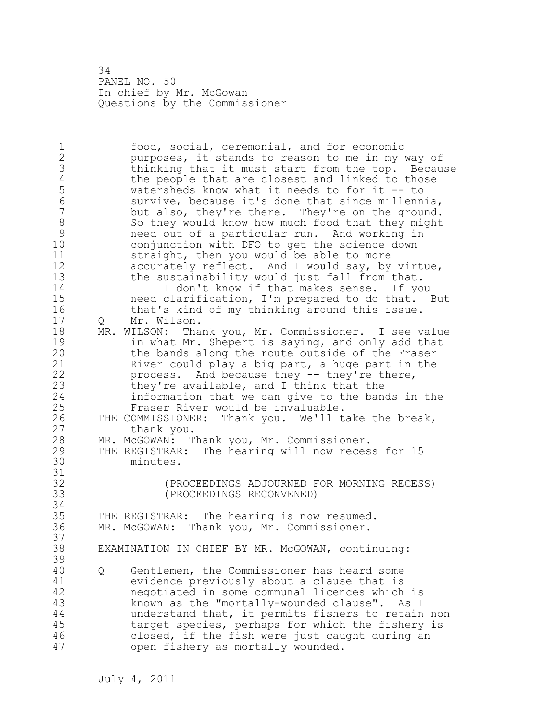34 PANEL NO. 50 In chief by Mr. McGowan Questions by the Commissioner

1 food, social, ceremonial, and for economic 2 purposes, it stands to reason to me in my way of 3 thinking that it must start from the top. Because<br>4 the people that are closest and linked to those 4 the people that are closest and linked to those<br>5 watersheds know what it needs to for it -- to 5 watersheds know what it needs to for it -- to<br>6 Survive, because it's done that since millenn 6 survive, because it's done that since millennia, but also, they're there. They're on the ground. 8 So they would know how much food that they might<br>9 Reed out of a particular run. And working in 9 9 need out of a particular run. And working in<br>10 conjunction with DFO to get the science down conjunction with DFO to get the science down 11 straight, then you would be able to more 12 accurately reflect. And I would say, by virtue, 13 the sustainability would just fall from that. 14 I don't know if that makes sense. If you 15 need clarification, I'm prepared to do that. But 16 that's kind of my thinking around this issue. 17 Q Mr. Wilson. 18 MR. WILSON: Thank you, Mr. Commissioner. I see value 19 19 11 in what Mr. Shepert is saying, and only add that<br>20 11 the bands along the route outside of the Fraser the bands along the route outside of the Fraser 21 River could play a big part, a huge part in the 22 process. And because they -- they're there, 23 they're available, and I think that the 24 information that we can give to the bands in the 25 Fraser River would be invaluable. 26 THE COMMISSIONER: Thank you. We'll take the break,<br>27 thank you. thank you. 28 MR. McGOWAN: Thank you, Mr. Commissioner. 29 THE REGISTRAR: The hearing will now recess for 15 30 minutes. 31<br>32 32 (PROCEEDINGS ADJOURNED FOR MORNING RECESS) 33 (PROCEEDINGS RECONVENED) 34 35 THE REGISTRAR: The hearing is now resumed. 36 MR. McGOWAN: Thank you, Mr. Commissioner. 37<br>38 EXAMINATION IN CHIEF BY MR. McGOWAN, continuing: 39 40 Q Gentlemen, the Commissioner has heard some 41 evidence previously about a clause that is<br>42 megotiated in some communal licences which negotiated in some communal licences which is 43 known as the "mortally-wounded clause". As I 44 understand that, it permits fishers to retain non 45 target species, perhaps for which the fishery is 46 closed, if the fish were just caught during an 47 open fishery as mortally wounded.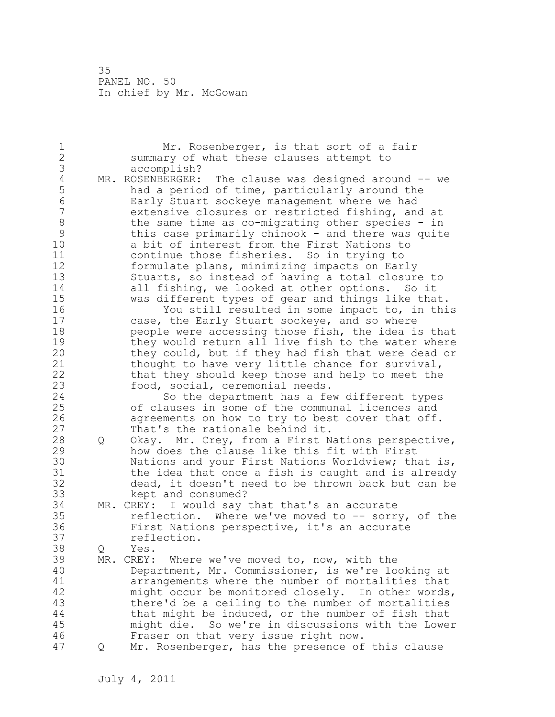| $\mathbf 1$    |   | Mr. Rosenberger, is that sort of a fair               |
|----------------|---|-------------------------------------------------------|
| $\overline{2}$ |   | summary of what these clauses attempt to              |
| 3              |   | accomplish?                                           |
| $\sqrt{4}$     |   | MR. ROSENBERGER: The clause was designed around -- we |
| 5              |   | had a period of time, particularly around the         |
| $\sqrt{6}$     |   | Early Stuart sockeye management where we had          |
| $\overline{7}$ |   | extensive closures or restricted fishing, and at      |
| 8              |   | the same time as co-migrating other species - in      |
| 9              |   | this case primarily chinook - and there was quite     |
| 10             |   | a bit of interest from the First Nations to           |
| 11             |   | continue those fisheries. So in trying to             |
| 12             |   | formulate plans, minimizing impacts on Early          |
| 13             |   | Stuarts, so instead of having a total closure to      |
| 14             |   | all fishing, we looked at other options. So it        |
| 15             |   |                                                       |
|                |   | was different types of gear and things like that.     |
| 16             |   | You still resulted in some impact to, in this         |
| 17             |   | case, the Early Stuart sockeye, and so where          |
| 18             |   | people were accessing those fish, the idea is that    |
| 19             |   | they would return all live fish to the water where    |
| 20             |   | they could, but if they had fish that were dead or    |
| 21             |   | thought to have very little chance for survival,      |
| 22             |   | that they should keep those and help to meet the      |
| 23             |   | food, social, ceremonial needs.                       |
| 24             |   | So the department has a few different types           |
| 25             |   | of clauses in some of the communal licences and       |
| 26             |   | agreements on how to try to best cover that off.      |
| 27             |   | That's the rationale behind it.                       |
| 28             | Q | Okay. Mr. Crey, from a First Nations perspective,     |
| 29             |   | how does the clause like this fit with First          |
| 30             |   | Nations and your First Nations Worldview; that is,    |
| 31             |   | the idea that once a fish is caught and is already    |
| 32             |   | dead, it doesn't need to be thrown back but can be    |
| 33             |   | kept and consumed?                                    |
| 34             |   | MR. CREY: I would say that that's an accurate         |
| 35             |   | reflection. Where we've moved to -- sorry, of the     |
| 36             |   | First Nations perspective, it's an accurate           |
| 37             |   | reflection.                                           |
| 38             | Q | Yes.                                                  |
| 39             |   | MR. CREY: Where we've moved to, now, with the         |
| 40             |   | Department, Mr. Commissioner, is we're looking at     |
| 41             |   | arrangements where the number of mortalities that     |
| 42             |   | might occur be monitored closely. In other words,     |
| 43             |   | there'd be a ceiling to the number of mortalities     |
| 44             |   | that might be induced, or the number of fish that     |
| 45             |   | might die. So we're in discussions with the Lower     |
| 46             |   |                                                       |
|                |   | Fraser on that very issue right now.                  |
| 47             | Q | Mr. Rosenberger, has the presence of this clause      |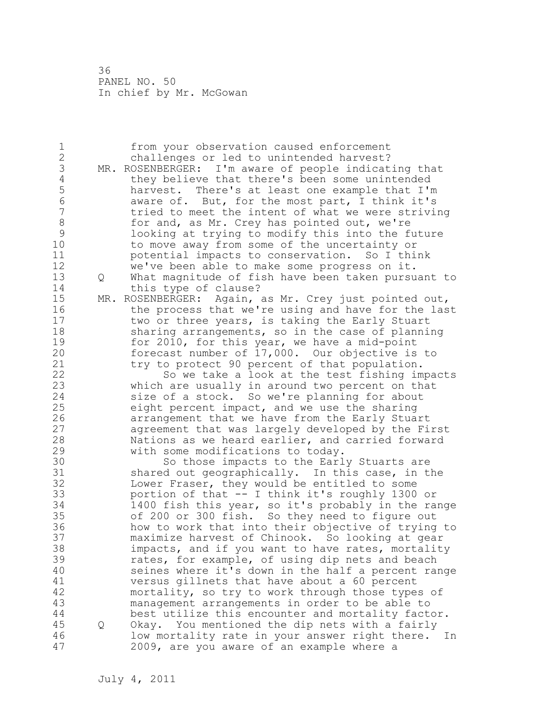| 1<br>$\overline{c}$ |   | from your observation caused enforcement<br>challenges or led to unintended harvest?          |
|---------------------|---|-----------------------------------------------------------------------------------------------|
| 3                   |   | MR. ROSENBERGER: I'm aware of people indicating that                                          |
| $\overline{4}$      |   | they believe that there's been some unintended                                                |
| $\frac{5}{6}$       |   | harvest. There's at least one example that I'm                                                |
|                     |   | aware of. But, for the most part, I think it's                                                |
| $\overline{7}$      |   | tried to meet the intent of what we were striving                                             |
| 8                   |   | for and, as Mr. Crey has pointed out, we're                                                   |
| 9                   |   | looking at trying to modify this into the future                                              |
| 10<br>11            |   | to move away from some of the uncertainty or                                                  |
| 12                  |   | potential impacts to conservation. So I think<br>we've been able to make some progress on it. |
| 13                  |   | What magnitude of fish have been taken pursuant to                                            |
| 14                  | Q | this type of clause?                                                                          |
| 15                  |   | MR. ROSENBERGER: Again, as Mr. Crey just pointed out,                                         |
| 16                  |   | the process that we're using and have for the last                                            |
| 17                  |   | two or three years, is taking the Early Stuart                                                |
| 18                  |   | sharing arrangements, so in the case of planning                                              |
| 19                  |   | for 2010, for this year, we have a mid-point                                                  |
| 20                  |   | forecast number of 17,000. Our objective is to                                                |
| 21                  |   | try to protect 90 percent of that population.                                                 |
| 22                  |   | So we take a look at the test fishing impacts                                                 |
| 23                  |   | which are usually in around two percent on that                                               |
| 24                  |   | size of a stock. So we're planning for about                                                  |
| 25                  |   | eight percent impact, and we use the sharing                                                  |
| 26                  |   | arrangement that we have from the Early Stuart                                                |
| 27                  |   | agreement that was largely developed by the First                                             |
| 28                  |   | Nations as we heard earlier, and carried forward                                              |
| 29                  |   | with some modifications to today.                                                             |
| 30<br>31            |   | So those impacts to the Early Stuarts are<br>shared out geographically. In this case, in the  |
| 32                  |   | Lower Fraser, they would be entitled to some                                                  |
| 33                  |   | portion of that -- I think it's roughly 1300 or                                               |
| 34                  |   | 1400 fish this year, so it's probably in the range                                            |
| 35                  |   | of 200 or 300 fish. So they need to figure out                                                |
| 36                  |   | how to work that into their objective of trying to                                            |
| 37                  |   | maximize harvest of Chinook. So looking at gear                                               |
| 38                  |   | impacts, and if you want to have rates, mortality                                             |
| 39                  |   | rates, for example, of using dip nets and beach                                               |
| 40                  |   | seines where it's down in the half a percent range                                            |
| 41                  |   | versus gillnets that have about a 60 percent                                                  |
| 42                  |   | mortality, so try to work through those types of                                              |
| 43                  |   | management arrangements in order to be able to                                                |
| 44                  |   | best utilize this encounter and mortality factor.                                             |
| 45                  | Q | Okay. You mentioned the dip nets with a fairly                                                |
| 46                  |   | low mortality rate in your answer right there.<br>In                                          |
| 47                  |   | 2009, are you aware of an example where a                                                     |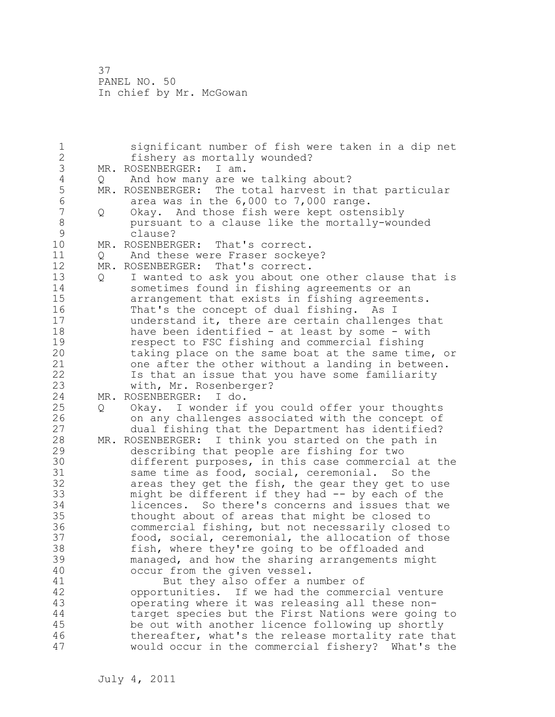| $\mathbf 1$     |   | significant number of fish were taken in a dip net    |
|-----------------|---|-------------------------------------------------------|
| $\overline{2}$  |   | fishery as mortally wounded?                          |
| 3               |   | MR. ROSENBERGER:<br>I am.                             |
| $\sqrt{4}$      | Q | And how many are we talking about?                    |
| 5               |   | MR. ROSENBERGER: The total harvest in that particular |
| $6\phantom{.}6$ |   | area was in the 6,000 to 7,000 range.                 |
| $\overline{7}$  | Q | Okay. And those fish were kept ostensibly             |
| $\,8\,$         |   | pursuant to a clause like the mortally-wounded        |
| $\mathcal{G}$   |   | clause?                                               |
| 10              |   | MR. ROSENBERGER: That's correct.                      |
| 11              | Q | And these were Fraser sockeye?                        |
| 12              |   | MR. ROSENBERGER:<br>That's correct.                   |
| 13              | Q | I wanted to ask you about one other clause that is    |
| 14              |   | sometimes found in fishing agreements or an           |
| 15              |   | arrangement that exists in fishing agreements.        |
| 16              |   | That's the concept of dual fishing. As I              |
| 17              |   | understand it, there are certain challenges that      |
| 18              |   | have been identified - at least by some - with        |
| 19              |   | respect to FSC fishing and commercial fishing         |
| 20              |   | taking place on the same boat at the same time, or    |
| 21              |   | one after the other without a landing in between.     |
| 22              |   | Is that an issue that you have some familiarity       |
| 23              |   | with, Mr. Rosenberger?                                |
| 24              |   | MR. ROSENBERGER: I do.                                |
| 25              | Q | Okay. I wonder if you could offer your thoughts       |
| 26              |   | on any challenges associated with the concept of      |
| 27              |   | dual fishing that the Department has identified?      |
| 28              |   | MR. ROSENBERGER: I think you started on the path in   |
| 29              |   | describing that people are fishing for two            |
| 30              |   | different purposes, in this case commercial at the    |
| 31              |   | same time as food, social, ceremonial. So the         |
| 32              |   | areas they get the fish, the gear they get to use     |
| 33              |   | might be different if they had -- by each of the      |
| 34              |   | licences. So there's concerns and issues that we      |
| 35              |   | thought about of areas that might be closed to        |
| 36              |   | commercial fishing, but not necessarily closed to     |
| 37              |   | food, social, ceremonial, the allocation of those     |
| 38              |   | fish, where they're going to be offloaded and         |
| 39              |   | managed, and how the sharing arrangements might       |
| 40              |   | occur from the given vessel.                          |
| 41              |   | But they also offer a number of                       |
| 42              |   | opportunities. If we had the commercial venture       |
| 43              |   | operating where it was releasing all these non-       |
| 44              |   | target species but the First Nations were going to    |
| 45              |   | be out with another licence following up shortly      |
| 46              |   | thereafter, what's the release mortality rate that    |
| 47              |   | would occur in the commercial fishery? What's the     |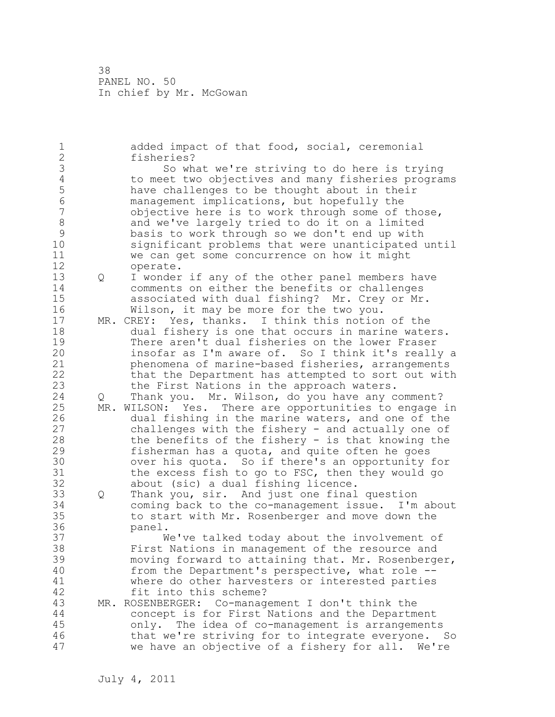1 added impact of that food, social, ceremonial 2 fisheries? 3 So what we're striving to do here is trying<br>4 to meet two objectives and many fisheries program 4 to meet two objectives and many fisheries programs<br>5 have challenges to be thought about in their 5 have challenges to be thought about in their<br>6 management implications, but hopefully the 6 management implications, but hopefully the objective here is to work through some of those, 8 and we've largely tried to do it on a limited<br>9 basis to work through so we don't end up with 9 basis to work through so we don't end up with significant problems that were unanticipated until 11 we can get some concurrence on how it might 12 operate. 13 Q I wonder if any of the other panel members have 14 comments on either the benefits or challenges 15 associated with dual fishing? Mr. Crey or Mr. 16 Wilson, it may be more for the two you. 17 MR. CREY: Yes, thanks. I think this notion of the 18 dual fishery is one that occurs in marine waters. 19 There aren't dual fisheries on the lower Fraser<br>20 insofar as I'm aware of. So I think it's reall insofar as I'm aware of. So I think it's really a 21 phenomena of marine-based fisheries, arrangements 22 that the Department has attempted to sort out with 23 the First Nations in the approach waters. 24 Q Thank you. Mr. Wilson, do you have any comment? 25 MR. WILSON: Yes. There are opportunities to engage in 26 dual fishing in the marine waters, and one of the<br>27 challenges with the fishery - and actually one of challenges with the fishery - and actually one of 28 the benefits of the fishery - is that knowing the 29 fisherman has a quota, and quite often he goes 30 over his quota. So if there's an opportunity for<br>31 the excess fish to go to FSC, then they would go the excess fish to go to FSC, then they would go 32 about (sic) a dual fishing licence. 33 Q Thank you, sir. And just one final question 34 coming back to the co-management issue. I'm about 35 to start with Mr. Rosenberger and move down the 36 panel. 37 We've talked today about the involvement of 38 First Nations in management of the resource and 39 moving forward to attaining that. Mr. Rosenberger, 40 from the Department's perspective, what role -- 41 where do other harvesters or interested parties<br>42 fit into this scheme? fit into this scheme? 43 MR. ROSENBERGER: Co-management I don't think the 44 concept is for First Nations and the Department 45 only. The idea of co-management is arrangements 46 that we're striving for to integrate everyone. So 47 we have an objective of a fishery for all. We're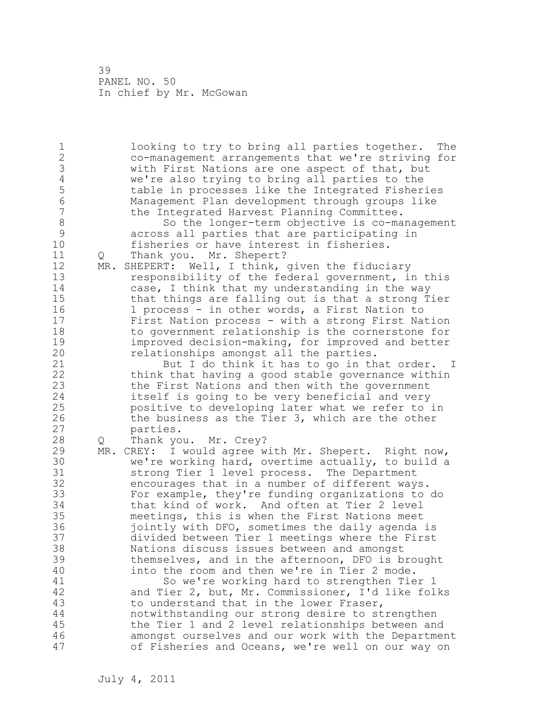1 looking to try to bring all parties together. The 2 co-management arrangements that we're striving for 3 with First Nations are one aspect of that, but<br>4 we're also trying to bring all parties to the 4 we're also trying to bring all parties to the<br>5 table in processes like the Integrated Fisher 5 table in processes like the Integrated Fisheries 6 Management Plan development through groups like the Integrated Harvest Planning Committee. 8 So the longer-term objective is co-management<br>9 across all parties that are participating in 9 across all parties that are participating in fisheries or have interest in fisheries. 11 Q Thank you. Mr. Shepert? 12 MR. SHEPERT: Well, I think, given the fiduciary 13 responsibility of the federal government, in this 14 case, I think that my understanding in the way 15 that things are falling out is that a strong Tier 16 1 process - in other words, a First Nation to 17 First Nation process - with a strong First Nation 18 to government relationship is the cornerstone for 19 improved decision-making, for improved and better<br>20 elationships amongst all the parties. relationships amongst all the parties. 21 But I do think it has to go in that order. I 22 think that having a good stable governance within 23 the First Nations and then with the government 24 itself is going to be very beneficial and very 25 positive to developing later what we refer to in 26 the business as the Tier 3, which are the other<br>27 sarties. parties. 28 Q Thank you. Mr. Crey? 29 MR. CREY: I would agree with Mr. Shepert. Right now, 30 we're working hard, overtime actually, to build a<br>31 strong Tier 1 level process. The Department strong Tier 1 level process. The Department 32 encourages that in a number of different ways. 33 For example, they're funding organizations to do 34 that kind of work. And often at Tier 2 level 35 meetings, this is when the First Nations meet 36 jointly with DFO, sometimes the daily agenda is 37 divided between Tier 1 meetings where the First 38 Nations discuss issues between and amongst 39 themselves, and in the afternoon, DFO is brought 40 into the room and then we're in Tier 2 mode. 41 So we're working hard to strengthen Tier 1<br>42 and Tier 2, but, Mr. Commissioner, I'd like fol and Tier 2, but, Mr. Commissioner, I'd like folks 43 to understand that in the lower Fraser, 44 notwithstanding our strong desire to strengthen 45 the Tier 1 and 2 level relationships between and 46 amongst ourselves and our work with the Department 47 of Fisheries and Oceans, we're well on our way on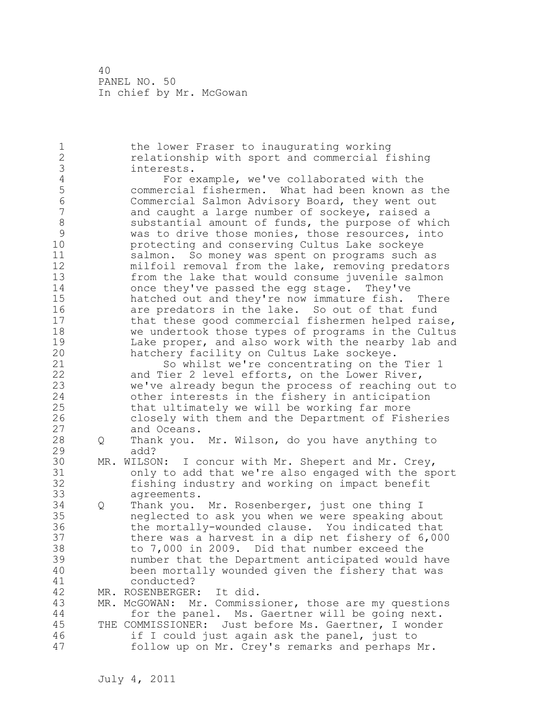1 the lower Fraser to inaugurating working 2 relationship with sport and commercial fishing 3 interests.<br>4 For e 4 For example, we've collaborated with the<br>5 commercial fishermen. What had been known as 5 commercial fishermen. What had been known as the 6 Commercial Salmon Advisory Board, they went out and caught a large number of sockeye, raised a 8 substantial amount of funds, the purpose of which<br>9 was to drive those monies, those resources, into 9 was to drive those monies, those resources, into<br>10 **be** protecting and conserving Cultus Lake sockeve protecting and conserving Cultus Lake sockeye 11 salmon. So money was spent on programs such as 12 milfoil removal from the lake, removing predators 13 from the lake that would consume juvenile salmon 14 once they've passed the egg stage. They've 15 hatched out and they're now immature fish. There 16 are predators in the lake. So out of that fund 17 that these good commercial fishermen helped raise, 18 we undertook those types of programs in the Cultus 19 Lake proper, and also work with the nearby lab and<br>20 hatchery facility on Cultus Lake sockeye. hatchery facility on Cultus Lake sockeye. 21 So whilst we're concentrating on the Tier 1 22 and Tier 2 level efforts, on the Lower River, 23 we've already begun the process of reaching out to 24 other interests in the fishery in anticipation 25 that ultimately we will be working far more 26 closely with them and the Department of Fisheries and Oceans. 28 Q Thank you. Mr. Wilson, do you have anything to 29 add? 30 MR. WILSON: I concur with Mr. Shepert and Mr. Crey,<br>31 only to add that we're also engaged with the sp 31 only to add that we're also engaged with the sport<br>32 fishing industry and working on impact benefit fishing industry and working on impact benefit 33 agreements. 34 Q Thank you. Mr. Rosenberger, just one thing I 35 neglected to ask you when we were speaking about 36 the mortally-wounded clause. You indicated that 37 there was a harvest in a dip net fishery of 6,000 38 to 7,000 in 2009. Did that number exceed the 39 number that the Department anticipated would have 40 been mortally wounded given the fishery that was 41 conducted?<br>42 MR. ROSENBERGER MR. ROSENBERGER: It did. 43 MR. McGOWAN: Mr. Commissioner, those are my questions 44 for the panel. Ms. Gaertner will be going next. 45 THE COMMISSIONER: Just before Ms. Gaertner, I wonder 46 if I could just again ask the panel, just to 47 follow up on Mr. Crey's remarks and perhaps Mr.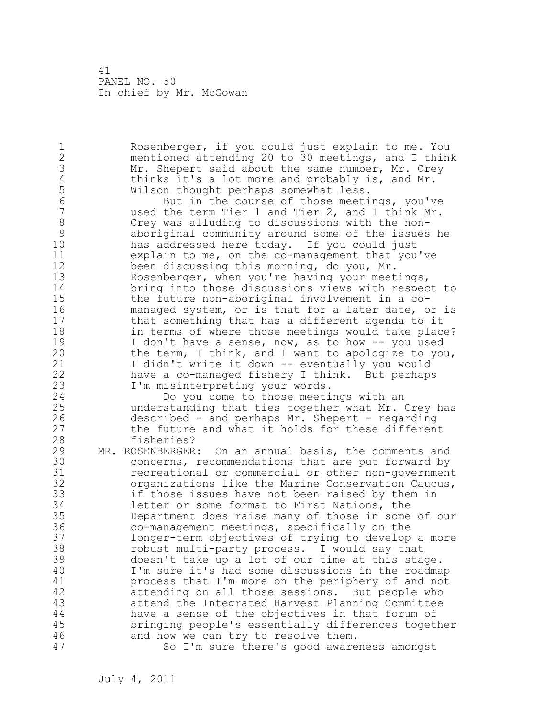1 Rosenberger, if you could just explain to me. You 2 mentioned attending 20 to 30 meetings, and I think 3 Mr. Shepert said about the same number, Mr. Crey<br>4 thinks it's a lot more and probably is, and Mr. 4 thinks it's a lot more and probably is, and Mr.<br>5 Wilson thought perhaps somewhat less. 5 Wilson thought perhaps somewhat less. 6 But in the course of those meetings, you've<br>7 and I think Mr. used the term Tier 1 and Tier 2, and I think Mr. 8 Crey was alluding to discussions with the non-9 aboriginal community around some of the issues he has addressed here today. If you could just 11 explain to me, on the co-management that you've 12 been discussing this morning, do you, Mr. 13 Rosenberger, when you're having your meetings, 14 bring into those discussions views with respect to 15 the future non-aboriginal involvement in a co-16 managed system, or is that for a later date, or is 17 that something that has a different agenda to it 18 in terms of where those meetings would take place? 19 I don't have a sense, now, as to how -- you used<br>20 the term, I think, and I want to apologize to you the term, I think, and I want to apologize to you, 21 I didn't write it down -- eventually you would 22 have a co-managed fishery I think. But perhaps 23 I'm misinterpreting your words. 24 Do you come to those meetings with an 25 understanding that ties together what Mr. Crey has 26 described - and perhaps Mr. Shepert - regarding<br>27 the future and what it holds for these differen the future and what it holds for these different 28 fisheries? 29 MR. ROSENBERGER: On an annual basis, the comments and 30 concerns, recommendations that are put forward by<br>31 cecreational or commercial or other non-government 31 recreational or commercial or other non-government<br>32 organizations like the Marine Conservation Caucus, organizations like the Marine Conservation Caucus, 33 if those issues have not been raised by them in 34 letter or some format to First Nations, the 35 Department does raise many of those in some of our 36 co-management meetings, specifically on the 37 longer-term objectives of trying to develop a more 38 robust multi-party process. I would say that 39 doesn't take up a lot of our time at this stage. 40 I'm sure it's had some discussions in the roadmap 41 process that I'm more on the periphery of and not<br>42 attending on all those sessions. But people who attending on all those sessions. But people who 43 attend the Integrated Harvest Planning Committee 44 have a sense of the objectives in that forum of 45 bringing people's essentially differences together 46 and how we can try to resolve them. 47 So I'm sure there's good awareness amongst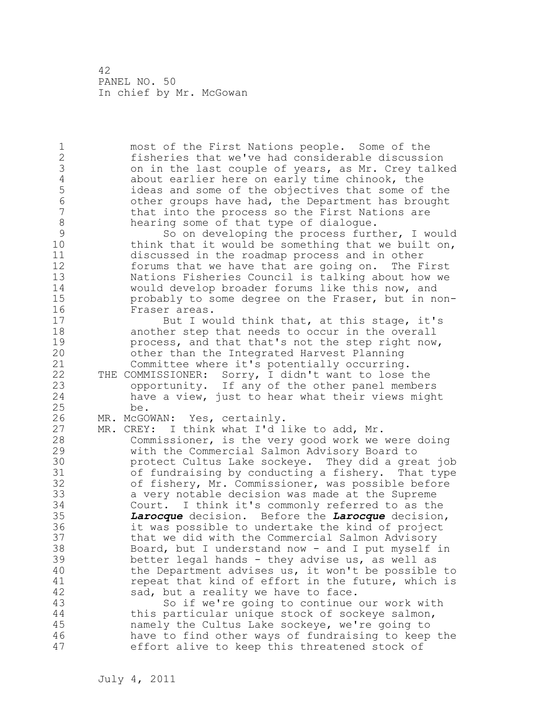1 most of the First Nations people. Some of the 2 fisheries that we've had considerable discussion 3 on in the last couple of years, as Mr. Crey talked<br>4 about earlier here on early time chinook, the 4 about earlier here on early time chinook, the<br>5 ideas and some of the objectives that some of 5 ideas and some of the objectives that some of the 6 other groups have had, the Department has brought that into the process so the First Nations are 8 hearing some of that type of dialogue.<br>9 So on developing the process furt 9 So on developing the process further, I would<br>10 think that it would be something that we built on, think that it would be something that we built on, 11 discussed in the roadmap process and in other 12 forums that we have that are going on. The First 13 Nations Fisheries Council is talking about how we 14 would develop broader forums like this now, and 15 probably to some degree on the Fraser, but in non-16 Fraser areas. 17 But I would think that, at this stage, it's 18 another step that needs to occur in the overall 19 process, and that that's not the step right now,<br>20 other than the Integrated Harvest Planning other than the Integrated Harvest Planning 21 Committee where it's potentially occurring. 22 THE COMMISSIONER: Sorry, I didn't want to lose the 23 opportunity. If any of the other panel members 24 have a view, just to hear what their views might 25 be. 26 MR. McGOWAN: Yes, certainly.<br>27 MR. CREY: I think what I'd l MR. CREY: I think what I'd like to add, Mr. 28 Commissioner, is the very good work we were doing 29 with the Commercial Salmon Advisory Board to 30 protect Cultus Lake sockeye. They did a great job<br>31 of fundraising by conducting a fishery. That type of fundraising by conducting a fishery. That type 32 of fishery, Mr. Commissioner, was possible before 33 a very notable decision was made at the Supreme 34 Court. I think it's commonly referred to as the 35 *Larocque* decision. Before the *Larocque* decision, 36 it was possible to undertake the kind of project 37 that we did with the Commercial Salmon Advisory 38 Board, but I understand now - and I put myself in 39 better legal hands - they advise us, as well as 40 the Department advises us, it won't be possible to 41 repeat that kind of effort in the future, which is<br>42 sad, but a reality we have to face. sad, but a reality we have to face. 43 So if we're going to continue our work with 44 this particular unique stock of sockeye salmon, 45 namely the Cultus Lake sockeye, we're going to 46 have to find other ways of fundraising to keep the 47 effort alive to keep this threatened stock of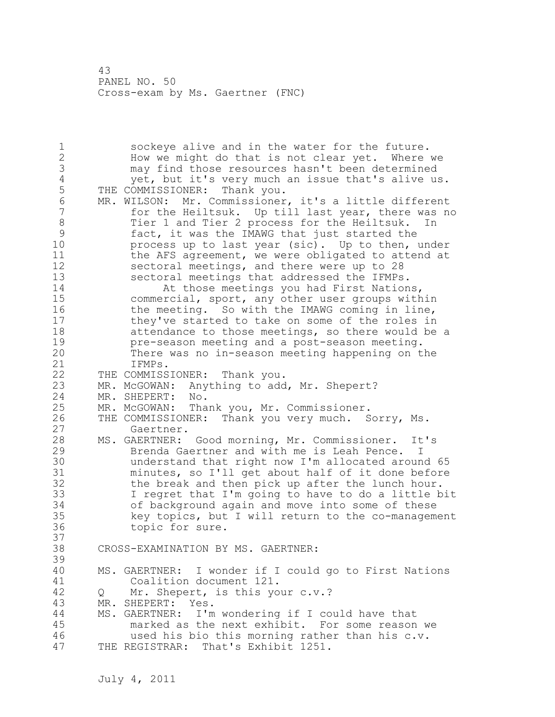1 sockeye alive and in the water for the future. 2 How we might do that is not clear yet. Where we 3 may find those resources hasn't been determined 4 yet, but it's very much an issue that's alive us.<br>5 THE COMMISSIONER: Thank you. 5 THE COMMISSIONER: Thank you.<br>6 MR. WILSON: Mr. Commissioner 6 MR. WILSON: Mr. Commissioner, it's a little different<br>7 for the Heiltsuk. Up till last year, there was no for the Heiltsuk. Up till last year, there was no 8 Tier 1 and Tier 2 process for the Heiltsuk. In 9 fact, it was the IMAWG that just started the<br>10 process up to last year (sic). Up to then, process up to last year (sic). Up to then, under 11 the AFS agreement, we were obligated to attend at 12 sectoral meetings, and there were up to 28 13 sectoral meetings that addressed the IFMPs. 14 At those meetings you had First Nations, 15 commercial, sport, any other user groups within 16 the meeting. So with the IMAWG coming in line, 17 they've started to take on some of the roles in 18 attendance to those meetings, so there would be a 19 pre-season meeting and a post-season meeting.<br>20 There was no in-season meeting happening on t There was no in-season meeting happening on the 21 IFMPs. 22 THE COMMISSIONER: Thank you. 23 MR. McGOWAN: Anything to add, Mr. Shepert? 24 MR. SHEPERT: No. 25 MR. McGOWAN: Thank you, Mr. Commissioner. 26 THE COMMISSIONER: Thank you very much. Sorry, Ms.<br>27 Gaertner. Gaertner. 28 MS. GAERTNER: Good morning, Mr. Commissioner. It's 29 Brenda Gaertner and with me is Leah Pence. I 30 understand that right now I'm allocated around 65 minutes, so I'll get about half of it done before 32 the break and then pick up after the lunch hour. 33 I regret that I'm going to have to do a little bit 34 of background again and move into some of these 35 key topics, but I will return to the co-management 36 topic for sure. 37<br>38 CROSS-EXAMINATION BY MS. GAERTNER: 39 40 MS. GAERTNER: I wonder if I could go to First Nations 41 Coalition document 121.<br>42 0 Mr. Shepert, is this vo 42 Q Mr. Shepert, is this your c.v.? 43 MR. SHEPERT: Yes. 44 MS. GAERTNER: I'm wondering if I could have that 45 marked as the next exhibit. For some reason we 46 used his bio this morning rather than his c.v. 47 THE REGISTRAR: That's Exhibit 1251.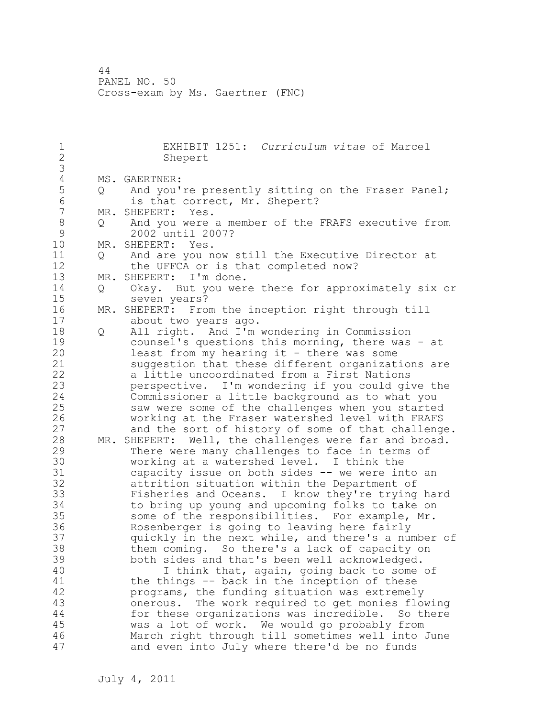1 EXHIBIT 1251: *Curriculum vitae* of Marcel Shepert 3 4 MS. GAERTNER:<br>5 Q And you' 5 Q And you're presently sitting on the Fraser Panel; 6 is that correct, Mr. Shepert?<br>7 MR. SHEPERT: Yes. MR. SHEPERT: Yes. 8 Q And you were a member of the FRAFS executive from 9 2002 until 2007?<br>10 MR. SHEPERT: Yes. MR. SHEPERT: Yes. 11 Q And are you now still the Executive Director at 12 the UFFCA or is that completed now?<br>13 MR. SHEPERT: I'm done. MR. SHEPERT: I'm done. 14 Q Okay. But you were there for approximately six or 15 seven years? 16 MR. SHEPERT: From the inception right through till 17 about two years ago. 18 Q All right. And I'm wondering in Commission 19 counsel's questions this morning, there was - at<br>20 least from my hearing it - there was some least from my hearing it - there was some 21 suggestion that these different organizations are 22 a little uncoordinated from a First Nations 23 perspective. I'm wondering if you could give the 24 Commissioner a little background as to what you 25 saw were some of the challenges when you started 26 working at the Fraser watershed level with FRAFS<br>27 and the sort of history of some of that challeng and the sort of history of some of that challenge. 28 MR. SHEPERT: Well, the challenges were far and broad. 29 There were many challenges to face in terms of 30 working at a watershed level. I think the<br>31 capacity issue on both sides -- we were in 31 capacity issue on both sides -- we were into an<br>32 attrition situation within the Department of attrition situation within the Department of 33 Fisheries and Oceans. I know they're trying hard 34 to bring up young and upcoming folks to take on 35 some of the responsibilities. For example, Mr. 36 Rosenberger is going to leaving here fairly 37 quickly in the next while, and there's a number of 38 them coming. So there's a lack of capacity on 39 both sides and that's been well acknowledged. 40 I think that, again, going back to some of 41 the things -- back in the inception of these<br>42 programs, the funding situation was extremely programs, the funding situation was extremely 43 onerous. The work required to get monies flowing 44 for these organizations was incredible. So there 45 was a lot of work. We would go probably from 46 March right through till sometimes well into June 47 and even into July where there'd be no funds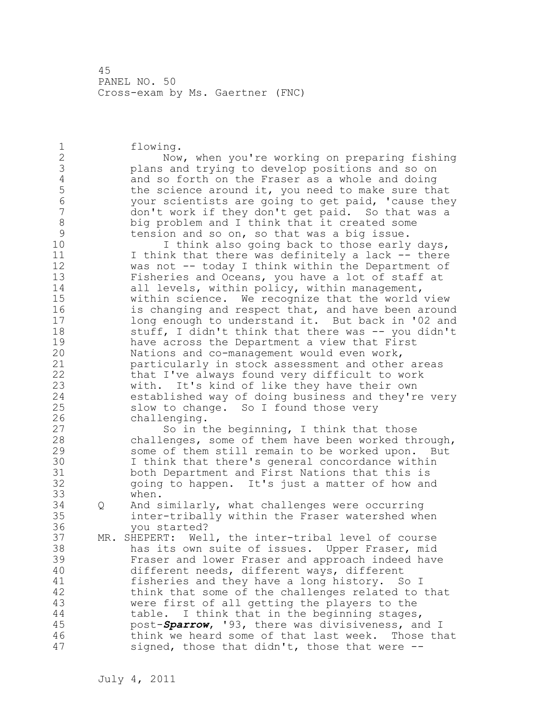1 flowing. 2 Now, when you're working on preparing fishing 3 plans and trying to develop positions and so on 4 and so forth on the Fraser as a whole and doing<br>5 the science around it, you need to make sure the 5 the science around it, you need to make sure that<br>6 000 to vour scientists are going to get paid, 'cause the 6 your scientists are going to get paid, 'cause they don't work if they don't get paid. So that was a 8 big problem and I think that it created some<br>9 tension and so on, so that was a big issue. 9 tension and so on, so that was a big issue. I think also going back to those early days, 11 I think that there was definitely a lack -- there 12 was not -- today I think within the Department of 13 Fisheries and Oceans, you have a lot of staff at 14 all levels, within policy, within management, 15 within science. We recognize that the world view 16 **is changing and respect that, and have been around** 17 long enough to understand it. But back in '02 and 18 stuff, I didn't think that there was -- you didn't 19 have across the Department a view that First<br>20 Mations and co-management would even work, Nations and co-management would even work, 21 particularly in stock assessment and other areas 22 that I've always found very difficult to work 23 with. It's kind of like they have their own 24 established way of doing business and they're very 25 slow to change. So I found those very 26 challenging.<br>27 So in t So in the beginning, I think that those 28 challenges, some of them have been worked through, 29 some of them still remain to be worked upon. But 30 I think that there's general concordance within<br>31 both Department and First Nations that this is both Department and First Nations that this is 32 going to happen. It's just a matter of how and 33 when. 34 Q And similarly, what challenges were occurring 35 inter-tribally within the Fraser watershed when 36 you started? 37 MR. SHEPERT: Well, the inter-tribal level of course 38 has its own suite of issues. Upper Fraser, mid 39 Fraser and lower Fraser and approach indeed have 40 different needs, different ways, different 41 fisheries and they have a long history. So I<br>42 think that some of the challenges related to think that some of the challenges related to that 43 were first of all getting the players to the 44 table. I think that in the beginning stages, 45 post-*Sparrow*, '93, there was divisiveness, and I 46 think we heard some of that last week. Those that 47 signed, those that didn't, those that were --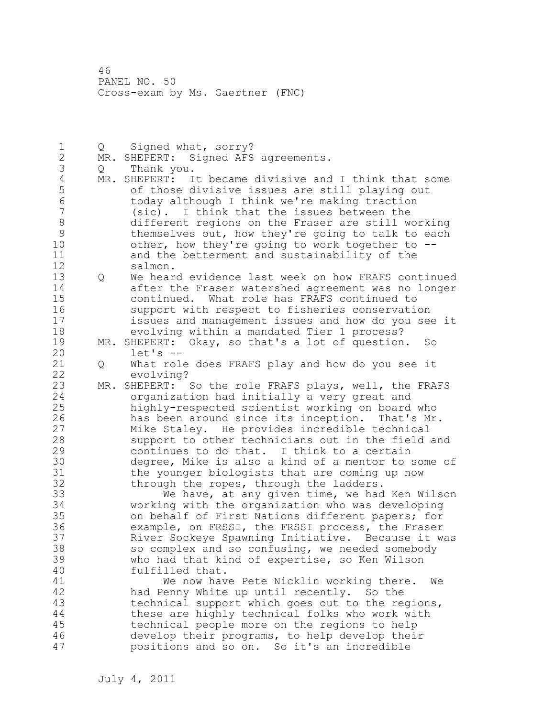1 Q Signed what, sorry? 2 MR. SHEPERT: Signed AFS agreements. 3 Q Thank you. 4 MR. SHEPERT: It became divisive and I think that some<br>5 of those divisive issues are still playing out 5 of those divisive issues are still playing out 6 today although I think we're making traction  $s$ ic). I think that the issues between the 8 different regions on the Fraser are still working 9 themselves out, how they're going to talk to each<br>10 other, how they're going to work together to -other, how they're going to work together to  $-$ -11 and the betterment and sustainability of the 12 salmon. 13 Q We heard evidence last week on how FRAFS continued 14 after the Fraser watershed agreement was no longer 15 continued. What role has FRAFS continued to 16 support with respect to fisheries conservation 17 issues and management issues and how do you see it 18 evolving within a mandated Tier 1 process? 19 MR. SHEPERT: Okay, so that's a lot of question. So<br>20 det's - $let's$   $--$ 21 Q What role does FRAFS play and how do you see it 22 evolving? 23 MR. SHEPERT: So the role FRAFS plays, well, the FRAFS 24 organization had initially a very great and 25 highly-respected scientist working on board who 26 has been around since its inception. That's Mr.<br>27 Mike Staley. He provides incredible technical Mike Staley. He provides incredible technical 28 support to other technicians out in the field and 29 continues to do that. I think to a certain 30 degree, Mike is also a kind of a mentor to some of 31 the younger biologists that are coming up now<br>32 through the ropes, through the ladders. through the ropes, through the ladders. 33 We have, at any given time, we had Ken Wilson 34 working with the organization who was developing 35 on behalf of First Nations different papers; for 36 example, on FRSSI, the FRSSI process, the Fraser 37 River Sockeye Spawning Initiative. Because it was 38 so complex and so confusing, we needed somebody 39 who had that kind of expertise, so Ken Wilson 40 fulfilled that. 41 We now have Pete Nicklin working there. We<br>42 had Penny White up until recently. So the had Penny White up until recently. So the 43 technical support which goes out to the regions, 44 these are highly technical folks who work with 45 technical people more on the regions to help 46 develop their programs, to help develop their 47 positions and so on. So it's an incredible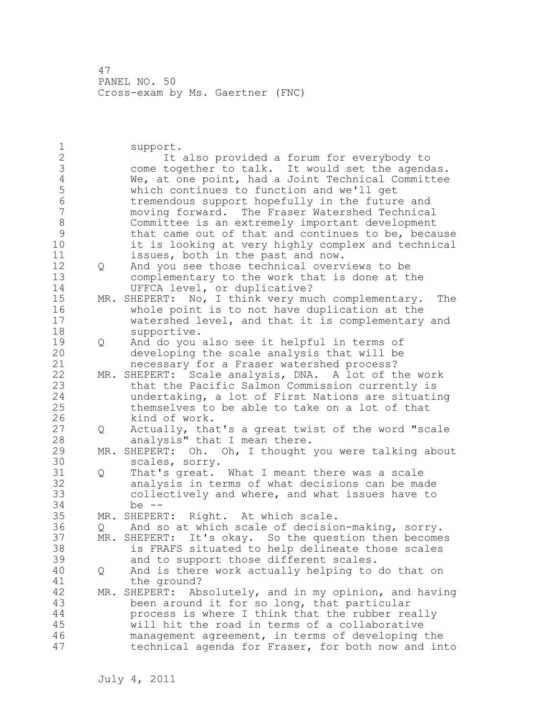1 support. 2 It also provided a forum for everybody to 3 come together to talk. It would set the agendas.<br>4 We, at one point, had a Joint Technical Committee 4 We, at one point, had a Joint Technical Committee<br>5 which continues to function and we'll get 5 which continues to function and we'll get 6 tremendous support hopefully in the future and 7 moving forward. The Fraser Watershed Technical 8 Committee is an extremely important development 9 that came out of that and continues to be, because<br>10 it is looking at very highly complex and technical it is looking at very highly complex and technical 11 issues, both in the past and now. 12 Q And you see those technical overviews to be 13 complementary to the work that is done at the 14 UFFCA level, or duplicative? 15 MR. SHEPERT: No, I think very much complementary. The 16 whole point is to not have duplication at the 17 watershed level, and that it is complementary and 18 supportive. 19 Q And do you also see it helpful in terms of<br>20 developing the scale analysis that will be developing the scale analysis that will be 21 necessary for a Fraser watershed process? 22 MR. SHEPERT: Scale analysis, DNA. A lot of the work 23 that the Pacific Salmon Commission currently is 24 undertaking, a lot of First Nations are situating 25 themselves to be able to take on a lot of that 26 kind of work.<br>27 0 Actually, tha 27 Q Actually, that's a great twist of the word "scale 28 analysis" that I mean there. 29 MR. SHEPERT: Oh. Oh, I thought you were talking about 30 scales, sorry.<br>31 0 That's great. Q That's great. What I meant there was a scale 32 analysis in terms of what decisions can be made 33 collectively and where, and what issues have to 34 be -- 35 MR. SHEPERT: Right. At which scale. 36 Q And so at which scale of decision-making, sorry. 37 MR. SHEPERT: It's okay. So the question then becomes 38 is FRAFS situated to help delineate those scales 39 and to support those different scales. 40 Q And is there work actually helping to do that on 41 the ground?<br>42 MR. SHEPERT: Ab MR. SHEPERT: Absolutely, and in my opinion, and having 43 been around it for so long, that particular 44 process is where I think that the rubber really 45 will hit the road in terms of a collaborative 46 management agreement, in terms of developing the 47 technical agenda for Fraser, for both now and into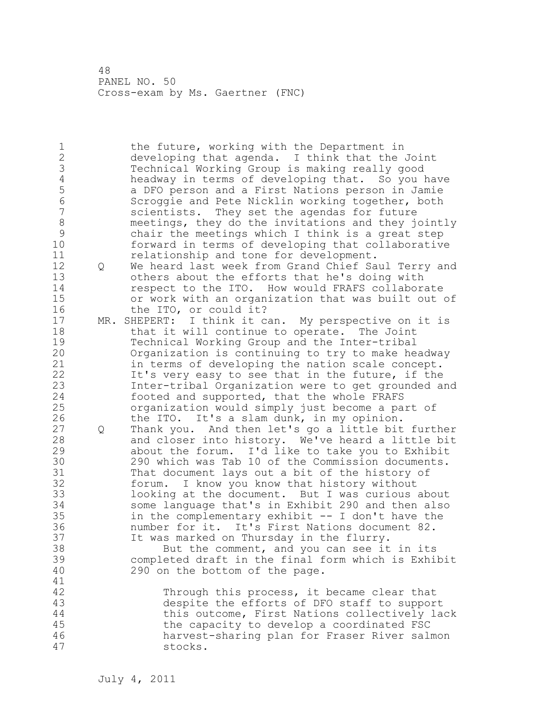1 the future, working with the Department in 2 developing that agenda. I think that the Joint 3 Technical Working Group is making really good 4 headway in terms of developing that. So you have<br>5 a DFO person and a First Nations person in Jamie 5 a DFO person and a First Nations person in Jamie 6 Scroggie and Pete Nicklin working together, both scientists. They set the agendas for future 8 meetings, they do the invitations and they jointly<br>9 chair the meetings which I think is a great step 9 chair the meetings which I think is a great step forward in terms of developing that collaborative 11 relationship and tone for development. 12 Q We heard last week from Grand Chief Saul Terry and 13 others about the efforts that he's doing with 14 respect to the ITO. How would FRAFS collaborate 15 or work with an organization that was built out of 16 the ITO, or could it? 17 MR. SHEPERT: I think it can. My perspective on it is 18 that it will continue to operate. The Joint 19 Technical Working Group and the Inter-tribal<br>20 Organization is continuing to try to make he Organization is continuing to try to make headway 21 in terms of developing the nation scale concept. 22 It's very easy to see that in the future, if the 23 Inter-tribal Organization were to get grounded and 24 footed and supported, that the whole FRAFS 25 organization would simply just become a part of 26 the ITO. It's a slam dunk, in my opinion.<br>27 0 Thank you. And then let's go a little bit 27 Q Thank you. And then let's go a little bit further 28 and closer into history. We've heard a little bit 29 about the forum. I'd like to take you to Exhibit 30 290 which was Tab 10 of the Commission documents.<br>31 That document lavs out a bit of the history of That document lays out a bit of the history of 32 forum. I know you know that history without 33 looking at the document. But I was curious about 34 some language that's in Exhibit 290 and then also 35 in the complementary exhibit -- I don't have the 36 number for it. It's First Nations document 82. 37 It was marked on Thursday in the flurry. 38 But the comment, and you can see it in its 39 completed draft in the final form which is Exhibit 40 290 on the bottom of the page. 41<br>42 Through this process, it became clear that 43 despite the efforts of DFO staff to support 44 this outcome, First Nations collectively lack 45 the capacity to develop a coordinated FSC 46 harvest-sharing plan for Fraser River salmon 47 stocks.

July 4, 2011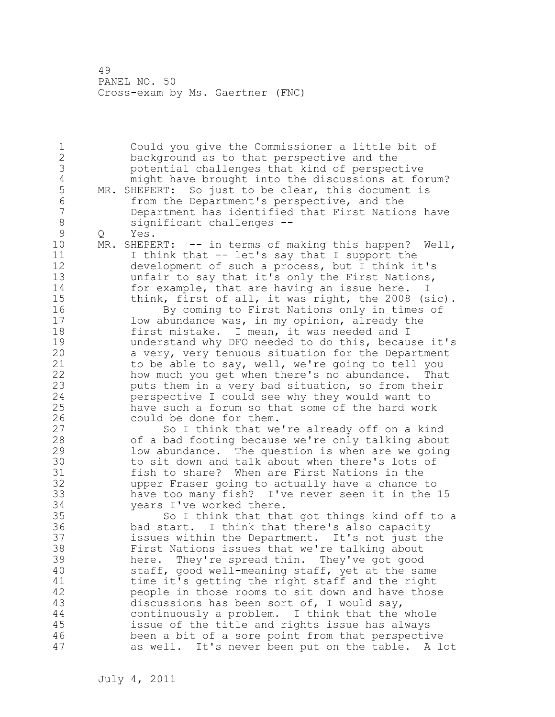1 Could you give the Commissioner a little bit of 2 background as to that perspective and the 3 potential challenges that kind of perspective 4 might have brought into the discussions at forum?<br>5 MR. SHEPERT: So just to be clear, this document is 5 MR. SHEPERT: So just to be clear, this document is<br>6 from the Department's perspective, and the 6 from the Department's perspective, and the Department has identified that First Nations have 8 significant challenges --<br>9 0 Yes. 9 Q Yes.<br>10 MR. SHEPE  $MR.$  SHEPERT:  $--$  in terms of making this happen? Well, 11 I think that -- let's say that I support the 12 development of such a process, but I think it's 13 unfair to say that it's only the First Nations, 14 for example, that are having an issue here. I 15 think, first of all, it was right, the 2008 (sic). 16 By coming to First Nations only in times of 17 low abundance was, in my opinion, already the 18 first mistake. I mean, it was needed and I 19 understand why DFO needed to do this, because it's<br>20 a very, very tenuous situation for the Department a very, very tenuous situation for the Department 21 to be able to say, well, we're going to tell you 22 how much you get when there's no abundance. That 23 puts them in a very bad situation, so from their 24 perspective I could see why they would want to 25 have such a forum so that some of the hard work 26 could be done for them.<br>27 So I think that we So I think that we're already off on a kind 28 of a bad footing because we're only talking about 29 low abundance. The question is when are we going 30 to sit down and talk about when there's lots of<br>31 fish to share? When are First Nations in the fish to share? When are First Nations in the 32 upper Fraser going to actually have a chance to 33 have too many fish? I've never seen it in the 15 34 years I've worked there. 35 So I think that that got things kind off to a 36 bad start. I think that there's also capacity 37 issues within the Department. It's not just the 38 First Nations issues that we're talking about 39 here. They're spread thin. They've got good 40 staff, good well-meaning staff, yet at the same 41 time it's getting the right staff and the right<br>42 seeple in those rooms to sit down and have thos people in those rooms to sit down and have those 43 discussions has been sort of, I would say, 44 continuously a problem. I think that the whole 45 issue of the title and rights issue has always 46 been a bit of a sore point from that perspective 47 as well. It's never been put on the table. A lot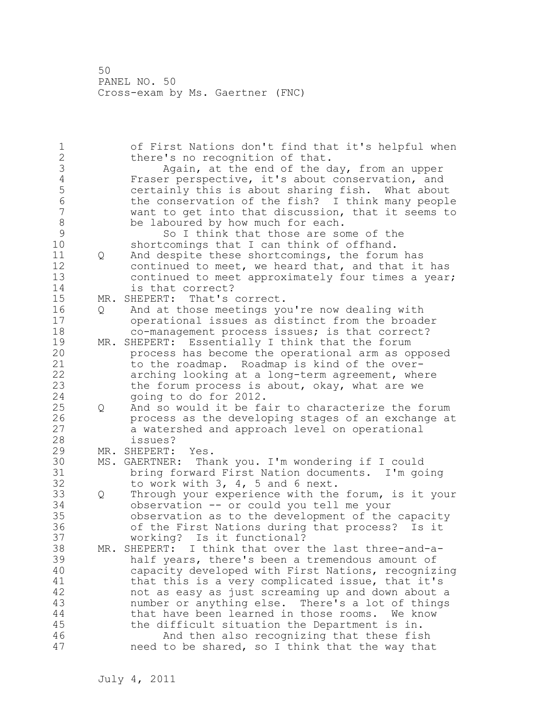1 of First Nations don't find that it's helpful when 2 there's no recognition of that. 3 Again, at the end of the day, from an upper<br>4 Fraser perspective, it's about conservation, and 4 Fraser perspective, it's about conservation, and<br>5 certainly this is about sharing fish. What about 5 certainly this is about sharing fish. What about 6 the conservation of the fish? I think many people want to get into that discussion, that it seems to 8 be laboured by how much for each.<br>9 So I think that those are so 9 So I think that those are some of the<br>10 Shortcomings that I can think of offhand. shortcomings that I can think of offhand. 11 Q And despite these shortcomings, the forum has 12 continued to meet, we heard that, and that it has 13 continued to meet approximately four times a year; 14 is that correct? 15 MR. SHEPERT: That's correct. 16 Q And at those meetings you're now dealing with 17 operational issues as distinct from the broader 18 co-management process issues; is that correct? 19 MR. SHEPERT: Essentially I think that the forum process has become the operational arm as opposed 21 to the roadmap. Roadmap is kind of the over-22 arching looking at a long-term agreement, where 23 the forum process is about, okay, what are we 24 going to do for 2012. 25 Q And so would it be fair to characterize the forum 26 **process as the developing stages of an exchange at** 27 a watershed and approach level on operational a watershed and approach level on operational 28 issues? 29 MR. SHEPERT: Yes. 30 MS. GAERTNER: Thank you. I'm wondering if I could 31 bring forward First Nation documents. I'm going<br>32 to work with 3, 4, 5 and 6 next. to work with  $3, 4, 5$  and 6 next. 33 Q Through your experience with the forum, is it your 34 observation -- or could you tell me your 35 observation as to the development of the capacity 36 of the First Nations during that process? Is it 37 working? Is it functional? 38 MR. SHEPERT: I think that over the last three-and-a-39 half years, there's been a tremendous amount of 40 capacity developed with First Nations, recognizing 41 that this is a very complicated issue, that it's<br>42 hot as easy as just screaming up and down about not as easy as just screaming up and down about a 43 number or anything else. There's a lot of things 44 that have been learned in those rooms. We know 45 the difficult situation the Department is in. 46 And then also recognizing that these fish 47 need to be shared, so I think that the way that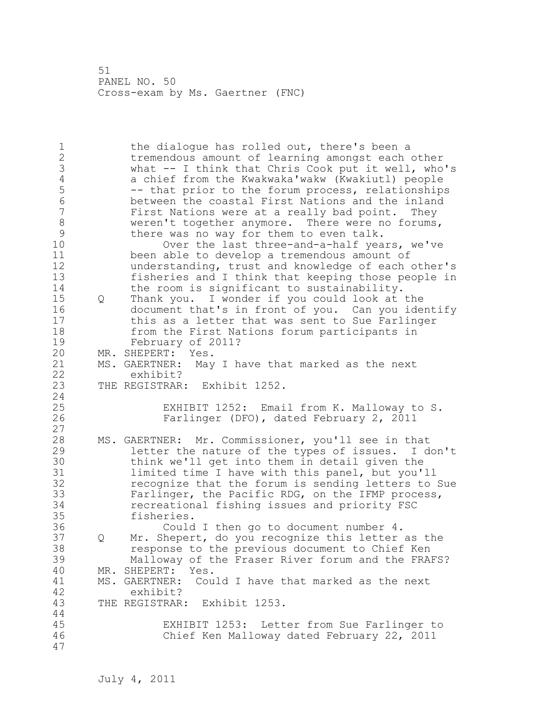1 the dialogue has rolled out, there's been a 2 tremendous amount of learning amongst each other 3 what -- I think that Chris Cook put it well, who's 4 a chief from the Kwakwaka'wakw (Kwakiutl) people<br>5 - that prior to the forum process, relationship 5 -- that prior to the forum process, relationships<br>6 between the coastal First Nations and the inland 6 between the coastal First Nations and the inland First Nations were at a really bad point. They 8 weren't together anymore. There were no forums,<br>9 there was no way for them to even talk. 9 there was no way for them to even talk.<br>10 0ver the last three-and-a-half vea Over the last three-and-a-half years, we've 11 been able to develop a tremendous amount of 12 understanding, trust and knowledge of each other's 13 fisheries and I think that keeping those people in 14 the room is significant to sustainability. 15 Q Thank you. I wonder if you could look at the 16 document that's in front of you. Can you identify 17 this as a letter that was sent to Sue Farlinger 18 from the First Nations forum participants in 19 February of 2011?<br>20 MR. SHEPERT: Yes. MR. SHEPERT: Yes. 21 MS. GAERTNER: May I have that marked as the next 22 exhibit? 23 THE REGISTRAR: Exhibit 1252. 24 25 EXHIBIT 1252: Email from K. Malloway to S. 26 Farlinger (DFO), dated February 2, 2011 27 28 MS. GAERTNER: Mr. Commissioner, you'll see in that 29 letter the nature of the types of issues. I don't 30 think we'll get into them in detail given the<br>31 limited time I have with this panel, but you'. limited time I have with this panel, but you'll 32 recognize that the forum is sending letters to Sue 33 Farlinger, the Pacific RDG, on the IFMP process, 34 recreational fishing issues and priority FSC 35 fisheries. 36 Could I then go to document number 4. 37 Q Mr. Shepert, do you recognize this letter as the 38 response to the previous document to Chief Ken 39 Malloway of the Fraser River forum and the FRAFS? 40 MR. SHEPERT: Yes. 41 MS. GAERTNER: Could I have that marked as the next<br>42 exhibit? exhibit? 43 THE REGISTRAR: Exhibit 1253. 44 45 EXHIBIT 1253: Letter from Sue Farlinger to 46 Chief Ken Malloway dated February 22, 2011 47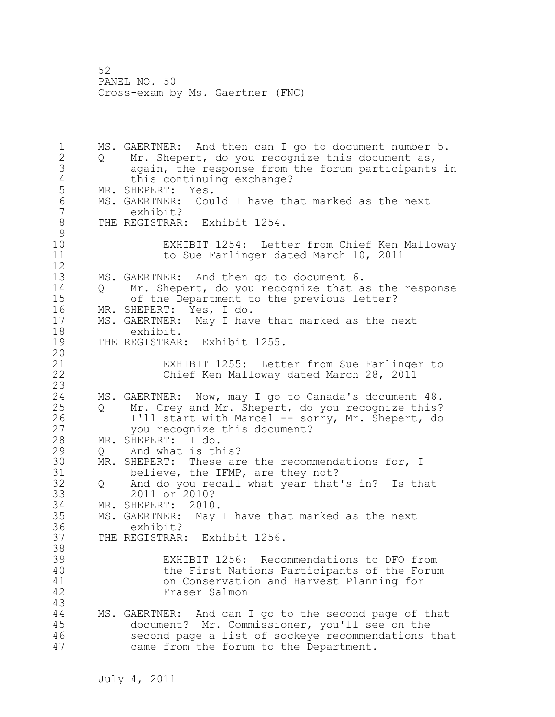1 MS. GAERTNER: And then can I go to document number 5. 2 Q Mr. Shepert, do you recognize this document as, 3 again, the response from the forum participants in 4 this continuing exchange?<br>5 MR. SHEPERT: Yes. MR. SHEPERT: Yes. 6 MS. GAERTNER: Could I have that marked as the next exhibit? 8 THE REGISTRAR: Exhibit 1254.  $\begin{array}{c} 9 \\ 10 \end{array}$ EXHIBIT 1254: Letter from Chief Ken Malloway 11 to Sue Farlinger dated March 10, 2011 12 13 MS. GAERTNER: And then go to document 6. 14 Q Mr. Shepert, do you recognize that as the response 15 of the Department to the previous letter? 16 MR. SHEPERT: Yes, I do. 17 MS. GAERTNER: May I have that marked as the next 18 exhibit. 19 THE REGISTRAR: Exhibit 1255. 20 21 EXHIBIT 1255: Letter from Sue Farlinger to 22 Chief Ken Malloway dated March 28, 2011 23 24 MS. GAERTNER: Now, may I go to Canada's document 48. 25 Q Mr. Crey and Mr. Shepert, do you recognize this? 26 I'll start with Marcel -- sorry, Mr. Shepert, do<br>27 you recognize this document? you recognize this document? 28 MR. SHEPERT: I do. 29 Q And what is this? 30 MR. SHEPERT: These are the recommendations for, I<br>31 believe, the IFMP, are they not? believe, the IFMP, are they not? 32 Q And do you recall what year that's in? Is that 33 2011 or 2010? 34 MR. SHEPERT: 2010. 35 MS. GAERTNER: May I have that marked as the next 36 exhibit? 37 THE REGISTRAR: Exhibit 1256. 38 39 EXHIBIT 1256: Recommendations to DFO from 40 the First Nations Participants of the Forum 41 on Conservation and Harvest Planning for Fraser Salmon 43 44 MS. GAERTNER: And can I go to the second page of that 45 document? Mr. Commissioner, you'll see on the 46 second page a list of sockeye recommendations that 47 came from the forum to the Department.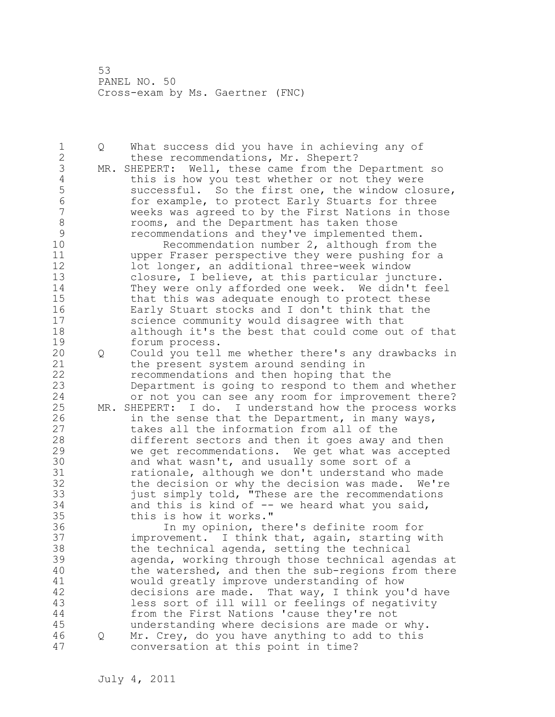1 Q What success did you have in achieving any of 2 these recommendations, Mr. Shepert? 3 MR. SHEPERT: Well, these came from the Department so<br>4 this is how you test whether or not they were 4 this is how you test whether or not they were<br>5 successful. So the first one, the window clo. 5 successful. So the first one, the window closure,<br>6 for example, to protect Early Stuarts for three 6 for example, to protect Early Stuarts for three weeks was agreed to by the First Nations in those 8 rooms, and the Department has taken those<br>9 recommendations and they've implemented the 9 recommendations and they've implemented them.<br>10 Recommendation number 2, although from t Recommendation number  $2$ , although from the 11 upper Fraser perspective they were pushing for a 12 lot longer, an additional three-week window 13 closure, I believe, at this particular juncture. 14 They were only afforded one week. We didn't feel 15 that this was adequate enough to protect these 16 Early Stuart stocks and I don't think that the 17 science community would disagree with that 18 although it's the best that could come out of that 19 forum process.<br>20 0 Could you tell 20 Q Could you tell me whether there's any drawbacks in 21 the present system around sending in 22 recommendations and then hoping that the 23 Department is going to respond to them and whether 24 or not you can see any room for improvement there? 25 MR. SHEPERT: I do. I understand how the process works 26 in the sense that the Department, in many ways,<br>27 takes all the information from all of the takes all the information from all of the 28 different sectors and then it goes away and then 29 we get recommendations. We get what was accepted 30 and what wasn't, and usually some sort of a<br>31 cationale, although we don't understand who 31 rationale, although we don't understand who made<br>32 the decision or why the decision was made. We're the decision or why the decision was made. We're 33  $just simply told, "These are the recommendations$ 34 and this is kind of -- we heard what you said, 35 this is how it works." 36 In my opinion, there's definite room for 37 improvement. I think that, again, starting with 38 the technical agenda, setting the technical 39 agenda, working through those technical agendas at 40 the watershed, and then the sub-regions from there 41 would greatly improve understanding of how<br>42 decisions are made. That way, I think you decisions are made. That way, I think you'd have 43 less sort of ill will or feelings of negativity 44 from the First Nations 'cause they're not 45 understanding where decisions are made or why. 46 Q Mr. Crey, do you have anything to add to this 47 conversation at this point in time?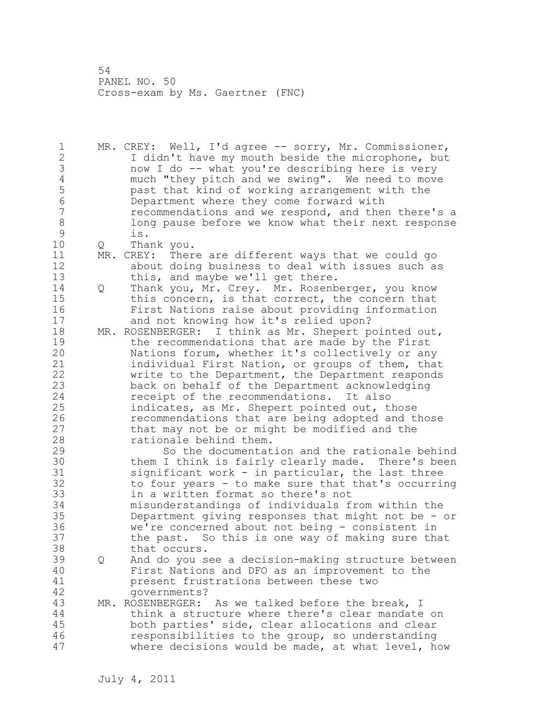1 MR. CREY: Well, I'd agree -- sorry, Mr. Commissioner, 2 I didn't have my mouth beside the microphone, but 3 now I do -- what you're describing here is very<br>4 much "they pitch and we swing". We need to move 4 much "they pitch and we swing". We need to move<br>5 bast that kind of working arrangement with the 5 past that kind of working arrangement with the 6 Department where they come forward with recommendations and we respond, and then there's a 8 long pause before we know what their next response<br>9 is. 9 is. 10 Q Thank you. 11 MR. CREY: There are different ways that we could go 12 about doing business to deal with issues such as 13 this, and maybe we'll get there. 14 Q Thank you, Mr. Crey. Mr. Rosenberger, you know 15 this concern, is that correct, the concern that 16 First Nations raise about providing information 17 and not knowing how it's relied upon? 18 MR. ROSENBERGER: I think as Mr. Shepert pointed out, 19 the recommendations that are made by the First<br>20 Mations forum, whether it's collectively or an Nations forum, whether it's collectively or any 21 individual First Nation, or groups of them, that 22 write to the Department, the Department responds 23 back on behalf of the Department acknowledging 24 receipt of the recommendations. It also 25 indicates, as Mr. Shepert pointed out, those 26 recommendations that are being adopted and those<br>27 that may not be or might be modified and the that may not be or might be modified and the 28 rationale behind them. 29 So the documentation and the rationale behind 30 them I think is fairly clearly made. There's been<br>31 significant work - in particular, the last three  $significant work - in particular, the last three$ 32 to four years - to make sure that that's occurring 33 in a written format so there's not 34 misunderstandings of individuals from within the 35 Department giving responses that might not be - or 36 we're concerned about not being - consistent in 37 the past. So this is one way of making sure that 38 that occurs. 39 Q And do you see a decision-making structure between 40 First Nations and DFO as an improvement to the 41 **present frustrations between these two**<br>42 **produced** covernments? governments? 43 MR. ROSENBERGER: As we talked before the break, I 44 think a structure where there's clear mandate on 45 both parties' side, clear allocations and clear 46 responsibilities to the group, so understanding 47 where decisions would be made, at what level, how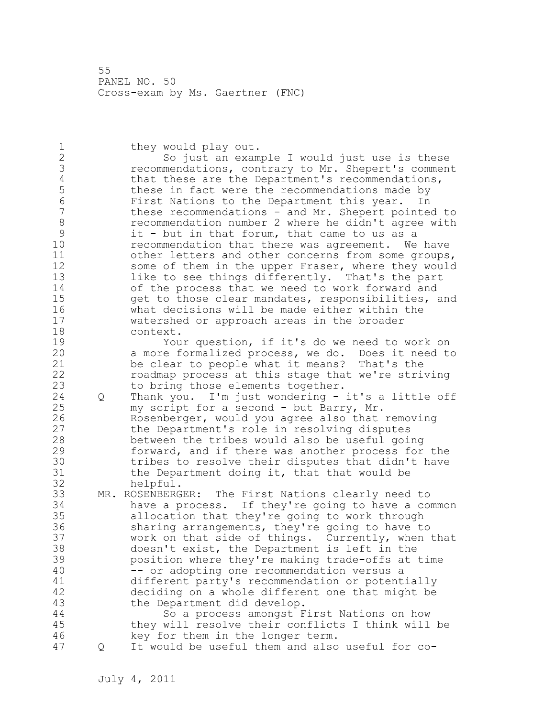1 they would play out. 2 So just an example I would just use is these 3 recommendations, contrary to Mr. Shepert's comment<br>4 that these are the Department's recommendations, 4 that these are the Department's recommendations,<br>5 these in fact were the recommendations made by 5 these in fact were the recommendations made by 6 First Nations to the Department this year. In these recommendations - and Mr. Shepert pointed to 8 recommendation number 2 where he didn't agree with<br>9 it - but in that forum, that came to us as a 9 it - but in that forum, that came to us as a<br>10 **paramement cannel intervally and the set of the set of the condensity** of the recomment. recommendation that there was agreement. We have 11 other letters and other concerns from some groups, 12 some of them in the upper Fraser, where they would 13 like to see things differently. That's the part 14 of the process that we need to work forward and 15 get to those clear mandates, responsibilities, and 16 what decisions will be made either within the 17 watershed or approach areas in the broader 18 context. 19 Your question, if it's do we need to work on<br>20 a more formalized process, we do. Does it need to a more formalized process, we do. Does it need to 21 be clear to people what it means? That's the 22 roadmap process at this stage that we're striving 23 to bring those elements together. 24 Q Thank you. I'm just wondering - it's a little off 25 my script for a second - but Barry, Mr. 26 Rosenberger, would you agree also that removing<br>27 the Department's role in resolving disputes the Department's role in resolving disputes 28 between the tribes would also be useful going 29 forward, and if there was another process for the 30 tribes to resolve their disputes that didn't have<br>31 the Department doing it, that that would be the Department doing it, that that would be

32 helpful.

33 MR. ROSENBERGER: The First Nations clearly need to 34 have a process. If they're going to have a common 35 allocation that they're going to work through 36 sharing arrangements, they're going to have to 37 work on that side of things. Currently, when that 38 doesn't exist, the Department is left in the 39 position where they're making trade-offs at time 40 -- or adopting one recommendation versus a 41 different party's recommendation or potentially<br>42 deciding on a whole different one that might be deciding on a whole different one that might be 43 the Department did develop. 44 So a process amongst First Nations on how 45 they will resolve their conflicts I think will be

46 key for them in the longer term. 47 Q It would be useful them and also useful for co-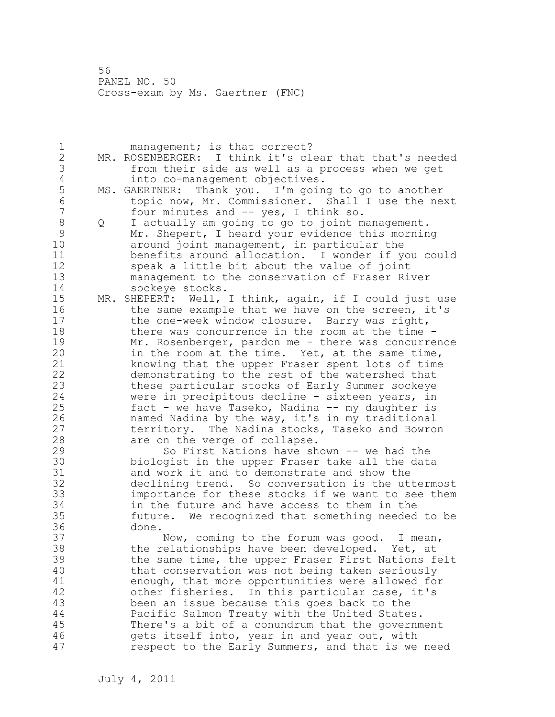1 management; is that correct? 2 MR. ROSENBERGER: I think it's clear that that's needed 3 from their side as well as a process when we get<br>4 into co-management objectives. 4 into co-management objectives.<br>5 MS. GAERTNER: Thank you. I'm goin 5 MS. GAERTNER: Thank you. I'm going to go to another 6 topic now, Mr. Commissioner. Shall I use the next four minutes and  $-$  yes, I think so. 8 Q I actually am going to go to joint management. 9 Mr. Shepert, I heard your evidence this morning<br>10 around joint management, in particular the around joint management, in particular the 11 benefits around allocation. I wonder if you could 12 speak a little bit about the value of joint 13 management to the conservation of Fraser River 14 sockeye stocks. 15 MR. SHEPERT: Well, I think, again, if I could just use 16 the same example that we have on the screen, it's 17 the one-week window closure. Barry was right, 18 there was concurrence in the room at the time - 19 Mr. Rosenberger, pardon me - there was concurrence<br>20 in the room at the time. Yet, at the same time, in the room at the time. Yet, at the same time, 21 knowing that the upper Fraser spent lots of time 22 demonstrating to the rest of the watershed that 23 these particular stocks of Early Summer sockeye 24 were in precipitous decline - sixteen years, in 25 fact - we have Taseko, Nadina -- my daughter is 26 12 named Nadina by the way, it's in my traditional<br>27 12 territory. The Nadina stocks, Taseko and Bowro territory. The Nadina stocks, Taseko and Bowron 28 are on the verge of collapse. 29 So First Nations have shown -- we had the 30 biologist in the upper Fraser take all the data<br>31 and work it and to demonstrate and show the and work it and to demonstrate and show the 32 declining trend. So conversation is the uttermost 33 importance for these stocks if we want to see them 34 in the future and have access to them in the 35 future. We recognized that something needed to be 36 done. 37 Now, coming to the forum was good. I mean, 38 the relationships have been developed. Yet, at 39 the same time, the upper Fraser First Nations felt 40 that conservation was not being taken seriously 41 enough, that more opportunities were allowed for<br>42 other fisheries. In this particular case, it's other fisheries. In this particular case, it's 43 been an issue because this goes back to the 44 Pacific Salmon Treaty with the United States. 45 There's a bit of a conundrum that the government 46 gets itself into, year in and year out, with 47 respect to the Early Summers, and that is we need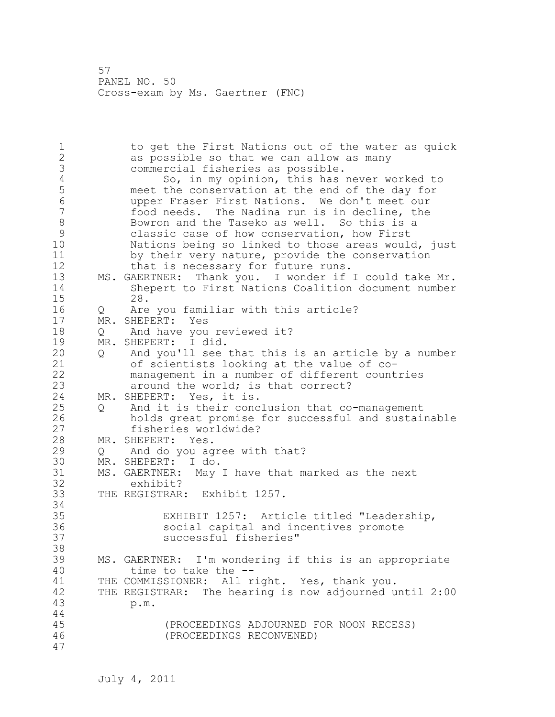1 to get the First Nations out of the water as quick 2 as possible so that we can allow as many 3 commercial fisheries as possible.<br>4 So, in my opinion, this has 4 So, in my opinion, this has never worked to<br>5 meet the conservation at the end of the day for 5 meet the conservation at the end of the day for<br>6 more the same are when the don't meet our 6 upper Fraser First Nations. We don't meet our food needs. The Nadina run is in decline, the 8 Bowron and the Taseko as well. So this is a<br>9 Classic case of how conservation, how First 9 classic case of how conservation, how First<br>10 Mations being so linked to those areas would Nations being so linked to those areas would, just 11 by their very nature, provide the conservation 12 that is necessary for future runs. 13 MS. GAERTNER: Thank you. I wonder if I could take Mr. 14 Shepert to First Nations Coalition document number<br>15 28. 15 28. 16 Q Are you familiar with this article? 17 MR. SHEPERT: Yes 18 Q And have you reviewed it? 19 MR. SHEPERT: I did.<br>20 0 And you'll see 20 Q And you'll see that this is an article by a number 21 of scientists looking at the value of co-22 management in a number of different countries 23 **around the world; is that correct?** 24 MR. SHEPERT: Yes, it is. 25 Q And it is their conclusion that co-management 26 holds great promise for successful and sustainable fisheries worldwide? 28 MR. SHEPERT: Yes. 29 Q And do you agree with that? 30 MR. SHEPERT: I do.<br>31 MS. GAERTNER: May 31 MS. GAERTNER: May I have that marked as the next exhibit? 33 THE REGISTRAR: Exhibit 1257. 34 35 EXHIBIT 1257: Article titled "Leadership, 36 social capital and incentives promote 37 successful fisheries" 38 39 MS. GAERTNER: I'm wondering if this is an appropriate 40 time to take the -- 41 THE COMMISSIONER: All right. Yes, thank you.<br>42 THE REGISTRAR: The hearing is now adjourned u THE REGISTRAR: The hearing is now adjourned until 2:00 43 p.m. 44 45 (PROCEEDINGS ADJOURNED FOR NOON RECESS) 46 (PROCEEDINGS RECONVENED) 47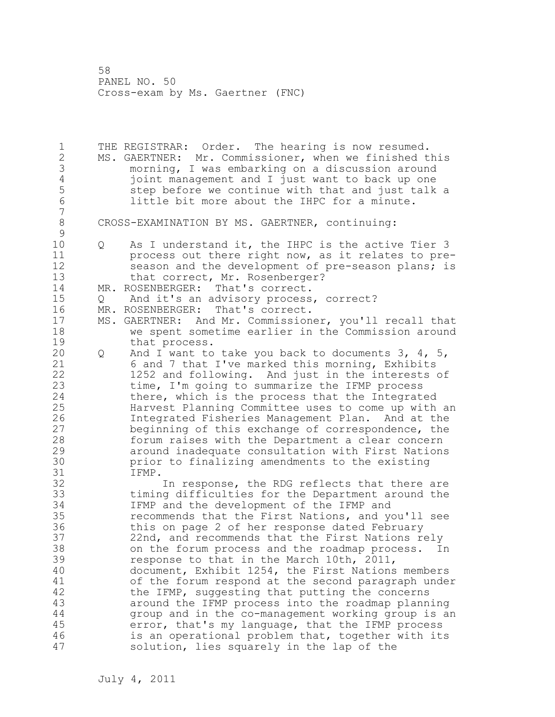1 THE REGISTRAR: Order. The hearing is now resumed. 2 MS. GAERTNER: Mr. Commissioner, when we finished this 3 morning, I was embarking on a discussion around<br>4 ioint management and I just want to back up one 4 joint management and I just want to back up one 5 step before we continue with that and just talk a<br>6 1ittle bit more about the IHPC for a minute. little bit more about the IHPC for a minute. 7 8 CROSS-EXAMINATION BY MS. GAERTNER, continuing:  $\begin{array}{c} 9 \\ 10 \end{array}$ Q As I understand it, the IHPC is the active Tier 3 11 process out there right now, as it relates to pre-12 season and the development of pre-season plans; is 13 that correct, Mr. Rosenberger? 14 MR. ROSENBERGER: That's correct. 15 Q And it's an advisory process, correct?<br>16 MR. ROSENBERGER: That's correct. 16 MR. ROSENBERGER: 17 MS. GAERTNER: And Mr. Commissioner, you'll recall that 18 we spent sometime earlier in the Commission around 19 that process.<br>20 0 And I want to 20 Q And I want to take you back to documents 3, 4, 5, 21 6 and 7 that I've marked this morning, Exhibits 22 1252 and following. And just in the interests of 23 time, I'm going to summarize the IFMP process 24 there, which is the process that the Integrated 25 Harvest Planning Committee uses to come up with an 26 1ntegrated Fisheries Management Plan. And at the<br>27 beginning of this exchange of correspondence, the beginning of this exchange of correspondence, the 28 forum raises with the Department a clear concern 29 around inadequate consultation with First Nations 30 prior to finalizing amendments to the existing<br>31 TFMP. 31 IFMP.<br>32 In response, the RDG reflects that there are 33 timing difficulties for the Department around the 34 IFMP and the development of the IFMP and 35 recommends that the First Nations, and you'll see 36 this on page 2 of her response dated February 37 22nd, and recommends that the First Nations rely 38 on the forum process and the roadmap process. In 39 response to that in the March 10th, 2011, 40 document, Exhibit 1254, the First Nations members 41 of the forum respond at the second paragraph under<br>42 the IFMP, suggesting that putting the concerns the IFMP, suggesting that putting the concerns 43 around the IFMP process into the roadmap planning 44 group and in the co-management working group is an 45 error, that's my language, that the IFMP process 46 is an operational problem that, together with its 47 solution, lies squarely in the lap of the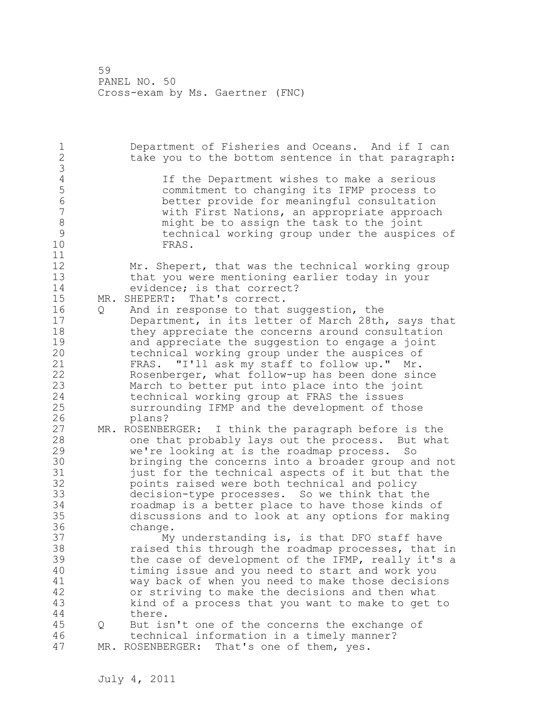1 Department of Fisheries and Oceans. And if I can 2 take you to the bottom sentence in that paragraph: 3 4 If the Department wishes to make a serious<br>5 commitment to changing its IFMP process to 5 commitment to changing its IFMP process to 6 better provide for meaningful consultation with First Nations, an appropriate approach 8 and might be to assign the task to the joint<br>8 bechnical working group under the auspic 9 technical working group under the auspices of FRAS. 11 12 Mr. Shepert, that was the technical working group 13 that you were mentioning earlier today in your 14 evidence; is that correct? 15 MR. SHEPERT: That's correct. 16 Q And in response to that suggestion, the 17 Department, in its letter of March 28th, says that 18 they appreciate the concerns around consultation 19 and appreciate the suggestion to engage a joint<br>20 technical working group under the auspices of technical working group under the auspices of 21 FRAS. "I'll ask my staff to follow up." Mr. 22 Rosenberger, what follow-up has been done since 23 March to better put into place into the joint 24 technical working group at FRAS the issues 25 surrounding IFMP and the development of those 26 plans?<br>27 MR. ROSENBE MR. ROSENBERGER: I think the paragraph before is the 28 one that probably lays out the process. But what 29 we're looking at is the roadmap process. So 30 bringing the concerns into a broader group and not<br>31 bust for the technical aspects of it but that the just for the technical aspects of it but that the 32 points raised were both technical and policy 33 decision-type processes. So we think that the 34 roadmap is a better place to have those kinds of 35 discussions and to look at any options for making 36 change. 37 My understanding is, is that DFO staff have 38 raised this through the roadmap processes, that in 39 the case of development of the IFMP, really it's a 40 timing issue and you need to start and work you 41 way back of when you need to make those decisions<br>42 or striving to make the decisions and then what or striving to make the decisions and then what 43 kind of a process that you want to make to get to 44 there. 45 Q But isn't one of the concerns the exchange of 46 technical information in a timely manner? 47 MR. ROSENBERGER: That's one of them, yes.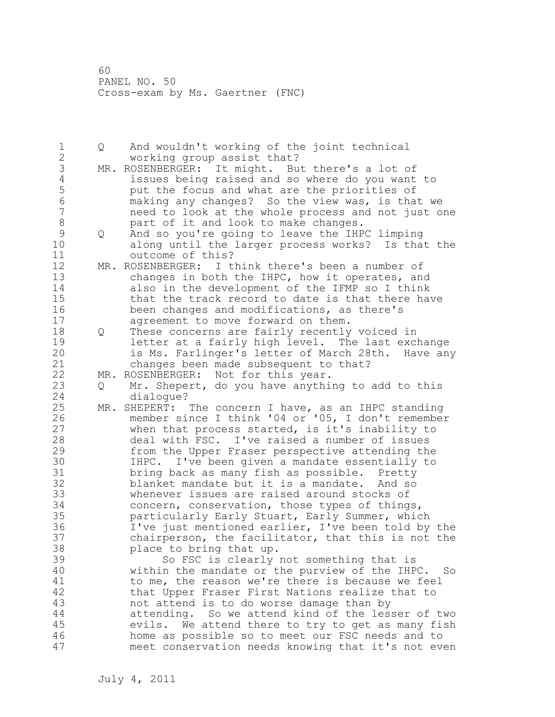1 Q And wouldn't working of the joint technical 2 working group assist that? 3 MR. ROSENBERGER: It might. But there's a lot of<br>4 issues being raised and so where do you want 4 issues being raised and so where do you want to<br>5 but the focus and what are the priorities of 5 put the focus and what are the priorities of<br>6 making any changes? So the view was, is tha 6 making any changes? So the view was, is that we need to look at the whole process and not just one 8 part of it and look to make changes.<br>9 0 And so you're going to leave the IHP 9 Q And so you're going to leave the IHPC limping<br>10 along until the larger process works? Is tha along until the larger process works? Is that the 11 outcome of this? 12 MR. ROSENBERGER: I think there's been a number of 13 changes in both the IHPC, how it operates, and 14 also in the development of the IFMP so I think 15 that the track record to date is that there have 16 been changes and modifications, as there's 17 agreement to move forward on them. 18 Q These concerns are fairly recently voiced in 19 19 letter at a fairly high level. The last exchange<br>20 1s Ms. Farlinger's letter of March 28th. Have an is Ms. Farlinger's letter of March 28th. Have any 21 changes been made subsequent to that? 22 MR. ROSENBERGER: Not for this year. 23 Q Mr. Shepert, do you have anything to add to this 24 dialogue? 25 MR. SHEPERT: The concern I have, as an IHPC standing 26 member since I think '04 or '05, I don't remember<br>27 when that process started, is it's inability to when that process started, is it's inability to 28 deal with FSC. I've raised a number of issues 29 from the Upper Fraser perspective attending the 30 IHPC. I've been given a mandate essentially to<br>31 bring back as many fish as possible. Pretty bring back as many fish as possible. Pretty 32 blanket mandate but it is a mandate. And so 33 whenever issues are raised around stocks of 34 concern, conservation, those types of things, 35 particularly Early Stuart, Early Summer, which 36 I've just mentioned earlier, I've been told by the 37 chairperson, the facilitator, that this is not the 38 place to bring that up. 39 So FSC is clearly not something that is 40 within the mandate or the purview of the IHPC. So 41 to me, the reason we're there is because we feel<br>42 that Upper Fraser First Nations realize that to that Upper Fraser First Nations realize that to 43 not attend is to do worse damage than by 44 attending. So we attend kind of the lesser of two 45 evils. We attend there to try to get as many fish 46 home as possible so to meet our FSC needs and to 47 meet conservation needs knowing that it's not even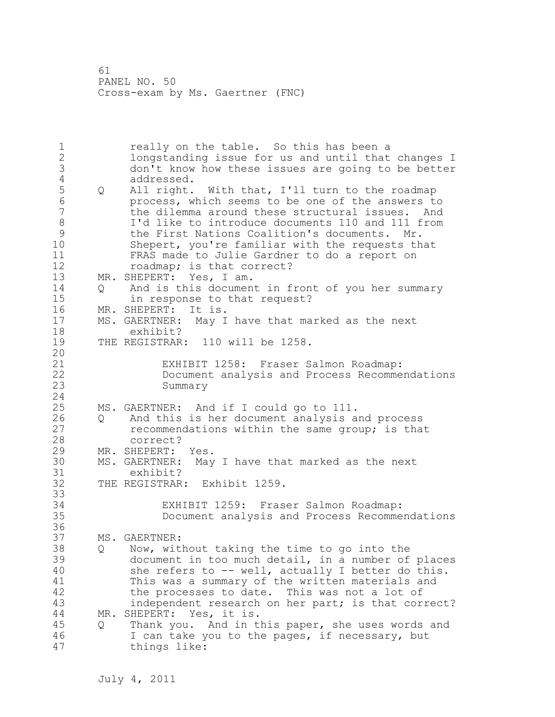1 really on the table. So this has been a 2 longstanding issue for us and until that changes I 3 don't know how these issues are going to be better 4 addressed.<br>5 Q All right. 5 Q All right. With that, I'll turn to the roadmap<br>6 or process, which seems to be one of the answers to 6 process, which seems to be one of the answers to the dilemma around these structural issues. And 8 I'd like to introduce documents 110 and 111 from<br>9 
the First Nations Coalition's documents. Mr. 9 the First Nations Coalition's documents. Mr. Shepert, you're familiar with the requests that 11 FRAS made to Julie Gardner to do a report on 12 roadmap; is that correct? 13 MR. SHEPERT: Yes, I am. 14 Q And is this document in front of you her summary 15 in response to that request? 16 MR. SHEPERT: It is. 17 MS. GAERTNER: May I have that marked as the next 18 exhibit? 19 THE REGISTRAR: 110 will be 1258. 20 21 EXHIBIT 1258: Fraser Salmon Roadmap: 22 Document analysis and Process Recommendations 23 Summary 24 25 MS. GAERTNER: And if I could go to 111. 26 Q And this is her document analysis and process<br>27 cecommendations within the same group; is tha recommendations within the same group; is that 28 correct? 29 MR. SHEPERT: Yes. 30 MS. GAERTNER: May I have that marked as the next 31 exhibit?<br>32 THE REGISTRAR THE REGISTRAR: Exhibit 1259. 33 34 EXHIBIT 1259: Fraser Salmon Roadmap: 35 Document analysis and Process Recommendations 36 37 MS. GAERTNER: 38 Q Now, without taking the time to go into the 39 document in too much detail, in a number of places 40 she refers to -- well, actually I better do this. 41 This was a summary of the written materials and<br>42 the processes to date. This was not a lot of the processes to date. This was not a lot of 43 independent research on her part; is that correct? 44 MR. SHEPERT: Yes, it is. 45 Q Thank you. And in this paper, she uses words and 46 I can take you to the pages, if necessary, but 47 things like: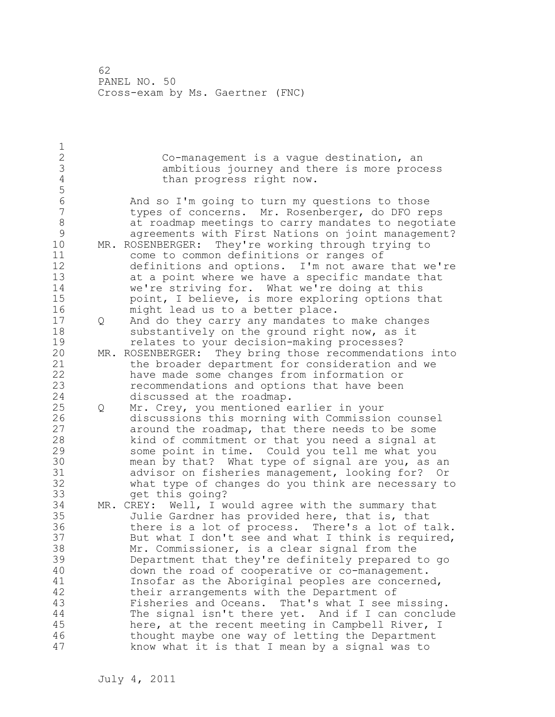$\frac{1}{2}$ Co-management is a vague destination, an 3 ambitious journey and there is more process<br>4 than progress right now. than progress right now. 5 6 And so I'm going to turn my questions to those types of concerns. Mr. Rosenberger, do DFO reps 8 at roadmap meetings to carry mandates to negotiate<br>9 agreements with First Nations on joint management? 9 agreements with First Nations on joint management?<br>10 MR. ROSENBERGER: Thev're working through trying to MR. ROSENBERGER: They're working through trying to 11 come to common definitions or ranges of 12 definitions and options. I'm not aware that we're 13 at a point where we have a specific mandate that 14 we're striving for. What we're doing at this 15 point, I believe, is more exploring options that 16 might lead us to a better place. 17 Q And do they carry any mandates to make changes 18 substantively on the ground right now, as it 19 19 Felates to your decision-making processes?<br>20 MR. ROSENBERGER: They bring those recommendati MR. ROSENBERGER: They bring those recommendations into 21 the broader department for consideration and we 22 have made some changes from information or 23 recommendations and options that have been 24 discussed at the roadmap. 25 Q Mr. Crey, you mentioned earlier in your 26 discussions this morning with Commission counsel<br>27 around the roadmap, that there needs to be some around the roadmap, that there needs to be some 28 kind of commitment or that you need a signal at 29 some point in time. Could you tell me what you 30 mean by that? What type of signal are you, as an<br>31 advisor on fisheries management, looking for? Or advisor on fisheries management, looking for? Or 32 what type of changes do you think are necessary to 33 get this going? 34 MR. CREY: Well, I would agree with the summary that 35 Julie Gardner has provided here, that is, that 36 there is a lot of process. There's a lot of talk. 37 But what I don't see and what I think is required, 38 Mr. Commissioner, is a clear signal from the 39 Department that they're definitely prepared to go 40 down the road of cooperative or co-management. 41 Insofar as the Aboriginal peoples are concerned,<br>42 their arrangements with the Department of their arrangements with the Department of 43 Fisheries and Oceans. That's what I see missing. 44 The signal isn't there yet. And if I can conclude 45 here, at the recent meeting in Campbell River, I 46 thought maybe one way of letting the Department 47 know what it is that I mean by a signal was to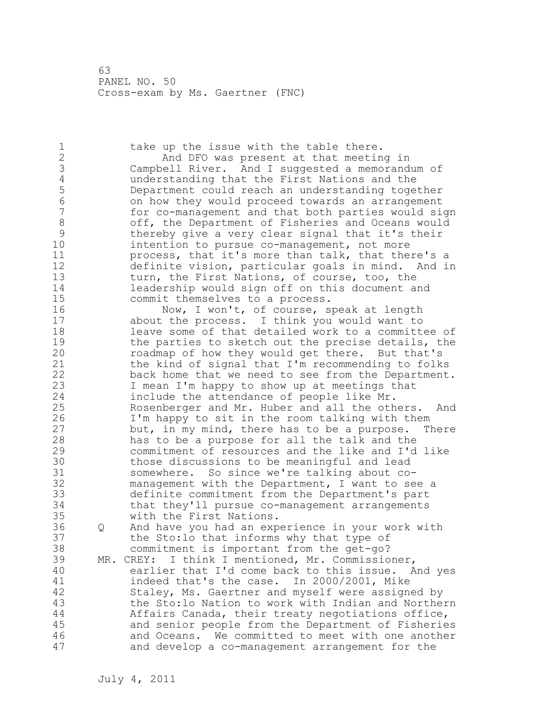1 take up the issue with the table there. 2 And DFO was present at that meeting in 3 Campbell River. And I suggested a memorandum of 4 understanding that the First Nations and the<br>5 Department could reach an understanding toge 5 Department could reach an understanding together 6 on how they would proceed towards an arrangement for co-management and that both parties would sign 8 off, the Department of Fisheries and Oceans would<br>9 thereby give a very clear signal that it's their 9 thereby give a very clear signal that it's their<br>10 intention to pursue co-management, not more intention to pursue co-management, not more 11 process, that it's more than talk, that there's a 12 definite vision, particular goals in mind. And in 13 turn, the First Nations, of course, too, the 14 leadership would sign off on this document and 15 commit themselves to a process. 16 Now, I won't, of course, speak at length 17 about the process. I think you would want to 18 leave some of that detailed work to a committee of 19 the parties to sketch out the precise details, the<br>20 coadmap of how they would get there. But that's roadmap of how they would get there. But that's 21 the kind of signal that I'm recommending to folks 22 back home that we need to see from the Department. 23 I mean I'm happy to show up at meetings that 24 include the attendance of people like Mr. 25 Rosenberger and Mr. Huber and all the others. And 26 I'm happy to sit in the room talking with them<br>27 but, in my mind, there has to be a purpose. The but, in my mind, there has to be a purpose. There 28 has to be a purpose for all the talk and the 29 commitment of resources and the like and I'd like 30 those discussions to be meaningful and lead<br>31 somewhere. So since we're talking about cosomewhere. So since we're talking about co-32 management with the Department, I want to see a 33 definite commitment from the Department's part 34 that they'll pursue co-management arrangements 35 with the First Nations. 36 Q And have you had an experience in your work with 37 the Sto:lo that informs why that type of 38 commitment is important from the get-go? 39 MR. CREY: I think I mentioned, Mr. Commissioner, 40 earlier that I'd come back to this issue. And yes 41 indeed that's the case. In 2000/2001, Mike<br>42 Staley, Ms. Gaertner and myself were assign Staley, Ms. Gaertner and myself were assigned by 43 the Sto:lo Nation to work with Indian and Northern 44 Affairs Canada, their treaty negotiations office, 45 and senior people from the Department of Fisheries 46 and Oceans. We committed to meet with one another 47 and develop a co-management arrangement for the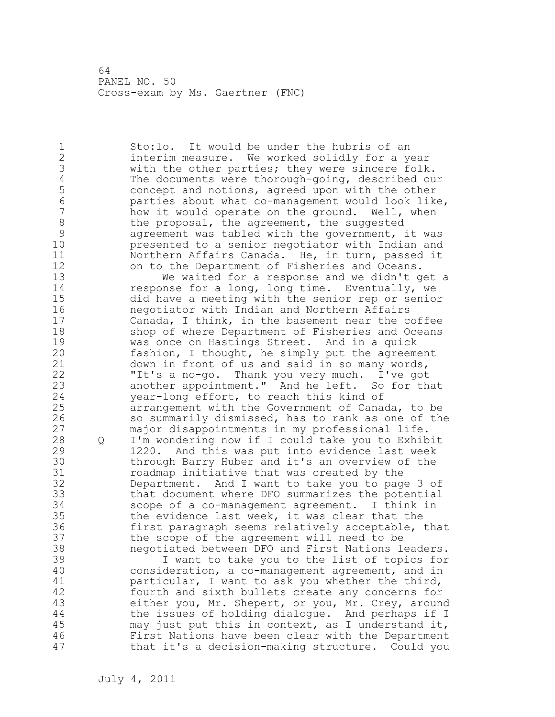1 Sto:lo. It would be under the hubris of an 2 interim measure. We worked solidly for a year 3 with the other parties; they were sincere folk.<br>4 The documents were thorough-going, described ou 4 The documents were thorough-going, described our<br>5 concept and notions, agreed upon with the other 5 concept and notions, agreed upon with the other<br>6 **budget commandement** would look lik 6 parties about what co-management would look like, how it would operate on the ground. Well, when 8 the proposal, the agreement, the suggested<br>9 agreement was tabled with the government, 9 agreement was tabled with the government, it was<br>10 bresented to a senior negotiator with Indian and presented to a senior negotiator with Indian and 11 Northern Affairs Canada. He, in turn, passed it 12 on to the Department of Fisheries and Oceans. 13 We waited for a response and we didn't get a 14 response for a long, long time. Eventually, we 15 did have a meeting with the senior rep or senior 16 negotiator with Indian and Northern Affairs 17 Canada, I think, in the basement near the coffee 18 shop of where Department of Fisheries and Oceans 19 was once on Hastings Street. And in a quick<br>20 fashion, I thought, he simply put the agreem fashion, I thought, he simply put the agreement 21 down in front of us and said in so many words, 22 "It's a no-go. Thank you very much. I've got 23 another appointment." And he left. So for that 24 year-long effort, to reach this kind of 25 arrangement with the Government of Canada, to be 26 so summarily dismissed, has to rank as one of the<br>27 major disappointments in my professional life. major disappointments in my professional life. 28 Q I'm wondering now if I could take you to Exhibit 29 1220. And this was put into evidence last week 30 through Barry Huber and it's an overview of the<br>31 coadmap initiative that was created by the roadmap initiative that was created by the 32 Department. And I want to take you to page 3 of 33 that document where DFO summarizes the potential 34 scope of a co-management agreement. I think in 35 the evidence last week, it was clear that the 36 first paragraph seems relatively acceptable, that 37 the scope of the agreement will need to be 38 negotiated between DFO and First Nations leaders. 39 I want to take you to the list of topics for 40 consideration, a co-management agreement, and in 41 particular, I want to ask you whether the third,<br>42 fourth and sixth bullets create any concerns for fourth and sixth bullets create any concerns for 43 either you, Mr. Shepert, or you, Mr. Crey, around 44 the issues of holding dialogue. And perhaps if I 45 may just put this in context, as I understand it, 46 First Nations have been clear with the Department 47 that it's a decision-making structure. Could you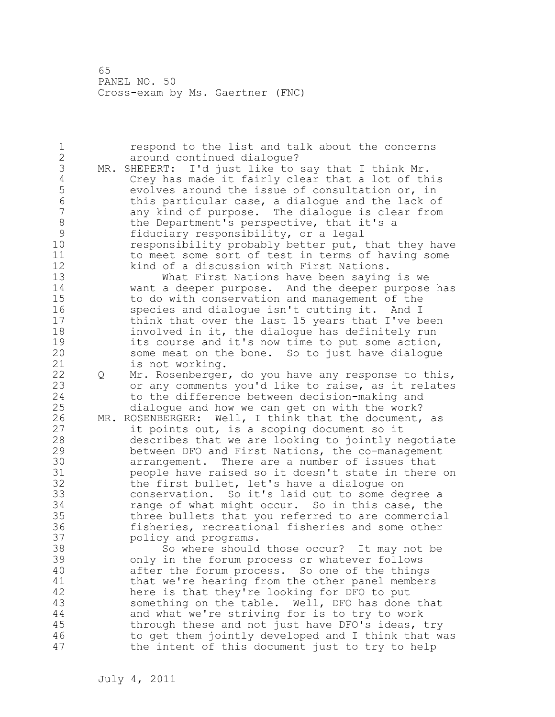1 respond to the list and talk about the concerns 2 around continued dialogue? 3 MR. SHEPERT: I'd just like to say that I think Mr.<br>4 Crey has made it fairly clear that a lot of th 4 Crey has made it fairly clear that a lot of this<br>5 evolves around the issue of consultation or, in 5 evolves around the issue of consultation or, in<br>6 this particular case, a dialogue and the lack of 6 this particular case, a dialogue and the lack of any kind of purpose. The dialogue is clear from 8 the Department's perspective, that it's a 9 fiduciary responsibility, or a legal<br>10 responsibility probably better put, responsibility probably better put, that they have 11 to meet some sort of test in terms of having some 12 kind of a discussion with First Nations. 13 What First Nations have been saying is we 14 want a deeper purpose. And the deeper purpose has 15 to do with conservation and management of the 16 species and dialogue isn't cutting it. And I 17 think that over the last 15 years that I've been 18 involved in it, the dialogue has definitely run 19 its course and it's now time to put some action,<br>20 some meat on the bone. So to just have dialoque some meat on the bone. So to just have dialogue 21 is not working. 22 Q Mr. Rosenberger, do you have any response to this, 23 or any comments you'd like to raise, as it relates 24 to the difference between decision-making and 25 dialogue and how we can get on with the work? 26 MR. ROSENBERGER: Well, I think that the document, as<br>27 it points out, is a scoping document so it it points out, is a scoping document so it 28 describes that we are looking to jointly negotiate 29 between DFO and First Nations, the co-management 30 arrangement. There are a number of issues that 31 people have raised so it doesn't state in there on<br>32 the first bullet, let's have a dialoque on the first bullet, let's have a dialogue on 33 conservation. So it's laid out to some degree a 34 range of what might occur. So in this case, the 35 three bullets that you referred to are commercial 36 fisheries, recreational fisheries and some other 37 policy and programs. 38 So where should those occur? It may not be 39 only in the forum process or whatever follows 40 after the forum process. So one of the things 41 that we're hearing from the other panel members<br>42 here is that they're looking for DFO to put here is that they're looking for DFO to put 43 something on the table. Well, DFO has done that 44 and what we're striving for is to try to work 45 through these and not just have DFO's ideas, try 46 to get them jointly developed and I think that was 47 the intent of this document just to try to help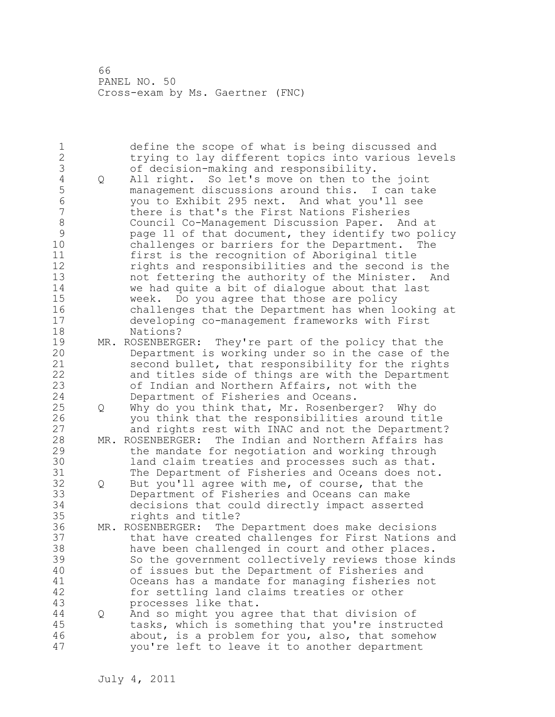1 define the scope of what is being discussed and 2 trying to lay different topics into various levels 3 of decision-making and responsibility.<br>4 Q All right. So let's move on then to t 4 Q All right. So let's move on then to the joint 5 management discussions around this. I can take 6 you to Exhibit 295 next. And what you'll see there is that's the First Nations Fisheries 8 Council Co-Management Discussion Paper. And at 9 page 11 of that document, they identify two policy challenges or barriers for the Department. The 11 first is the recognition of Aboriginal title 12 rights and responsibilities and the second is the 13 not fettering the authority of the Minister. And 14 we had quite a bit of dialogue about that last 15 week. Do you agree that those are policy 16 challenges that the Department has when looking at 17 developing co-management frameworks with First 18 Nations? 19 MR. ROSENBERGER: They're part of the policy that the<br>20 Department is working under so in the case of the Department is working under so in the case of the 21 second bullet, that responsibility for the rights 22 and titles side of things are with the Department 23 of Indian and Northern Affairs, not with the 24 Department of Fisheries and Oceans. 25 Q Why do you think that, Mr. Rosenberger? Why do 26 you think that the responsibilities around title<br>27 and rights rest with INAC and not the Department and rights rest with INAC and not the Department? 28 MR. ROSENBERGER: The Indian and Northern Affairs has 29 the mandate for negotiation and working through 30 1 land claim treaties and processes such as that.<br>31 The Department of Fisheries and Oceans does not The Department of Fisheries and Oceans does not. 32 Q But you'll agree with me, of course, that the 33 Department of Fisheries and Oceans can make 34 decisions that could directly impact asserted 35 rights and title? 36 MR. ROSENBERGER: The Department does make decisions 37 that have created challenges for First Nations and 38 have been challenged in court and other places. 39 So the government collectively reviews those kinds 40 of issues but the Department of Fisheries and 41 Oceans has a mandate for managing fisheries not<br>42 for settling land claims treaties or other for settling land claims treaties or other 43 processes like that. 44 Q And so might you agree that that division of 45 tasks, which is something that you're instructed 46 about, is a problem for you, also, that somehow 47 you're left to leave it to another department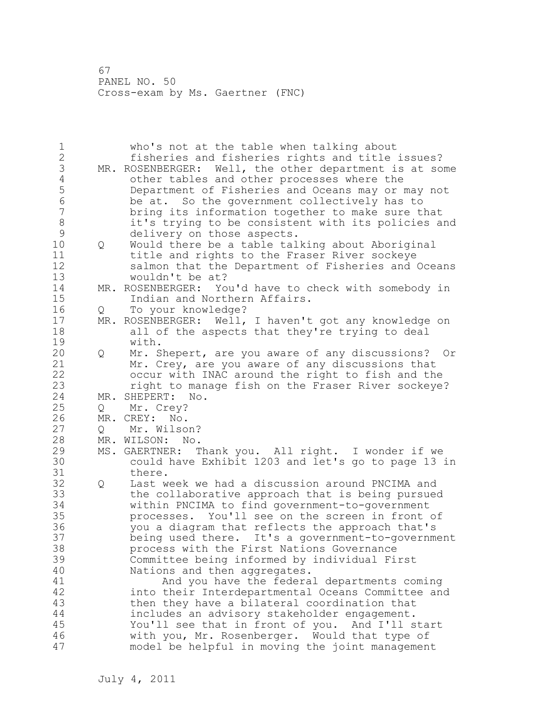| who's not at the table when talking about<br>fisheries and fisheries rights and title issues?<br>MR. ROSENBERGER: Well, the other department is at some<br>other tables and other processes where the<br>Department of Fisheries and Oceans may or may not<br>be at. So the government collectively has to<br>bring its information together to make sure that<br>it's trying to be consistent with its policies and                                                                                                                                                                                                                                                                                                                                                                                                     |
|--------------------------------------------------------------------------------------------------------------------------------------------------------------------------------------------------------------------------------------------------------------------------------------------------------------------------------------------------------------------------------------------------------------------------------------------------------------------------------------------------------------------------------------------------------------------------------------------------------------------------------------------------------------------------------------------------------------------------------------------------------------------------------------------------------------------------|
| delivery on those aspects.<br>Would there be a table talking about Aboriginal<br>$Q \qquad \qquad$<br>title and rights to the Fraser River sockeye<br>salmon that the Department of Fisheries and Oceans<br>wouldn't be at?                                                                                                                                                                                                                                                                                                                                                                                                                                                                                                                                                                                              |
| MR. ROSENBERGER: You'd have to check with somebody in<br>Indian and Northern Affairs.                                                                                                                                                                                                                                                                                                                                                                                                                                                                                                                                                                                                                                                                                                                                    |
| To your knowledge?<br>MR. ROSENBERGER: Well, I haven't got any knowledge on<br>all of the aspects that they're trying to deal<br>with.                                                                                                                                                                                                                                                                                                                                                                                                                                                                                                                                                                                                                                                                                   |
| Mr. Shepert, are you aware of any discussions? Or<br>$\mathsf Q$<br>Mr. Crey, are you aware of any discussions that<br>occur with INAC around the right to fish and the<br>right to manage fish on the Fraser River sockeye?                                                                                                                                                                                                                                                                                                                                                                                                                                                                                                                                                                                             |
| MR. SHEPERT: No.                                                                                                                                                                                                                                                                                                                                                                                                                                                                                                                                                                                                                                                                                                                                                                                                         |
| Mr. Crey?                                                                                                                                                                                                                                                                                                                                                                                                                                                                                                                                                                                                                                                                                                                                                                                                                |
| MR. CREY: No.                                                                                                                                                                                                                                                                                                                                                                                                                                                                                                                                                                                                                                                                                                                                                                                                            |
| Mr. Wilson?                                                                                                                                                                                                                                                                                                                                                                                                                                                                                                                                                                                                                                                                                                                                                                                                              |
| MR. WILSON: No.                                                                                                                                                                                                                                                                                                                                                                                                                                                                                                                                                                                                                                                                                                                                                                                                          |
| MS. GAERTNER: Thank you. All right. I wonder if we<br>could have Exhibit 1203 and let's go to page 13 in<br>there.                                                                                                                                                                                                                                                                                                                                                                                                                                                                                                                                                                                                                                                                                                       |
| Last week we had a discussion around PNCIMA and<br>$\mathsf{Q}$<br>the collaborative approach that is being pursued<br>within PNCIMA to find government-to-government<br>processes. You'll see on the screen in front of<br>you a diagram that reflects the approach that's<br>being used there. It's a government-to-government<br>process with the First Nations Governance<br>Committee being informed by individual First<br>Nations and then aggregates.<br>And you have the federal departments coming<br>into their Interdepartmental Oceans Committee and<br>then they have a bilateral coordination that<br>includes an advisory stakeholder engagement.<br>You'll see that in front of you. And I'll start<br>with you, Mr. Rosenberger. Would that type of<br>model be helpful in moving the joint management |
| Q<br>Q<br>Q                                                                                                                                                                                                                                                                                                                                                                                                                                                                                                                                                                                                                                                                                                                                                                                                              |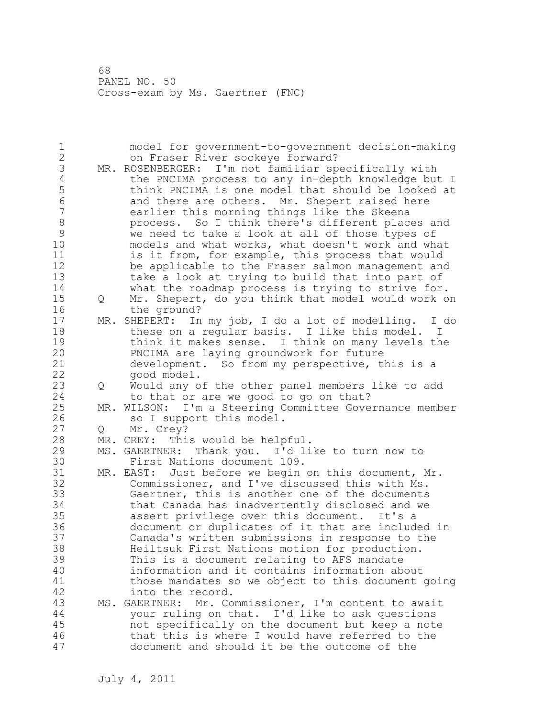1 model for government-to-government decision-making 2 on Fraser River sockeye forward? 3 MR. ROSENBERGER: I'm not familiar specifically with<br>4 the PNCIMA process to any in-depth knowledge but 4 the PNCIMA process to any in-depth knowledge but I<br>5 think PNCIMA is one model that should be looked at 5 think PNCIMA is one model that should be looked at<br>6 and there are others. Mr. Shepert raised here 6 and there are others. Mr. Shepert raised here<br>7 earlier this morning things like the Skeena earlier this morning things like the Skeena 8 process. So I think there's different places and<br>9 we need to take a look at all of those types of 9 we need to take a look at all of those types of<br>10 models and what works, what doesn't work and wh models and what works, what doesn't work and what 11 is it from, for example, this process that would 12 be applicable to the Fraser salmon management and 13 take a look at trying to build that into part of 14 what the roadmap process is trying to strive for. 15 Q Mr. Shepert, do you think that model would work on 16 the ground? 17 MR. SHEPERT: In my job, I do a lot of modelling. I do 18 these on a reqular basis. I like this model. I 19 think it makes sense. I think on many levels the<br>20 PNCIMA are laying groundwork for future PNCIMA are laying groundwork for future 21 development. So from my perspective, this is a 22 good model. 23 Q Would any of the other panel members like to add 24 to that or are we good to go on that? 25 MR. WILSON: I'm a Steering Committee Governance member 26 so I support this model.<br>27 Q Mr. Crey? Q Mr. Crey? 28 MR. CREY: This would be helpful. 29 MS. GAERTNER: Thank you. I'd like to turn now to 30 First Nations document 109.<br>31 MR. EAST: Just before we begin MR. EAST: Just before we begin on this document, Mr. 32 Commissioner, and I've discussed this with Ms. 33 Gaertner, this is another one of the documents 34 that Canada has inadvertently disclosed and we 35 assert privilege over this document. It's a 36 document or duplicates of it that are included in 37 Canada's written submissions in response to the 38 Heiltsuk First Nations motion for production. 39 This is a document relating to AFS mandate 40 information and it contains information about 41 those mandates so we object to this document going<br>42 into the record. into the record. 43 MS. GAERTNER: Mr. Commissioner, I'm content to await 44 your ruling on that. I'd like to ask questions 45 not specifically on the document but keep a note 46 that this is where I would have referred to the 47 document and should it be the outcome of the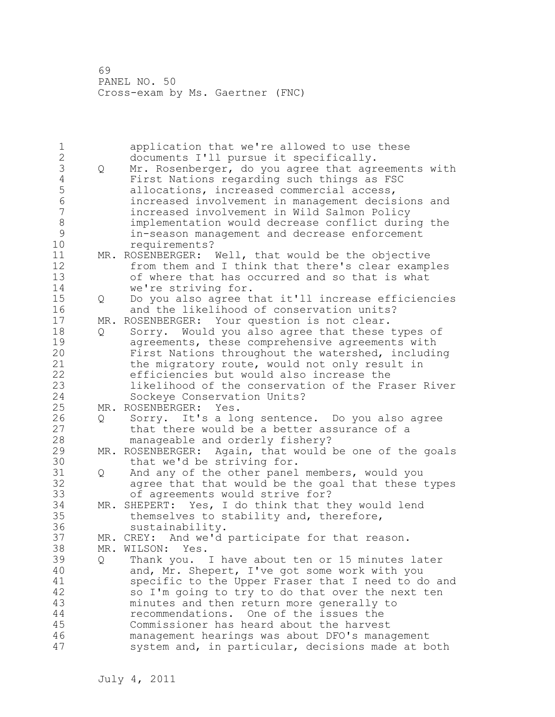| $\mathbf 1$    |   | application that we're allowed to use these            |
|----------------|---|--------------------------------------------------------|
| $\overline{c}$ |   | documents I'll pursue it specifically.                 |
| 3              | Q | Mr. Rosenberger, do you agree that agreements with     |
| $\overline{4}$ |   | First Nations regarding such things as FSC             |
| 5              |   | allocations, increased commercial access,              |
| 6              |   | increased involvement in management decisions and      |
| $\overline{7}$ |   | increased involvement in Wild Salmon Policy            |
| $\,8\,$        |   | implementation would decrease conflict during the      |
| $\mathcal{G}$  |   | in-season management and decrease enforcement          |
| 10             |   | requirements?                                          |
| 11             |   | MR. ROSENBERGER: Well, that would be the objective     |
| 12             |   | from them and I think that there's clear examples      |
| 13             |   | of where that has occurred and so that is what         |
| 14             |   | we're striving for.                                    |
| 15             | Q | Do you also agree that it'll increase efficiencies     |
| 16             |   | and the likelihood of conservation units?              |
| 17             |   | MR. ROSENBERGER: Your question is not clear.           |
| 18             | Q | Sorry. Would you also agree that these types of        |
| 19             |   | agreements, these comprehensive agreements with        |
| 20             |   | First Nations throughout the watershed, including      |
| 21             |   | the migratory route, would not only result in          |
| 22             |   | efficiencies but would also increase the               |
| 23             |   | likelihood of the conservation of the Fraser River     |
| 24             |   | Sockeye Conservation Units?                            |
| 25             |   | MR. ROSENBERGER: Yes.                                  |
| 26             | Q | Sorry. It's a long sentence. Do you also agree         |
| 27             |   | that there would be a better assurance of a            |
| 28             |   | manageable and orderly fishery?                        |
| 29             |   | MR. ROSENBERGER: Again, that would be one of the goals |
| 30             |   | that we'd be striving for.                             |
| 31             | Q | And any of the other panel members, would you          |
| 32             |   | agree that that would be the goal that these types     |
| 33             |   | of agreements would strive for?                        |
| 34             |   | MR. SHEPERT: Yes, I do think that they would lend      |
| 35             |   | themselves to stability and, therefore,                |
| 36             |   | sustainability.                                        |
| 37             |   | MR. CREY: And we'd participate for that reason.        |
| 38             |   | MR. WILSON: Yes.                                       |
| 39             |   | Thank you. I have about ten or 15 minutes later        |
| 40             | Q |                                                        |
| 41             |   | and, Mr. Shepert, I've got some work with you          |
| 42             |   | specific to the Upper Fraser that I need to do and     |
|                |   | so I'm going to try to do that over the next ten       |
| 43             |   | minutes and then return more generally to              |
| 44             |   | recommendations. One of the issues the                 |
| 45             |   | Commissioner has heard about the harvest               |
| 46             |   | management hearings was about DFO's management         |
| 47             |   | system and, in particular, decisions made at both      |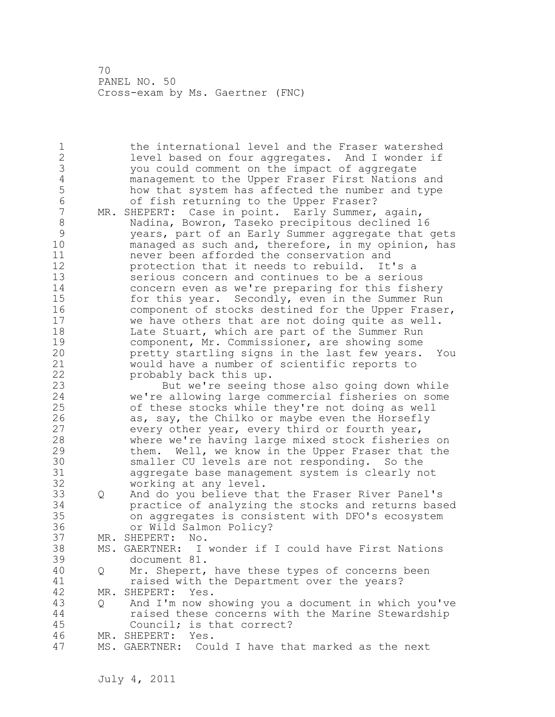1 the international level and the Fraser watershed 2 level based on four aggregates. And I wonder if 3 you could comment on the impact of aggregate 4 management to the Upper Fraser First Nations and<br>5 how that system has affected the number and type 5 how that system has affected the number and type<br>6 6 6 fish returning to the Upper Fraser? 6 of fish returning to the Upper Fraser?<br>7 MR. SHEPERT: Case in point. Early Summer, MR. SHEPERT: Case in point. Early Summer, again, 8 Nadina, Bowron, Taseko precipitous declined 16 9 years, part of an Early Summer aggregate that gets managed as such and, therefore, in my opinion, has 11 never been afforded the conservation and 12 protection that it needs to rebuild. It's a 13 serious concern and continues to be a serious 14 concern even as we're preparing for this fishery 15 for this year. Secondly, even in the Summer Run 16 component of stocks destined for the Upper Fraser,<br>17 we have others that are not doing quite as well. we have others that are not doing quite as well. 18 Late Stuart, which are part of the Summer Run 19 component, Mr. Commissioner, are showing some<br>20 **blue contract contract in the last few years.** pretty startling signs in the last few years. You 21 would have a number of scientific reports to 22 probably back this up. 23 But we're seeing those also going down while 24 we're allowing large commercial fisheries on some 25 of these stocks while they're not doing as well 26 as, say, the Chilko or maybe even the Horsefly<br>27 every other year, every third or fourth year, every other year, every third or fourth year, 28 where we're having large mixed stock fisheries on 29 them. Well, we know in the Upper Fraser that the 30 smaller CU levels are not responding. So the<br>31 aggregate base management system is clearly n 31 aggregate base management system is clearly not working at any level. 33 Q And do you believe that the Fraser River Panel's 34 practice of analyzing the stocks and returns based 35 on aggregates is consistent with DFO's ecosystem 36 or Wild Salmon Policy? 37 MR. SHEPERT: No. 38 MS. GAERTNER: I wonder if I could have First Nations 39 document 81. 40 Q Mr. Shepert, have these types of concerns been 41 raised with the Department over the years?<br>42 MR. SHEPERT: Yes. MR. SHEPERT: Yes. 43 Q And I'm now showing you a document in which you've 44 raised these concerns with the Marine Stewardship 45 Council; is that correct? 46 MR. SHEPERT: Yes. 47 MS. GAERTNER: Could I have that marked as the next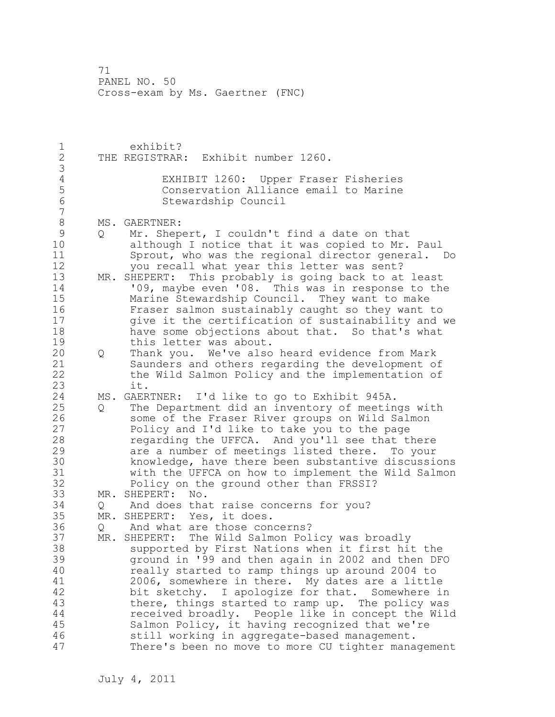1 exhibit? 2 THE REGISTRAR: Exhibit number 1260. 3 4 EXHIBIT 1260: Upper Fraser Fisheries<br>5 Conservation Alliance email to Marine 5 Conservation Alliance email to Marine Stewardship Council 7 8 MS. GAERTNER:<br>9 0 Mr. Shep 9 Q Mr. Shepert, I couldn't find a date on that<br>10 although I notice that it was copied to Mr. although I notice that it was copied to Mr. Paul 11 Sprout, who was the regional director general. Do 12 you recall what year this letter was sent? 13 MR. SHEPERT: This probably is going back to at least 14 '09, maybe even '08. This was in response to the 15 Marine Stewardship Council. They want to make 16 Fraser salmon sustainably caught so they want to 17 give it the certification of sustainability and we 18 have some objections about that. So that's what 19 this letter was about.<br>20 0 Thank you. We've also 20 Q Thank you. We've also heard evidence from Mark 21 Saunders and others regarding the development of 22 the Wild Salmon Policy and the implementation of 23 it. 24 MS. GAERTNER: I'd like to go to Exhibit 945A. 25 Q The Department did an inventory of meetings with 26 some of the Fraser River groups on Wild Salmon<br>27 Policy and I'd like to take you to the page Policy and I'd like to take you to the page 28 regarding the UFFCA. And you'll see that there 29 are a number of meetings listed there. To your 30 knowledge, have there been substantive discussions 31 with the UFFCA on how to implement the Wild Salmon Policy on the ground other than FRSSI? 33 MR. SHEPERT: No. 34 Q And does that raise concerns for you? 35 MR. SHEPERT: Yes, it does. 36 Q And what are those concerns? 37 MR. SHEPERT: The Wild Salmon Policy was broadly 38 supported by First Nations when it first hit the 39 ground in '99 and then again in 2002 and then DFO 40 really started to ramp things up around 2004 to 41 2006, somewhere in there. My dates are a little<br>42 bit sketchy. I apologize for that. Somewhere i bit sketchy. I apologize for that. Somewhere in 43 there, things started to ramp up. The policy was 44 received broadly. People like in concept the Wild 45 Salmon Policy, it having recognized that we're 46 still working in aggregate-based management. 47 There's been no move to more CU tighter management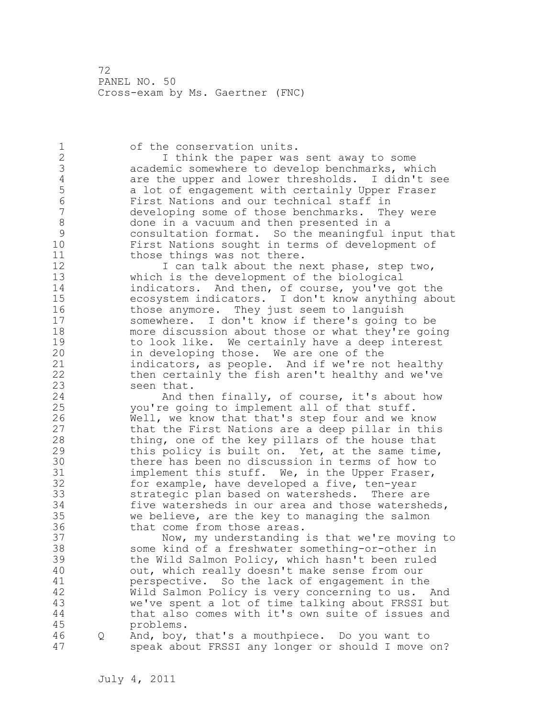1 of the conservation units. 2 I think the paper was sent away to some 3 academic somewhere to develop benchmarks, which<br>4 are the upper and lower thresholds. I didn't s 4 are the upper and lower thresholds. I didn't see<br>5 a lot of engagement with certainly Upper Fraser 5 a lot of engagement with certainly Upper Fraser 6 First Nations and our technical staff in developing some of those benchmarks. They were 8 done in a vacuum and then presented in a<br>9 consultation format. So the meaningful 9 consultation format. So the meaningful input that First Nations sought in terms of development of 11 those things was not there. 12 I can talk about the next phase, step two, 13 which is the development of the biological 14 indicators. And then, of course, you've got the 15 ecosystem indicators. I don't know anything about 16 those anymore. They just seem to languish 17 somewhere. I don't know if there's going to be 18 more discussion about those or what they're going 19 to look like. We certainly have a deep interest<br>20 in developing those. We are one of the in developing those. We are one of the 21 indicators, as people. And if we're not healthy 22 then certainly the fish aren't healthy and we've 23 seen that. 24 And then finally, of course, it's about how 25 you're going to implement all of that stuff. 26 Well, we know that that's step four and we know<br>27 that the First Nations are a deep pillar in this that the First Nations are a deep pillar in this 28 thing, one of the key pillars of the house that 29 this policy is built on. Yet, at the same time, 30 there has been no discussion in terms of how to<br>31 implement this stuff. We, in the Upper Fraser, implement this stuff. We, in the Upper Fraser, 32 for example, have developed a five, ten-year 33 strategic plan based on watersheds. There are 34 five watersheds in our area and those watersheds, 35 we believe, are the key to managing the salmon 36 that come from those areas. 37 Now, my understanding is that we're moving to 38 some kind of a freshwater something-or-other in 39 the Wild Salmon Policy, which hasn't been ruled 40 out, which really doesn't make sense from our 41 perspective. So the lack of engagement in the<br>42 Wild Salmon Policy is very concerning to us. Wild Salmon Policy is very concerning to us. And 43 we've spent a lot of time talking about FRSSI but 44 that also comes with it's own suite of issues and 45 problems. 46 Q And, boy, that's a mouthpiece. Do you want to 47 speak about FRSSI any longer or should I move on?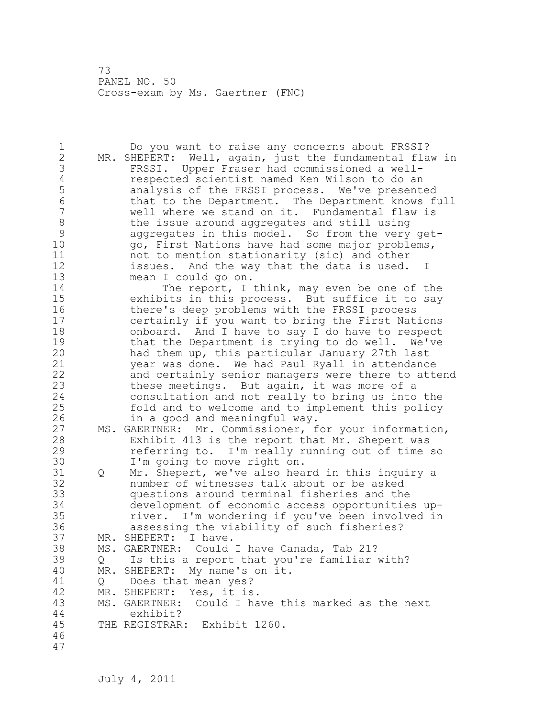1 Do you want to raise any concerns about FRSSI? 2 MR. SHEPERT: Well, again, just the fundamental flaw in 3 FRSSI. Upper Fraser had commissioned a well-4 respected scientist named Ken Wilson to do an<br>5 analysis of the FRSSI process. We've present 5 analysis of the FRSSI process. We've presented 6 that to the Department. The Department knows full<br>7 well where we stand on it. Fundamental flaw is well where we stand on it. Fundamental flaw is 8 the issue around aggregates and still using<br>9 aggregates in this model. So from the verv 9 aggregates in this model. So from the very get-<br>10 ao, First Nations have had some major problems, 10 go, First Nations have had some major problems, 11 not to mention stationarity (sic) and other 12 issues. And the way that the data is used. I 13 mean I could go on. 14 The report, I think, may even be one of the 15 exhibits in this process. But suffice it to say 16 there's deep problems with the FRSSI process 17 certainly if you want to bring the First Nations 18 onboard. And I have to say I do have to respect 19 that the Department is trying to do well. We've<br>20 had them up, this particular January 27th last had them up, this particular January 27th last 21 year was done. We had Paul Ryall in attendance 22 and certainly senior managers were there to attend 23 these meetings. But again, it was more of a 24 consultation and not really to bring us into the 25 fold and to welcome and to implement this policy 26 in a good and meaningful way.<br>27 MS. GAERTNER: Mr. Commissioner, f MS. GAERTNER: Mr. Commissioner, for your information, 28 Exhibit 413 is the report that Mr. Shepert was 29 referring to. I'm really running out of time so 30 I'm going to move right on.<br>31 O Mr. Shepert, we've also hea Q Mr. Shepert, we've also heard in this inquiry a 32 number of witnesses talk about or be asked 33 questions around terminal fisheries and the 34 development of economic access opportunities up-35 river. I'm wondering if you've been involved in 36 assessing the viability of such fisheries? 37 MR. SHEPERT: I have. 38 MS. GAERTNER: Could I have Canada, Tab 21? 39 Q Is this a report that you're familiar with? 40 MR. SHEPERT: My name's on it. 41 Q Does that mean yes?<br>42 MR. SHEPERT: Yes, it is MR. SHEPERT: Yes, it is. 43 MS. GAERTNER: Could I have this marked as the next 44 exhibit? 45 THE REGISTRAR: Exhibit 1260. 46 47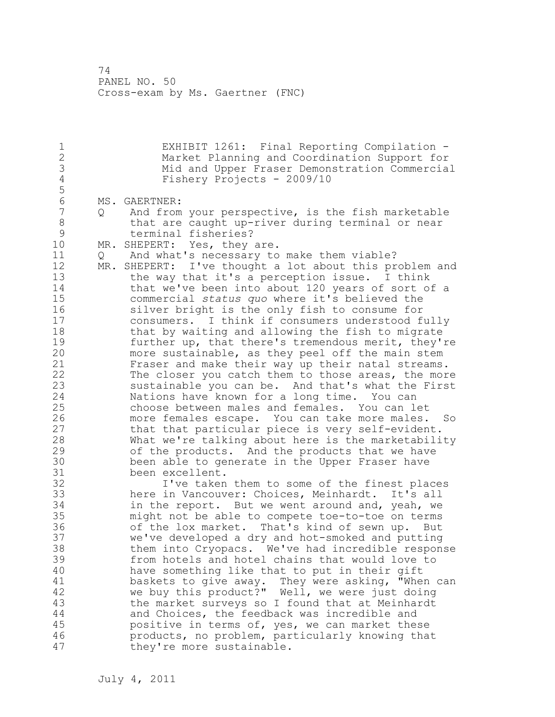1 EXHIBIT 1261: Final Reporting Compilation - 2 Market Planning and Coordination Support for 3 Mid and Upper Fraser Demonstration Commercial Fishery Projects - 2009/10 5 6 MS. GAERTNER:<br>7 0 And from And from your perspective, is the fish marketable 8 that are caught up-river during terminal or near 9 terminal fisheries?<br>10 MR. SHEPERT: Yes, thev MR. SHEPERT: Yes, they are. 11 Q And what's necessary to make them viable? 12 MR. SHEPERT: I've thought a lot about this problem and 13 the way that it's a perception issue. I think 14 that we've been into about 120 years of sort of a 15 commercial *status quo* where it's believed the 16 silver bright is the only fish to consume for 17 consumers. I think if consumers understood fully 18 that by waiting and allowing the fish to migrate 19 further up, that there's tremendous merit, they're<br>20 more sustainable, as they peel off the main stem more sustainable, as they peel off the main stem 21 Fraser and make their way up their natal streams. 22 The closer you catch them to those areas, the more 23 sustainable you can be. And that's what the First 24 Nations have known for a long time. You can 25 choose between males and females. You can let 26 more females escape. You can take more males. So<br>27 that that particular piece is very self-evident. that that particular piece is very self-evident. 28 What we're talking about here is the marketability 29 of the products. And the products that we have 30 been able to generate in the Upper Fraser have<br>31 been excellent. 31 been excellent.<br>32 1've taken I've taken them to some of the finest places 33 here in Vancouver: Choices, Meinhardt. It's all 34 in the report. But we went around and, yeah, we 35 might not be able to compete toe-to-toe on terms 36 of the lox market. That's kind of sewn up. But 37 we've developed a dry and hot-smoked and putting 38 them into Cryopacs. We've had incredible response 39 from hotels and hotel chains that would love to 40 have something like that to put in their gift 41 baskets to give away. They were asking, "When can<br>42 we buy this product?" Well, we were just doing we buy this product?" Well, we were just doing 43 the market surveys so I found that at Meinhardt 44 and Choices, the feedback was incredible and 45 positive in terms of, yes, we can market these 46 products, no problem, particularly knowing that 47 they're more sustainable.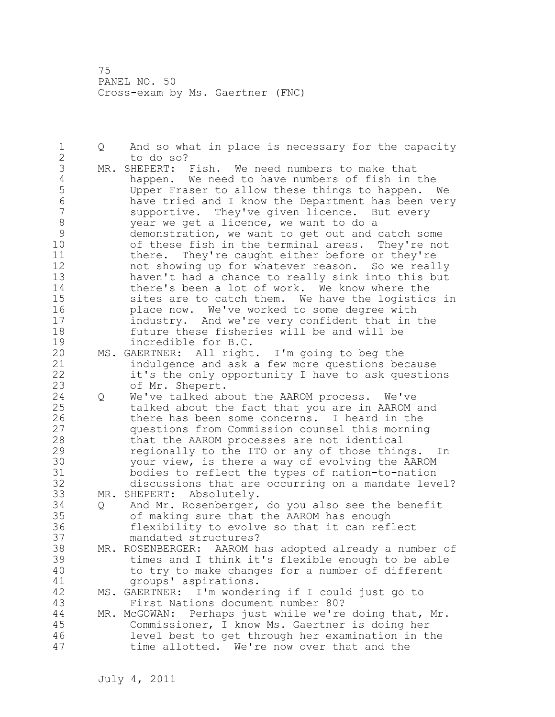1 Q And so what in place is necessary for the capacity 2 to do so? 3 MR. SHEPERT: Fish. We need numbers to make that<br>4 happen. We need to have numbers of fish in 4 happen. We need to have numbers of fish in the<br>5 Upper Fraser to allow these things to happen. 5 Upper Fraser to allow these things to happen. We 6 have tried and I know the Department has been very supportive. They've given licence. But every 8 year we get a licence, we want to do a<br>9 demonstration, we want to get out and o 9 demonstration, we want to get out and catch some<br>10 of these fish in the terminal areas. They're no of these fish in the terminal areas. They're not 11 there. They're caught either before or they're 12 not showing up for whatever reason. So we really 13 haven't had a chance to really sink into this but 14 there's been a lot of work. We know where the 15 sites are to catch them. We have the logistics in 16 place now. We've worked to some degree with 17 industry. And we're very confident that in the 18 future these fisheries will be and will be 19 incredible for B.C.<br>20 MS. GAERTNER: All right MS. GAERTNER: All right. I'm going to beg the 21 indulgence and ask a few more questions because 22 it's the only opportunity I have to ask questions 23 of Mr. Shepert. 24 Q We've talked about the AAROM process. We've 25 talked about the fact that you are in AAROM and 26 there has been some concerns. I heard in the<br>27 questions from Commission counsel this mornin questions from Commission counsel this morning 28 that the AAROM processes are not identical 29 regionally to the ITO or any of those things. In 30 your view, is there a way of evolving the AAROM<br>31 bodies to reflect the types of nation-to-nation 31 bodies to reflect the types of nation-to-nation discussions that are occurring on a mandate level? 33 MR. SHEPERT: Absolutely. 34 Q And Mr. Rosenberger, do you also see the benefit 35 of making sure that the AAROM has enough<br>36 flexibility to evolve so that it can ref. flexibility to evolve so that it can reflect 37 mandated structures? 38 MR. ROSENBERGER: AAROM has adopted already a number of 39 times and I think it's flexible enough to be able 40 to try to make changes for a number of different 41 groups' aspirations.<br>42 MS. GAERTNER: I'm wonder MS. GAERTNER: I'm wondering if I could just go to 43 First Nations document number 80? 44 MR. McGOWAN: Perhaps just while we're doing that, Mr. 45 Commissioner, I know Ms. Gaertner is doing her 46 level best to get through her examination in the 47 time allotted. We're now over that and the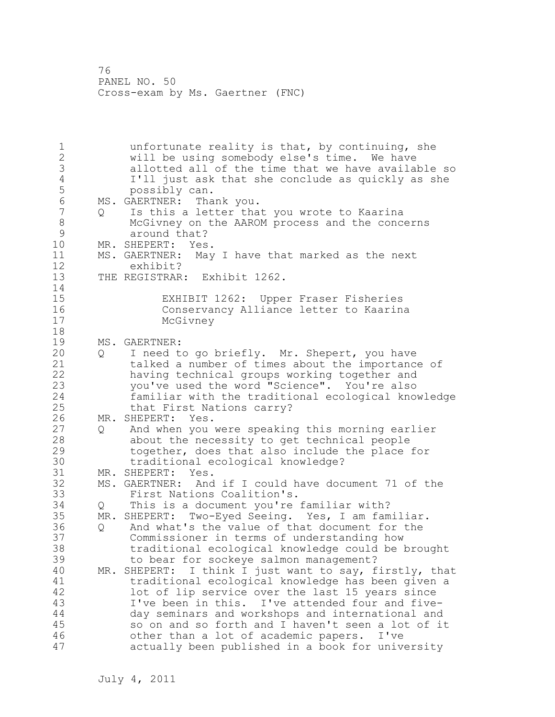1 unfortunate reality is that, by continuing, she 2 will be using somebody else's time. We have 3 allotted all of the time that we have available so 4 I'll just ask that she conclude as quickly as she 5 possibly can. 6 MS. GAERTNER: Thank you. 7 Q Is this a letter that you wrote to Kaarina 8 McGivney on the AAROM process and the concerns<br>9 around that? 9 around that?<br>10 MR. SHEPERT: Yes MR. SHEPERT: Yes. 11 MS. GAERTNER: May I have that marked as the next 12 exhibit? 13 THE REGISTRAR: Exhibit 1262. 14 15 EXHIBIT 1262: Upper Fraser Fisheries 16 Conservancy Alliance letter to Kaarina McGivney 18 19 MS. GAERTNER:<br>20 0 I need t 20 Q I need to go briefly. Mr. Shepert, you have 21 talked a number of times about the importance of 22 having technical groups working together and 23 you've used the word "Science". You're also 24 familiar with the traditional ecological knowledge 25 that First Nations carry? 26 MR. SHEPERT: Yes.<br>27 0 And when you 27 Q and when you were speaking this morning earlier<br>28 about the necessity to get technical people about the necessity to get technical people 29 together, does that also include the place for 30 traditional ecological knowledge?<br>31 MR. SHEPERT: Yes. 31 MR. SHEPERT: Yes.<br>32 MS. GAERTNER: And MS. GAERTNER: And if I could have document 71 of the 33 First Nations Coalition's. 34 Q This is a document you're familiar with? 35 MR. SHEPERT: Two-Eyed Seeing. Yes, I am familiar. 36 Q And what's the value of that document for the 37 Commissioner in terms of understanding how 38 traditional ecological knowledge could be brought 39 to bear for sockeye salmon management? 40 MR. SHEPERT: I think I just want to say, firstly, that 41 traditional ecological knowledge has been given a<br>42 10t of lip service over the last 15 years since lot of lip service over the last 15 years since 43 I've been in this. I've attended four and five-44 day seminars and workshops and international and 45 so on and so forth and I haven't seen a lot of it 46 other than a lot of academic papers. I've 47 actually been published in a book for university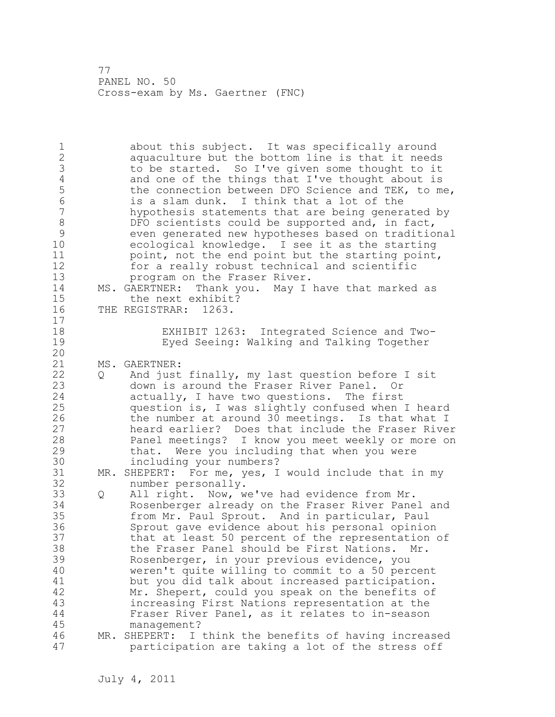1 about this subject. It was specifically around 2 aquaculture but the bottom line is that it needs 3 to be started. So I've given some thought to it<br>4 and one of the things that I've thought about is 4 and one of the things that I've thought about is<br>5 the connection between DFO Science and TEK, to m 5 the connection between DFO Science and TEK, to me,<br>6 is a slam dunk. I think that a lot of the 6 is a slam dunk. I think that a lot of the hypothesis statements that are being generated by 8 DFO scientists could be supported and, in fact,<br>9 even generated new hypotheses based on traditio 9 even generated new hypotheses based on traditional ecological knowledge. I see it as the starting 11 **point, not the end point but the starting point,** 12 for a really robust technical and scientific 13 program on the Fraser River. 14 MS. GAERTNER: Thank you. May I have that marked as 15 the next exhibit? 16 THE REGISTRAR: 1263. 17 18 EXHIBIT 1263: Integrated Science and Two-19 Eyed Seeing: Walking and Talking Together 20 21 MS. GAERTNER: 22 Q And just finally, my last question before I sit 23 down is around the Fraser River Panel. Or 24 actually, I have two questions. The first 25 question is, I was slightly confused when I heard 26 the number at around 30 meetings. Is that what I<br>27 heard earlier? Does that include the Fraser Rive heard earlier? Does that include the Fraser River 28 Panel meetings? I know you meet weekly or more on 29 that. Were you including that when you were 30 including your numbers?<br>31 MR. SHEPERT: For me, yes, I MR. SHEPERT: For me, yes, I would include that in my 32 number personally. 33 Q All right. Now, we've had evidence from Mr. 34 Rosenberger already on the Fraser River Panel and 35 from Mr. Paul Sprout. And in particular, Paul 36 Sprout gave evidence about his personal opinion 37 that at least 50 percent of the representation of 38 the Fraser Panel should be First Nations. Mr. 39 Rosenberger, in your previous evidence, you 40 weren't quite willing to commit to a 50 percent 41 but you did talk about increased participation.<br>42 Mr. Shepert, could you speak on the benefits of Mr. Shepert, could you speak on the benefits of 43 increasing First Nations representation at the 44 Fraser River Panel, as it relates to in-season 45 management? 46 MR. SHEPERT: I think the benefits of having increased 47 participation are taking a lot of the stress off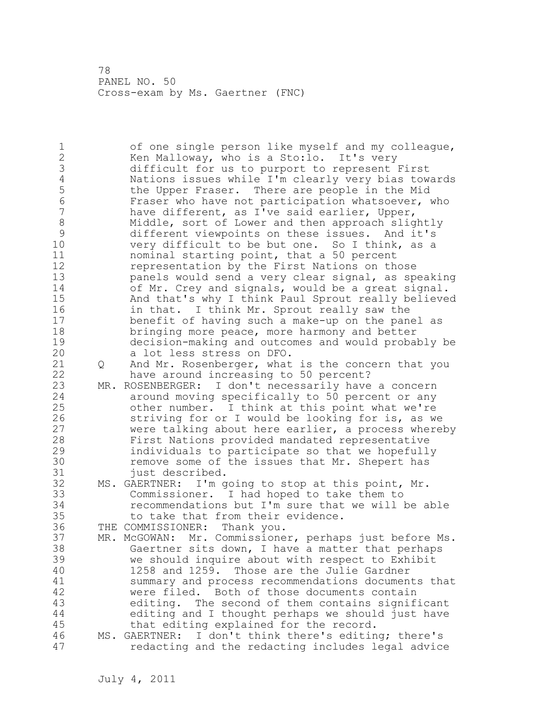1 of one single person like myself and my colleague, 2 Ken Malloway, who is a Sto:lo. It's very 3 difficult for us to purport to represent First<br>4 Nations issues while I'm clearly very bias tow 4 1 Nations issues while I'm clearly very bias towards<br>5 the Upper Fraser. There are people in the Mid 5 the Upper Fraser. There are people in the Mid<br>6 Fraser who have not participation whatsoever, 6 Fraser who have not participation whatsoever, who<br>7 have different, as I've said earlier, Upper, have different, as I've said earlier, Upper, 8 Middle, sort of Lower and then approach slightly<br>9 different viewpoints on these issues. And it's 9 different viewpoints on these issues. And it's very difficult to be but one. So I think, as a 11 nominal starting point, that a 50 percent 12 representation by the First Nations on those 13 panels would send a very clear signal, as speaking 14 of Mr. Crey and signals, would be a great signal. 15 And that's why I think Paul Sprout really believed 16 in that. I think Mr. Sprout really saw the 17 benefit of having such a make-up on the panel as 18 bringing more peace, more harmony and better 19 decision-making and outcomes and would probably be a lot less stress on DFO. 21 Q And Mr. Rosenberger, what is the concern that you 22 have around increasing to 50 percent? 23 MR. ROSENBERGER: I don't necessarily have a concern 24 around moving specifically to 50 percent or any 25 other number. I think at this point what we're 26 striving for or I would be looking for is, as we<br>27 were talking about here earlier, a process where were talking about here earlier, a process whereby 28 First Nations provided mandated representative 29 individuals to participate so that we hopefully 30 remove some of the issues that Mr. Shepert has<br>31 iust described. just described. 32 MS. GAERTNER: I'm going to stop at this point, Mr. 33 Commissioner. I had hoped to take them to 34 recommendations but I'm sure that we will be able 35 to take that from their evidence. 36 THE COMMISSIONER: Thank you. 37 MR. McGOWAN: Mr. Commissioner, perhaps just before Ms. 38 Gaertner sits down, I have a matter that perhaps 39 we should inquire about with respect to Exhibit 40 1258 and 1259. Those are the Julie Gardner 41 summary and process recommendations documents that<br>42 were filed. Both of those documents contain were filed. Both of those documents contain 43 editing. The second of them contains significant 44 editing and I thought perhaps we should just have 45 that editing explained for the record. 46 MS. GAERTNER: I don't think there's editing; there's 47 redacting and the redacting includes legal advice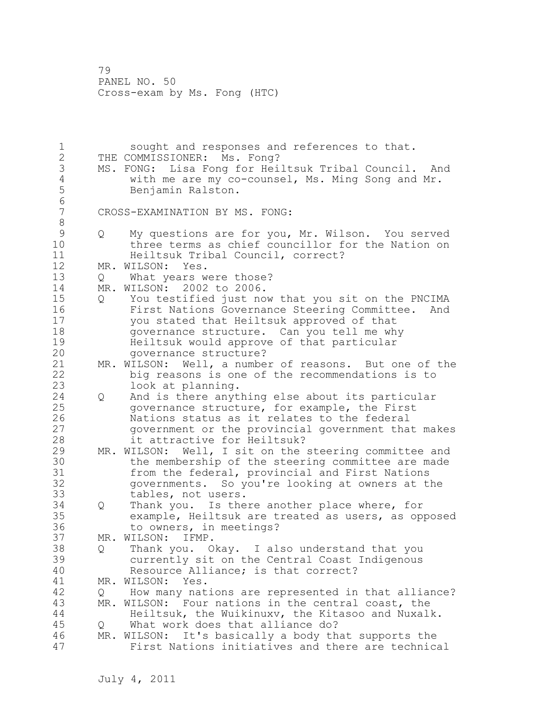1 sought and responses and references to that. 2 THE COMMISSIONER: Ms. Fong? 3 MS. FONG: Lisa Fong for Heiltsuk Tribal Council. And<br>4 with me are my co-counsel, Ms. Ming Song and Mr. 4 with me are my co-counsel, Ms. Ming Song and Mr. 5 Benjamin Ralston. 6<br>7 CROSS-EXAMINATION BY MS. FONG: 8 9 Q My questions are for you, Mr. Wilson. You served three terms as chief councillor for the Nation on 11 Heiltsuk Tribal Council, correct? 12 MR. WILSON: Yes. 13 Q What years were those? 14 MR. WILSON: 2002 to 2006. 15 Q You testified just now that you sit on the PNCIMA 16 First Nations Governance Steering Committee. And 17 you stated that Heiltsuk approved of that 18 governance structure. Can you tell me why 19 Heiltsuk would approve of that particular 20 governance structure? 21 MR. WILSON: Well, a number of reasons. But one of the 22 big reasons is one of the recommendations is to 23 look at planning. 24 Q And is there anything else about its particular 25 governance structure, for example, the First 26 Nations status as it relates to the federal<br>27 government or the provincial government that government or the provincial government that makes 28 it attractive for Heiltsuk? 29 MR. WILSON: Well, I sit on the steering committee and 30 the membership of the steering committee are made<br>31 from the federal, provincial and First Nations 31 from the federal, provincial and First Nations<br>32 oovernments. So vou're looking at owners at t governments. So you're looking at owners at the 33 tables, not users. 34 Q Thank you. Is there another place where, for 35 example, Heiltsuk are treated as users, as opposed 36 to owners, in meetings? 37 MR. WILSON: IFMP. 38 Q Thank you. Okay. I also understand that you 39 currently sit on the Central Coast Indigenous 40 Resource Alliance; is that correct? 41 MR. WILSON: Yes.<br>42 0 How many nat 42 Q How many nations are represented in that alliance? 43 MR. WILSON: Four nations in the central coast, the 44 Heiltsuk, the Wuikinuxv, the Kitasoo and Nuxalk. 45 Q What work does that alliance do? 46 MR. WILSON: It's basically a body that supports the 47 First Nations initiatives and there are technical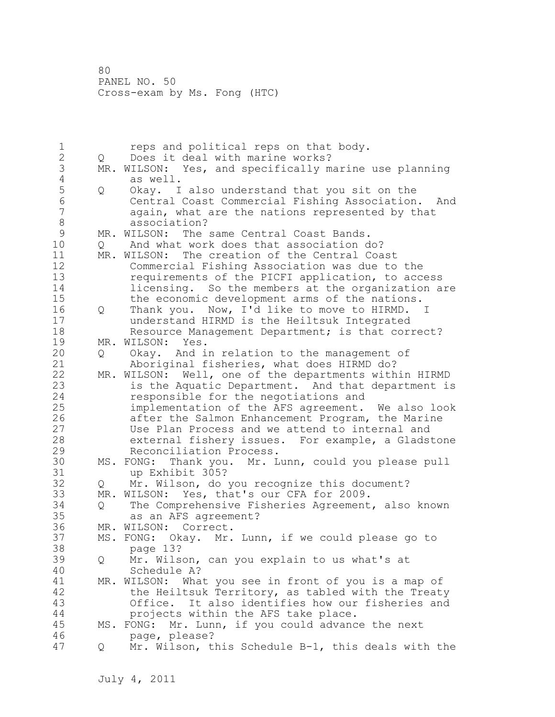1 reps and political reps on that body.<br>2 0 Does it deal with marine works? 2 Q Does it deal with marine works? 3 MR. WILSON: Yes, and specifically marine use planning<br>4 as well. 4 as well.<br>5 Q Okay. I 5 Q Okay. I also understand that you sit on the 6 Central Coast Commercial Fishing Association. And again, what are the nations represented by that 8 association?<br>9 MR. WILSON: The 9 MR. WILSON: The same Central Coast Bands.<br>10 0 And what work does that association d 10 Q And what work does that association do? 11 MR. WILSON: The creation of the Central Coast 12 Commercial Fishing Association was due to the 13 requirements of the PICFI application, to access 14 licensing. So the members at the organization are 15 the economic development arms of the nations. 16 Q Thank you. Now, I'd like to move to HIRMD. I 17 understand HIRMD is the Heiltsuk Integrated 18 Resource Management Department; is that correct? 19 MR. WILSON: Yes.<br>20 0 Okay. And i 20 Q Okay. And in relation to the management of 21 Aboriginal fisheries, what does HIRMD do? 22 MR. WILSON: Well, one of the departments within HIRMD 23 is the Aquatic Department. And that department is 24 responsible for the negotiations and 25 implementation of the AFS agreement. We also look 26 after the Salmon Enhancement Program, the Marine<br>27 Suite Plan Process and we attend to internal and Use Plan Process and we attend to internal and 28 external fishery issues. For example, a Gladstone 29 Reconciliation Process. 30 MS. FONG: Thank you. Mr. Lunn, could you please pull 31 up Exhibit 305?<br>32 0 Mr. Wilson, do Q Mr. Wilson, do you recognize this document? 33 MR. WILSON: Yes, that's our CFA for 2009. 34 Q The Comprehensive Fisheries Agreement, also known 35 as an AFS agreement? 36 MR. WILSON: Correct. 37 MS. FONG: Okay. Mr. Lunn, if we could please go to 38 page 13? 39 Q Mr. Wilson, can you explain to us what's at 40 Schedule A? 41 MR. WILSON: What you see in front of you is a map of<br>42 the Heiltsuk Territory, as tabled with the Treat the Heiltsuk Territory, as tabled with the Treaty 43 Office. It also identifies how our fisheries and 44 projects within the AFS take place. 45 MS. FONG: Mr. Lunn, if you could advance the next 46 page, please? 47 Q Mr. Wilson, this Schedule B-1, this deals with the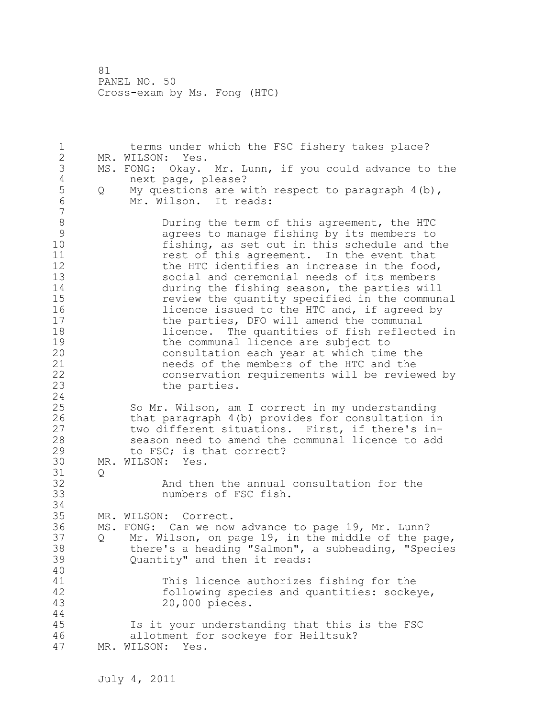1 terms under which the FSC fishery takes place? 2 MR. WILSON: Yes. 3 MS. FONG: Okay. Mr. Lunn, if you could advance to the 4 4 mext page, please?<br>5 0 My questions are w 5 Q My questions are with respect to paragraph 4(b),<br>6 Mr. Wilson. It reads: Mr. Wilson. It reads: 7 8 During the term of this agreement, the HTC<br>9 agrees to manage fishing by its members to 9 agrees to manage fishing by its members to<br>10 fishing, as set out in this schedule and t fishing, as set out in this schedule and the 11 **11** rest of this agreement. In the event that 12 the HTC identifies an increase in the food,<br>13 social and ceremonial needs of its members social and ceremonial needs of its members 14 during the fishing season, the parties will<br>15 The preview the quantity specified in the commun 15 15 review the quantity specified in the communal<br>16 16 11 11 11 12 11 12 12 13 14 15 16 17 16 17 16 17 16 17 16 17 16 17 16 17 16 17 16 17 16 17 16 17 16 17 1 16 16 licence issued to the HTC and, if agreed by<br>17 the parties, DFO will amend the communal the parties, DFO will amend the communal 18 licence. The quantities of fish reflected in 19 the communal licence are subject to<br>20 consultation each year at which tim consultation each year at which time the 21 needs of the members of the HTC and the 22 conservation requirements will be reviewed by 23 the parties. 24 25 So Mr. Wilson, am I correct in my understanding 26 that paragraph 4(b) provides for consultation in<br>27 two different situations. First, if there's intwo different situations. First, if there's in-28 season need to amend the communal licence to add 29 to FSC; is that correct? 30 MR. WILSON: Yes.  $31$  Q<br>32 And then the annual consultation for the 33 numbers of FSC fish. 34 35 MR. WILSON: Correct. 36 MS. FONG: Can we now advance to page 19, Mr. Lunn? 37 Q Mr. Wilson, on page 19, in the middle of the page, 38 there's a heading "Salmon", a subheading, "Species 39 Quantity" and then it reads: 40 41 This licence authorizes fishing for the<br>42 following species and quantities: socke following species and quantities: sockeye, 43 20,000 pieces. 44 45 Is it your understanding that this is the FSC 46 allotment for sockeye for Heiltsuk? 47 MR. WILSON: Yes.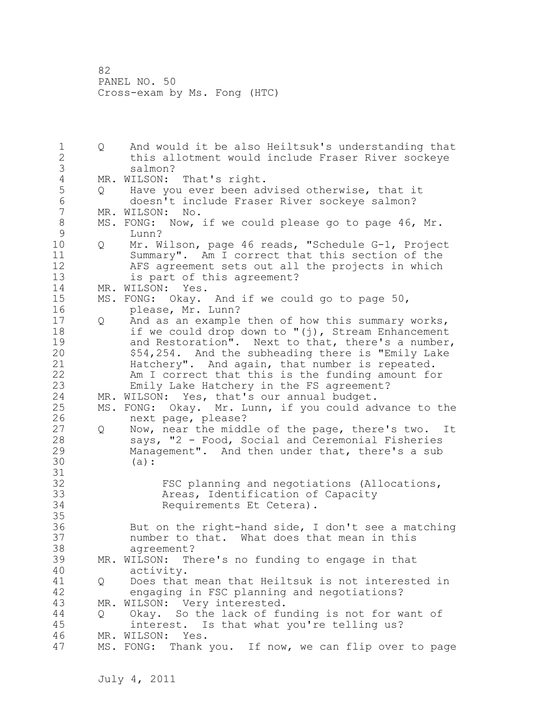1 Q And would it be also Heiltsuk's understanding that 2 this allotment would include Fraser River sockeye 3 salmon?<br>4 MR. WILSON: 4 MR. WILSON: That's right.<br>5 0 Have you ever been ad 5 Q Have you ever been advised otherwise, that it<br>6 doesn't include Fraser River sockeve salmon? 6 doesn't include Fraser River sockeye salmon? MR. WILSON: No. 8 MS. FONG: Now, if we could please go to page 46, Mr.<br>9 Lunn? 9 Lunn? 10 Q Mr. Wilson, page 46 reads, "Schedule G-1, Project 11 Summary". Am I correct that this section of the 12 AFS agreement sets out all the projects in which 13 is part of this agreement? 14 MR. WILSON: Yes. 15 MS. FONG: Okay. And if we could go to page 50, 16 please, Mr. Lunn? 17 Q And as an example then of how this summary works, 18 if we could drop down to "(j), Stream Enhancement 19 and Restoration". Next to that, there's a number,<br>20 554,254. And the subheading there is "Emily Lake \$54,254. And the subheading there is "Emily Lake 21 Hatchery". And again, that number is repeated. 22 Am I correct that this is the funding amount for 23 Emily Lake Hatchery in the FS agreement? 24 MR. WILSON: Yes, that's our annual budget. 25 MS. FONG: Okay. Mr. Lunn, if you could advance to the 26 next page, please?<br>27 0 Now, near the midd Q Now, near the middle of the page, there's two. It 28 says, "2 - Food, Social and Ceremonial Fisheries 29 Management". And then under that, there's a sub 30 (a): 31<br>32 FSC planning and negotiations (Allocations, 33 Areas, Identification of Capacity 34 Requirements Et Cetera). 35 36 But on the right-hand side, I don't see a matching 37 number to that. What does that mean in this 38 agreement? 39 MR. WILSON: There's no funding to engage in that 40 activity. 41 Q Does that mean that Heiltsuk is not interested in<br>42 engaging in FSC planning and negotiations? engaging in FSC planning and negotiations? 43 MR. WILSON: Very interested. 44 Q Okay. So the lack of funding is not for want of 45 interest. Is that what you're telling us? 46 MR. WILSON: Yes. 47 MS. FONG: Thank you. If now, we can flip over to page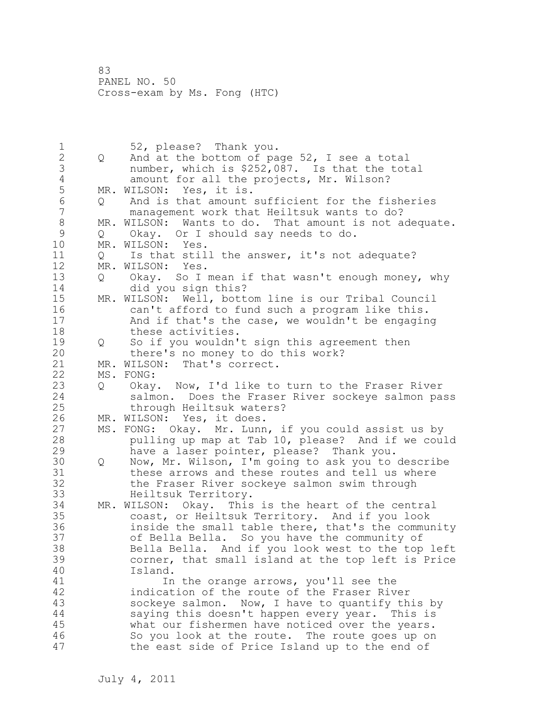1 52, please? Thank you.<br>2 0 And at the bottom of pa 2 Q And at the bottom of page 52, I see a total 3 number, which is \$252,087. Is that the total 4 amount for all the projects, Mr. Wilson?<br>5 MR. WILSON: Yes, it is. 5 MR. WILSON: Yes, it is.<br>6 0 And is that amount 6 Q And is that amount sufficient for the fisheries management work that Heiltsuk wants to do? 8 MR. WILSON: Wants to do. That amount is not adequate.<br>9 0 Okav. Or I should sav needs to do. 9 Q Okay. Or I should say needs to do. MR. WILSON: Yes. 11 Q Is that still the answer, it's not adequate? 12 MR. WILSON: Yes. 13 Q Okay. So I mean if that wasn't enough money, why 14 did you sign this? 15 MR. WILSON: Well, bottom line is our Tribal Council 16 can't afford to fund such a program like this. 17 And if that's the case, we wouldn't be engaging 18 these activities. 19 Q So if you wouldn't sign this agreement then<br>20 there's no monev to do this work? there's no money to do this work? 21 MR. WILSON: That's correct. 22 MS. FONG: 23 Q Okay. Now, I'd like to turn to the Fraser River<br>24 salmon. Does the Fraser River sockeye salmon pa salmon. Does the Fraser River sockeye salmon pass 25 through Heiltsuk waters? 26 MR. WILSON: Yes, it does.<br>27 MS. FONG: Okay. Mr. Lunn 27 MS. FONG: Okay. Mr. Lunn, if you could assist us by<br>28 bulling up map at Tab 10, please? And if we cou. pulling up map at Tab 10, please? And if we could 29 have a laser pointer, please? Thank you. 30 Q Now, Mr. Wilson, I'm going to ask you to describe 31 these arrows and these routes and tell us where<br>32 the Fraser River sockeve salmon swim through the Fraser River sockeye salmon swim through 33 Heiltsuk Territory. 34 MR. WILSON: Okay. This is the heart of the central 35 coast, or Heiltsuk Territory. And if you look 36 inside the small table there, that's the community 37 of Bella Bella. So you have the community of 38 Bella Bella. And if you look west to the top left 39 corner, that small island at the top left is Price 40 Island. 41 In the orange arrows, you'll see the 42 indication of the route of the Fraser River 43 sockeye salmon. Now, I have to quantify this by 44 saying this doesn't happen every year. This is 45 what our fishermen have noticed over the years. 46 So you look at the route. The route goes up on 47 the east side of Price Island up to the end of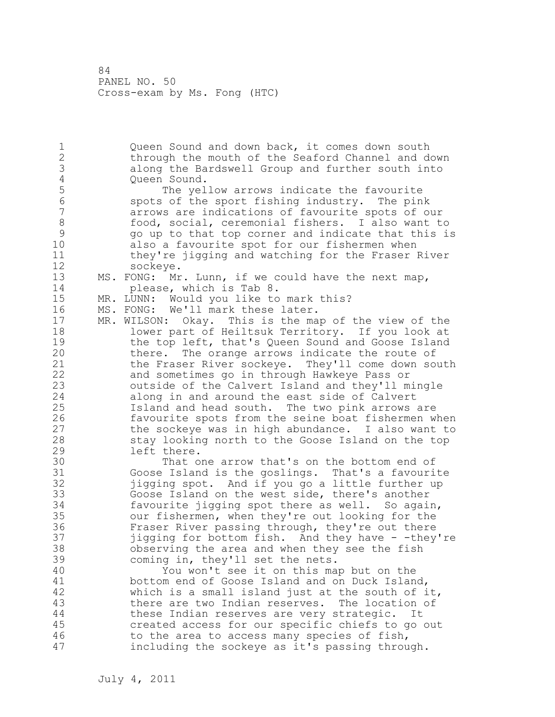1 Queen Sound and down back, it comes down south 2 through the mouth of the Seaford Channel and down 3 along the Bardswell Group and further south into 4 Queen Sound.<br>5 The yel 5 The yellow arrows indicate the favourite<br>6 Spots of the sport fishing industry. The pin 6 spots of the sport fishing industry. The pink arrows are indications of favourite spots of our 8 food, social, ceremonial fishers. I also want to 9 go up to that top corner and indicate that this is also a favourite spot for our fishermen when 11 they're jigging and watching for the Fraser River 12 sockeye. 13 MS. FONG: Mr. Lunn, if we could have the next map, 14 please, which is Tab 8. 15 MR. LUNN: Would you like to mark this? 16 MS. FONG: We'll mark these later. 17 MR. WILSON: Okay. This is the map of the view of the 18 lower part of Heiltsuk Territory. If you look at 19 the top left, that's Queen Sound and Goose Island<br>20 there. The orange arrows indicate the route of there. The orange arrows indicate the route of 21 the Fraser River sockeye. They'll come down south 22 and sometimes go in through Hawkeye Pass or 23 outside of the Calvert Island and they'll mingle 24 along in and around the east side of Calvert 25 Island and head south. The two pink arrows are 26 favourite spots from the seine boat fishermen when<br>27 the sockeye was in high abundance. I also want to the sockeye was in high abundance. I also want to 28 stay looking north to the Goose Island on the top 29 left there. 30 That one arrow that's on the bottom end of<br>31 Goose Island is the goslings. That's a favouri Goose Island is the goslings. That's a favourite 32 jigging spot. And if you go a little further up 33 Goose Island on the west side, there's another 34 favourite jigging spot there as well. So again, 35 our fishermen, when they're out looking for the 36 Fraser River passing through, they're out there 37 jigging for bottom fish. And they have - -they're 38 observing the area and when they see the fish 39 coming in, they'll set the nets. 40 You won't see it on this map but on the 41 bottom end of Goose Island and on Duck Island,<br>42 which is a small island just at the south of i which is a small island just at the south of it, 43 there are two Indian reserves. The location of 44 these Indian reserves are very strategic. It 45 created access for our specific chiefs to go out 46 to the area to access many species of fish, 47 including the sockeye as it's passing through.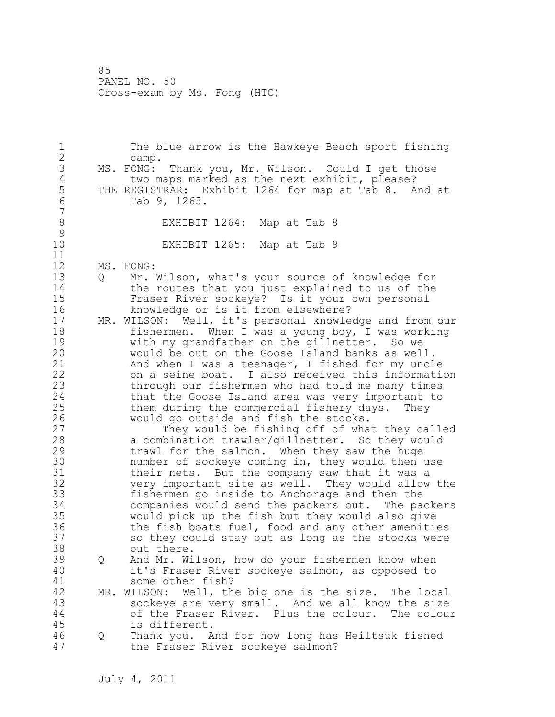1 The blue arrow is the Hawkeye Beach sport fishing 2 camp. 3 MS. FONG: Thank you, Mr. Wilson. Could I get those<br>4 two maps marked as the next exhibit, please? 4 two maps marked as the next exhibit, please?<br>5 THE REGISTRAR: Exhibit 1264 for map at Tab 8. A 5 THE REGISTRAR: Exhibit 1264 for map at Tab 8. And at<br>6 Tab 9, 1265. Tab 9, 1265. 7 8 EXHIBIT 1264: Map at Tab 8  $\begin{array}{c} 9 \\ 10 \end{array}$ EXHIBIT 1265: Map at Tab 9 11 12 MS. FONG: 13 Q Mr. Wilson, what's your source of knowledge for 14 the routes that you just explained to us of the 15 Fraser River sockeye? Is it your own personal 16 knowledge or is it from elsewhere? 17 MR. WILSON: Well, it's personal knowledge and from our 18 fishermen. When I was a young boy, I was working 19 with my grandfather on the gillnetter. So we<br>20 would be out on the Goose Island banks as wel would be out on the Goose Island banks as well. 21 And when I was a teenager, I fished for my uncle 22 on a seine boat. I also received this information 23 through our fishermen who had told me many times 24 that the Goose Island area was very important to 25 them during the commercial fishery days. They 26 would go outside and fish the stocks.<br>27 They would be fishing off of wha They would be fishing off of what they called 28 a combination trawler/gillnetter. So they would 29 trawl for the salmon. When they saw the huge 30 number of sockeye coming in, they would then use<br>31 their nets. But the company saw that it was a 31 their nets. But the company saw that it was a<br>32 very important site as well. They would allow very important site as well. They would allow the 33 fishermen go inside to Anchorage and then the 34 companies would send the packers out. The packers 35 would pick up the fish but they would also give 36 the fish boats fuel, food and any other amenities 37 so they could stay out as long as the stocks were 38 out there. 39 Q And Mr. Wilson, how do your fishermen know when 40 it's Fraser River sockeye salmon, as opposed to 41 some other fish?<br>42 MR. WILSON: Well, th MR. WILSON: Well, the big one is the size. The local 43 sockeye are very small. And we all know the size 44 of the Fraser River. Plus the colour. The colour 45 is different. 46 Q Thank you. And for how long has Heiltsuk fished 47 the Fraser River sockeye salmon?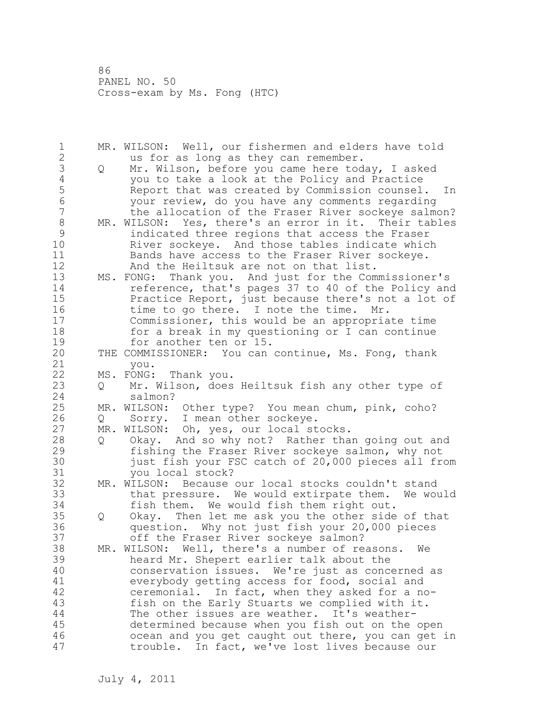| 1<br>$\overline{2}$      |                   | MR. WILSON: Well, our fishermen and elders have told<br>us for as long as they can remember.                                                                  |
|--------------------------|-------------------|---------------------------------------------------------------------------------------------------------------------------------------------------------------|
| 3<br>$\overline{4}$      | Q                 | Mr. Wilson, before you came here today, I asked<br>you to take a look at the Policy and Practice                                                              |
| 5<br>$6\phantom{a}$<br>7 |                   | Report that was created by Commission counsel.<br>In<br>your review, do you have any comments regarding<br>the allocation of the Fraser River sockeye salmon? |
| $\,8\,$                  |                   | MR. WILSON: Yes, there's an error in it. Their tables                                                                                                         |
| 9                        |                   | indicated three regions that access the Fraser                                                                                                                |
| 10                       |                   | River sockeye. And those tables indicate which                                                                                                                |
| 11<br>12                 |                   | Bands have access to the Fraser River sockeye.<br>And the Heiltsuk are not on that list.                                                                      |
| 13                       |                   | MS. FONG: Thank you. And just for the Commissioner's                                                                                                          |
| 14                       |                   | reference, that's pages 37 to 40 of the Policy and                                                                                                            |
| 15                       |                   | Practice Report, just because there's not a lot of                                                                                                            |
| 16                       |                   | time to go there. I note the time.<br>Mr.                                                                                                                     |
| 17                       |                   | Commissioner, this would be an appropriate time                                                                                                               |
| 18                       |                   | for a break in my questioning or I can continue                                                                                                               |
| 19                       |                   | for another ten or 15.                                                                                                                                        |
| 20                       |                   | THE COMMISSIONER: You can continue, Ms. Fong, thank                                                                                                           |
| 21                       |                   | you.                                                                                                                                                          |
| 22                       |                   | MS. FONG: Thank you.                                                                                                                                          |
| 23<br>24                 | $Q \qquad \qquad$ | Mr. Wilson, does Heiltsuk fish any other type of<br>salmon?                                                                                                   |
| 25                       |                   | MR. WILSON: Other type? You mean chum, pink, coho?                                                                                                            |
| 26                       | $Q \qquad \qquad$ | Sorry. I mean other sockeye.                                                                                                                                  |
| 27                       |                   | MR. WILSON: Oh, yes, our local stocks.                                                                                                                        |
| 28                       | $Q \qquad \qquad$ | Okay. And so why not? Rather than going out and                                                                                                               |
| 29                       |                   | fishing the Fraser River sockeye salmon, why not                                                                                                              |
| 30                       |                   | just fish your FSC catch of 20,000 pieces all from                                                                                                            |
| 31                       |                   | you local stock?                                                                                                                                              |
| 32                       |                   | MR. WILSON: Because our local stocks couldn't stand                                                                                                           |
| 33                       |                   | that pressure. We would extirpate them. We would                                                                                                              |
| 34                       |                   | fish them. We would fish them right out.                                                                                                                      |
| 35<br>36                 | Q                 | Okay. Then let me ask you the other side of that<br>question. Why not just fish your 20,000 pieces                                                            |
| 37                       |                   | off the Fraser River sockeye salmon?                                                                                                                          |
| 38                       |                   | MR. WILSON: Well, there's a number of reasons.<br>We                                                                                                          |
| 39                       |                   | heard Mr. Shepert earlier talk about the                                                                                                                      |
| 40                       |                   | conservation issues. We're just as concerned as                                                                                                               |
| 41                       |                   | everybody getting access for food, social and                                                                                                                 |
| 42                       |                   | ceremonial. In fact, when they asked for a no-                                                                                                                |
| 43                       |                   | fish on the Early Stuarts we complied with it.                                                                                                                |
| 44                       |                   | The other issues are weather. It's weather-                                                                                                                   |
| 45                       |                   | determined because when you fish out on the open                                                                                                              |
| 46                       |                   | ocean and you get caught out there, you can get in                                                                                                            |
| 47                       |                   | trouble. In fact, we've lost lives because our                                                                                                                |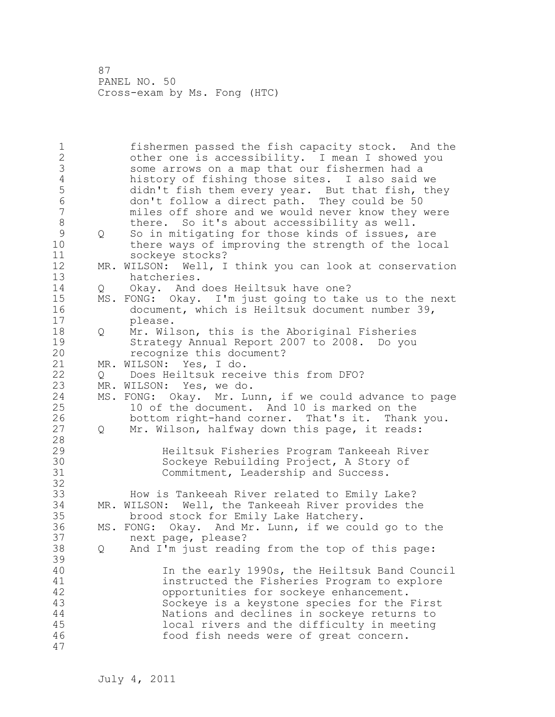1 fishermen passed the fish capacity stock. And the 2 other one is accessibility. I mean I showed you 3 some arrows on a map that our fishermen had a<br>4 history of fishing those sites. I also said w 4 history of fishing those sites. I also said we<br>5 didn't fish them every year. But that fish, th 5 didn't fish them every year. But that fish, they<br>6 don't follow a direct path. They could be 50 6 don't follow a direct path. They could be 50 miles off shore and we would never know they were 8 there. So it's about accessibility as well. 9 Q So in mitigating for those kinds of issues, are<br>10 there ways of improving the strength of the loc there ways of improving the strength of the local 11 sockeye stocks? 12 MR. WILSON: Well, I think you can look at conservation 13 hatcheries. 14 Q Okay. And does Heiltsuk have one? 15 MS. FONG: Okay. I'm just going to take us to the next 16 document, which is Heiltsuk document number 39, 17 please. 18 Q Mr. Wilson, this is the Aboriginal Fisheries 19 Strategy Annual Report 2007 to 2008. Do you recognize this document? 21 MR. WILSON: Yes, I do. 22 Q Does Heiltsuk receive this from DFO? 23 MR. WILSON: Yes, we do. 24 MS. FONG: Okay. Mr. Lunn, if we could advance to page 25 10 of the document. And 10 is marked on the 26 bottom right-hand corner. That's it. Thank you.<br>27 0 Mr. Wilson, halfway down this page, it reads: Q Mr. Wilson, halfway down this page, it reads: 28 29 Heiltsuk Fisheries Program Tankeeah River 30 Sockeye Rebuilding Project, A Story of Sockeye Rebuilding Project, A Story of Commitment, Leadership and Success. 32 33 How is Tankeeah River related to Emily Lake? 34 MR. WILSON: Well, the Tankeeah River provides the 35 brood stock for Emily Lake Hatchery. 36 MS. FONG: Okay. And Mr. Lunn, if we could go to the 37 next page, please? 38 Q And I'm just reading from the top of this page: 39 40 In the early 1990s, the Heiltsuk Band Council 41 instructed the Fisheries Program to explore<br>42 opportunities for sockeve enhancement. opportunities for sockeye enhancement. 43 Sockeye is a keystone species for the First 44 Nations and declines in sockeye returns to 45 local rivers and the difficulty in meeting 46 food fish needs were of great concern. 47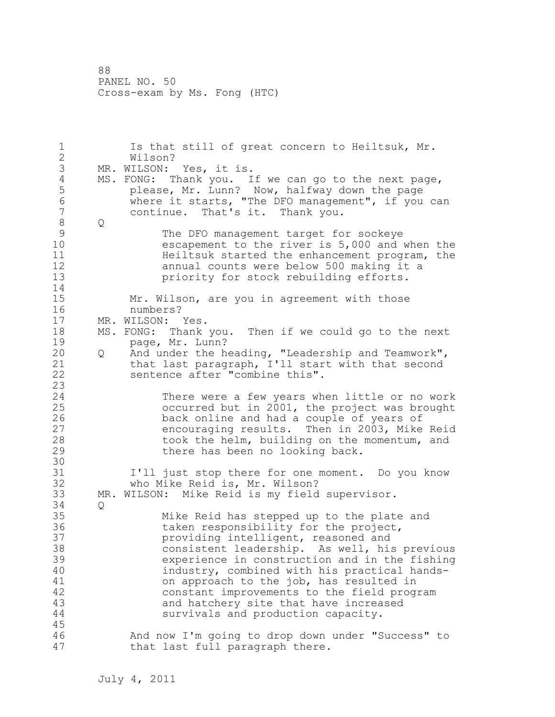1 Is that still of great concern to Heiltsuk, Mr. 2 Wilson? 3 MR. WILSON: Yes, it is.<br>4 MS. FONG: Thank you. I 4 MS. FONG: Thank you. If we can go to the next page,<br>5 bease, Mr. Lunn? Now, halfway down the page 5 please, Mr. Lunn? Now, halfway down the page<br>6 where it starts, "The DFO management", if you 6 where it starts, "The DFO management", if you can continue. That's it. Thank you. 8 Q 9 The DFO management target for sockeye<br>10 escapement to the river is 5,000 and escapement to the river is 5,000 and when the 11 **Heiltsuk started the enhancement program, the** 12 annual counts were below 500 making it a 13 priority for stock rebuilding efforts. 14 15 Mr. Wilson, are you in agreement with those 16 numbers? 17 MR. WILSON: Yes. 18 MS. FONG: Thank you. Then if we could go to the next 19 page, Mr. Lunn?<br>20 0 And under the h 20 Q And under the heading, "Leadership and Teamwork", 21 that last paragraph, I'll start with that second 22 sentence after "combine this". 23 24 There were a few years when little or no work 25 occurred but in 2001, the project was brought 26 back online and had a couple of years of<br>27 encouraging results. Then in 2003, Mike 27 encouraging results. Then in 2003, Mike Reid<br>28 took the helm, building on the momentum, and took the helm, building on the momentum, and 29 there has been no looking back. 30<br>31 I'll just stop there for one moment. Do you know 32 who Mike Reid is, Mr. Wilson? 33 MR. WILSON: Mike Reid is my field supervisor. 34 Q 35 Mike Reid has stepped up to the plate and 36 taken responsibility for the project, 37 providing intelligent, reasoned and 38 consistent leadership. As well, his previous 39 experience in construction and in the fishing 40 industry, combined with his practical hands-41 on approach to the job, has resulted in<br>42 constant improvements to the field prog constant improvements to the field program 43 and hatchery site that have increased 44 survivals and production capacity. 45 46 And now I'm going to drop down under "Success" to 47 that last full paragraph there.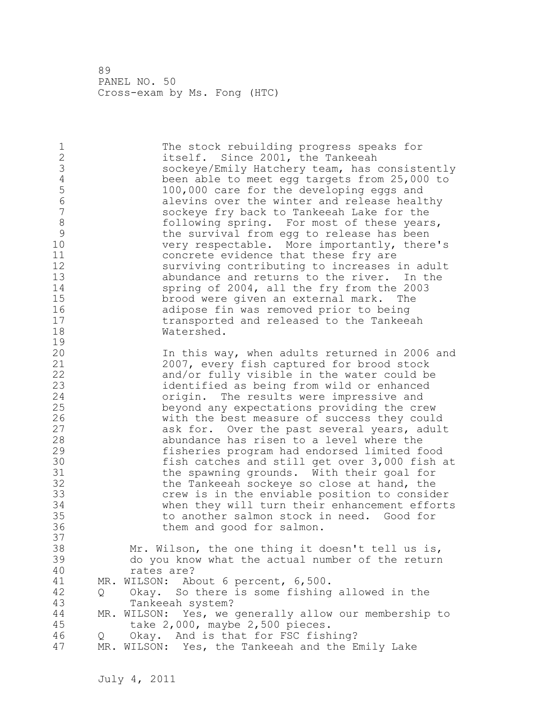| $\mathbf 1$<br>$\sqrt{2}$<br>3<br>$\sqrt{4}$<br>5<br>$6\phantom{a}$<br>$\overline{7}$<br>$\,8\,$<br>9<br>10<br>11<br>12<br>13<br>14<br>15<br>16<br>17<br>18<br>19 |        | The stock rebuilding progress speaks for<br>itself. Since 2001, the Tankeeah<br>sockeye/Emily Hatchery team, has consistently<br>been able to meet egg targets from 25,000 to<br>100,000 care for the developing eggs and<br>alevins over the winter and release healthy<br>sockeye fry back to Tankeeah Lake for the<br>following spring. For most of these years,<br>the survival from egg to release has been<br>very respectable. More importantly, there's<br>concrete evidence that these fry are<br>surviving contributing to increases in adult<br>abundance and returns to the river. In the<br>spring of 2004, all the fry from the 2003<br>brood were given an external mark. The<br>adipose fin was removed prior to being<br>transported and released to the Tankeeah<br>Watershed. |
|-------------------------------------------------------------------------------------------------------------------------------------------------------------------|--------|--------------------------------------------------------------------------------------------------------------------------------------------------------------------------------------------------------------------------------------------------------------------------------------------------------------------------------------------------------------------------------------------------------------------------------------------------------------------------------------------------------------------------------------------------------------------------------------------------------------------------------------------------------------------------------------------------------------------------------------------------------------------------------------------------|
| 20<br>21<br>22<br>23<br>24<br>25<br>26<br>27<br>28<br>29<br>30<br>31<br>32<br>33<br>34<br>35<br>36<br>37                                                          |        | In this way, when adults returned in 2006 and<br>2007, every fish captured for brood stock<br>and/or fully visible in the water could be<br>identified as being from wild or enhanced<br>origin. The results were impressive and<br>beyond any expectations providing the crew<br>with the best measure of success they could<br>ask for. Over the past several years, adult<br>abundance has risen to a level where the<br>fisheries program had endorsed limited food<br>fish catches and still get over 3,000 fish at<br>the spawning grounds. With their goal for<br>the Tankeeah sockeye so close at hand, the<br>crew is in the enviable position to consider<br>when they will turn their enhancement efforts<br>to another salmon stock in need. Good for<br>them and good for salmon.   |
| 38<br>39<br>40<br>41<br>42<br>43<br>44<br>45<br>46<br>47                                                                                                          | Q<br>Q | Mr. Wilson, the one thing it doesn't tell us is,<br>do you know what the actual number of the return<br>rates are?<br>MR. WILSON: About 6 percent, 6,500.<br>So there is some fishing allowed in the<br>Okay.<br>Tankeeah system?<br>MR. WILSON: Yes, we generally allow our membership to<br>take 2,000, maybe 2,500 pieces.<br>Okay. And is that for FSC fishing?<br>MR. WILSON: Yes, the Tankeeah and the Emily Lake                                                                                                                                                                                                                                                                                                                                                                          |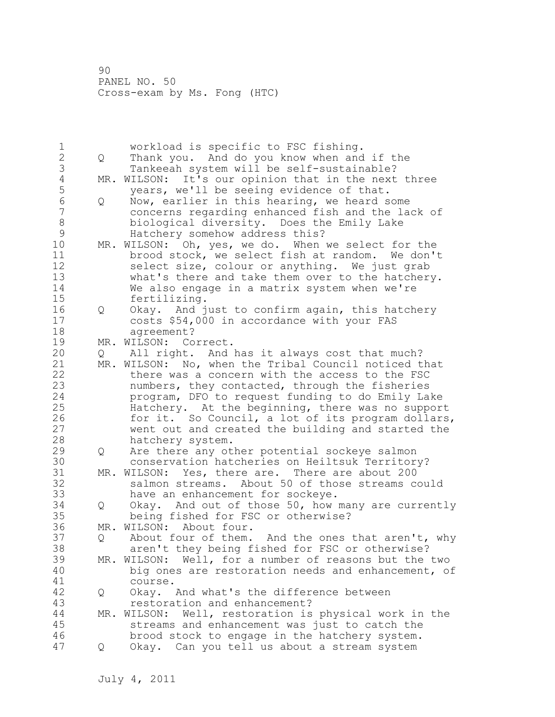1 morkload is specific to FSC fishing.<br>2 0 Thank you. And do you know when and 2 Q Thank you. And do you know when and if the 3 Tankeeah system will be self-sustainable?<br>4 MR. WILSON: It's our opinion that in the next 4 MR. WILSON: It's our opinion that in the next three<br>5 vears, we'll be seeing evidence of that. 5 years, we'll be seeing evidence of that.<br>6 0 Now, earlier in this hearing, we heard s 6 Q Now, earlier in this hearing, we heard some concerns regarding enhanced fish and the lack of 8 biological diversity. Does the Emily Lake 9 Hatchery somehow address this?<br>10 MR. WILSON: Oh, ves, we do. When MR. WILSON: Oh, yes, we do. When we select for the 11 brood stock, we select fish at random. We don't 12 select size, colour or anything. We just grab 13 what's there and take them over to the hatchery. 14 We also engage in a matrix system when we're 15 fertilizing. 16 Q Okay. And just to confirm again, this hatchery 17 costs \$54,000 in accordance with your FAS 18 agreement? 19 MR. WILSON: Correct.<br>20 0 All right. And 20 Q All right. And has it always cost that much? 21 MR. WILSON: No, when the Tribal Council noticed that 22 there was a concern with the access to the FSC 23 numbers, they contacted, through the fisheries 24 program, DFO to request funding to do Emily Lake 25 Hatchery. At the beginning, there was no support 26 for it. So Council, a lot of its program dollars,<br>27 went out and created the building and started the went out and created the building and started the 28 hatchery system. 29 Q Are there any other potential sockeye salmon 30 conservation hatcheries on Heiltsuk Territory?<br>31 MR. WILSON: Yes, there are. There are about 200 31 MR. WILSON: Yes, there are. There are about 200<br>32 Salmon streams. About 50 of those streams co salmon streams. About 50 of those streams could 33 have an enhancement for sockeye. 34 Q Okay. And out of those 50, how many are currently 35 being fished for FSC or otherwise? 36 MR. WILSON: About four. 37 Q About four of them. And the ones that aren't, why 38 aren't they being fished for FSC or otherwise? 39 MR. WILSON: Well, for a number of reasons but the two 40 big ones are restoration needs and enhancement, of 41 course.<br>42 O Okav. 42 Q Okay. And what's the difference between 43 restoration and enhancement? 44 MR. WILSON: Well, restoration is physical work in the 45 streams and enhancement was just to catch the 46 brood stock to engage in the hatchery system. 47 Q Okay. Can you tell us about a stream system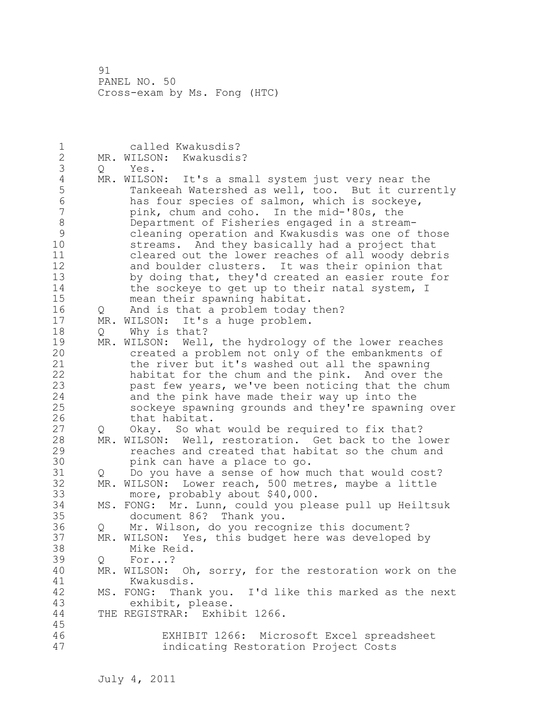| $\mathbf 1$    |               | called Kwakusdis?                                         |
|----------------|---------------|-----------------------------------------------------------|
| $\overline{c}$ |               | MR. WILSON: Kwakusdis?                                    |
| 3              |               | Q Yes.                                                    |
| $\sqrt{4}$     |               | MR. WILSON: It's a small system just very near the        |
| 5              |               | Tankeeah Watershed as well, too. But it currently         |
| $\overline{6}$ |               | has four species of salmon, which is sockeye,             |
| $\overline{7}$ |               | pink, chum and coho. In the mid-'80s, the                 |
| $\,8\,$        |               | Department of Fisheries engaged in a stream-              |
| $\mathsf 9$    |               | cleaning operation and Kwakusdis was one of those         |
| 10             |               | streams. And they basically had a project that            |
| 11             |               | cleared out the lower reaches of all woody debris         |
| 12             |               | and boulder clusters. It was their opinion that           |
| 13             |               | by doing that, they'd created an easier route for         |
| 14             |               | the sockeye to get up to their natal system, I            |
| 15             |               | mean their spawning habitat.                              |
| 16             | Q             | And is that a problem today then?                         |
| 17             | MR.           | WILSON: It's a huge problem.                              |
| 18             | Q             | Why is that?                                              |
| 19             | MR.           | WILSON: Well, the hydrology of the lower reaches          |
| 20             |               | created a problem not only of the embankments of          |
| 21             |               | the river but it's washed out all the spawning            |
| 22             |               | habitat for the chum and the pink. And over the           |
| 23             |               | past few years, we've been noticing that the chum         |
| 24             |               | and the pink have made their way up into the              |
| 25             |               | sockeye spawning grounds and they're spawning over        |
| 26             |               | that habitat.                                             |
| 27             | Q             | Okay. So what would be required to fix that?              |
| 28             |               | MR. WILSON: Well, restoration. Get back to the lower      |
| 29             |               | reaches and created that habitat so the chum and          |
| 30             |               | pink can have a place to go.                              |
| 31             | $Q_{\rm max}$ | Do you have a sense of how much that would cost?          |
| 32             |               | MR. WILSON: Lower reach, 500 metres, maybe a little       |
| 33             |               | more, probably about \$40,000.                            |
| 34             |               | MS. FONG: Mr. Lunn, could you please pull up Heiltsuk     |
| 35             |               | document 86? Thank you.                                   |
| 36             |               | Q Mr. Wilson, do you recognize this document?             |
| 37             |               | MR. WILSON: Yes, this budget here was developed by        |
| 38             |               |                                                           |
| 39             |               | Mike Reid.<br>For?                                        |
| 40             | Q             | Oh, sorry, for the restoration work on the<br>MR. WILSON: |
|                |               | Kwakusdis.                                                |
| 41             |               | MS. FONG: Thank you. I'd like this marked as the next     |
| 42<br>43       |               | exhibit, please.                                          |
|                |               | THE REGISTRAR: Exhibit 1266.                              |
| 44<br>45       |               |                                                           |
| 46             |               | EXHIBIT 1266: Microsoft Excel spreadsheet                 |
| 47             |               |                                                           |
|                |               | indicating Restoration Project Costs                      |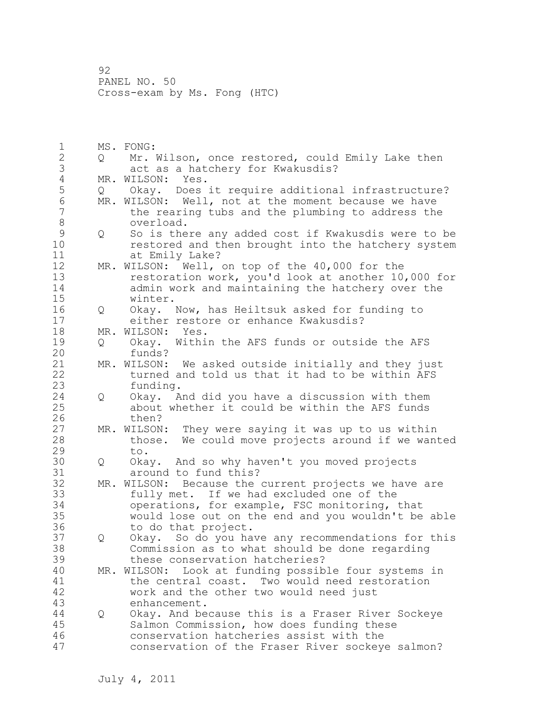1 MS. FONG: 2 Q Mr. Wilson, once restored, could Emily Lake then 3 act as a hatchery for Kwakusdis? 4 MR. WILSON: Yes.<br>5 Q Okay. Does Okay. Does it require additional infrastructure? 6 MR. WILSON: Well, not at the moment because we have<br>7 the rearing tubs and the plumbing to address the the rearing tubs and the plumbing to address the 8 overload.<br>9 0 So is the 9 Q So is there any added cost if Kwakusdis were to be<br>10 Testored and then brought into the hatchery system restored and then brought into the hatchery system 11 at Emily Lake? 12 MR. WILSON: Well, on top of the 40,000 for the 13 restoration work, you'd look at another 10,000 for 14 admin work and maintaining the hatchery over the 15 winter. 16 Q Okay. Now, has Heiltsuk asked for funding to 17 either restore or enhance Kwakusdis? 18 MR. WILSON: Yes. 19 Q Okay. Within the AFS funds or outside the AFS<br>20 funds? funds? 21 MR. WILSON: We asked outside initially and they just 22 turned and told us that it had to be within AFS 23 funding. 24 Q Okay. And did you have a discussion with them 25 about whether it could be within the AFS funds 26 then?<br>27 MR. WILSON MR. WILSON: They were saying it was up to us within 28 those. We could move projects around if we wanted 29 to. 30 Q Okay. And so why haven't you moved projects around to fund this? 32 MR. WILSON: Because the current projects we have are 33 fully met. If we had excluded one of the 34 operations, for example, FSC monitoring, that 35 would lose out on the end and you wouldn't be able 36 to do that project. 37 Q Okay. So do you have any recommendations for this 38 Commission as to what should be done regarding 39 these conservation hatcheries? 40 MR. WILSON: Look at funding possible four systems in 41 the central coast. Two would need restoration<br>42 work and the other two would need just work and the other two would need just 43 enhancement. 44 Q Okay. And because this is a Fraser River Sockeye 45 Salmon Commission, how does funding these 46 conservation hatcheries assist with the 47 conservation of the Fraser River sockeye salmon?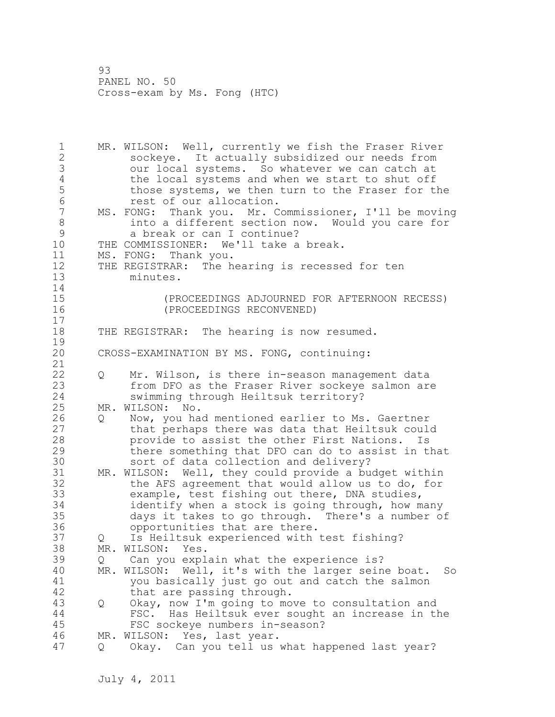1 MR. WILSON: Well, currently we fish the Fraser River 2 sockeye. It actually subsidized our needs from 3 our local systems. So whatever we can catch at 4 the local systems and when we start to shut off<br>5 those systems, we then turn to the Fraser for ti those systems, we then turn to the Fraser for the 6 **rest of our allocation.**<br>7 MS. FONG: Thank you. Mr. C MS. FONG: Thank you. Mr. Commissioner, I'll be moving 8 into a different section now. Would you care for 9 a break or can I continue?<br>10 THE COMMISSIONER: We'll take a THE COMMISSIONER: We'll take a break. 11 MS. FONG: Thank you. 12 THE REGISTRAR: The hearing is recessed for ten 13 minutes. 14 15 (PROCEEDINGS ADJOURNED FOR AFTERNOON RECESS) 16 (PROCEEDINGS RECONVENED) 17 18 THE REGISTRAR: The hearing is now resumed.  $\frac{19}{20}$ CROSS-EXAMINATION BY MS. FONG, continuing: 21 22 Q Mr. Wilson, is there in-season management data 23 from DFO as the Fraser River sockeye salmon are 24 swimming through Heiltsuk territory? 25 MR. WILSON: No. 26 Q Now, you had mentioned earlier to Ms. Gaertner<br>27 that perhaps there was data that Heiltsuk could 27 that perhaps there was data that Heiltsuk could<br>28 herovide to assist the other First Nations. Is provide to assist the other First Nations. Is 29 there something that DFO can do to assist in that 30 sort of data collection and delivery?<br>31 MR. WILSON: Well, they could provide a bu MR. WILSON: Well, they could provide a budget within 32 the AFS agreement that would allow us to do, for 33 example, test fishing out there, DNA studies, 34 identify when a stock is going through, how many 35 days it takes to go through. There's a number of 36 opportunities that are there. 37 Q Is Heiltsuk experienced with test fishing? 38 MR. WILSON: Yes. 39 Q Can you explain what the experience is? 40 MR. WILSON: Well, it's with the larger seine boat. So 41 you basically just go out and catch the salmon<br>42 that are passing through. that are passing through. 43 Q Okay, now I'm going to move to consultation and 44 FSC. Has Heiltsuk ever sought an increase in the 45 FSC sockeye numbers in-season? 46 MR. WILSON: Yes, last year. 47 Q Okay. Can you tell us what happened last year?

July 4, 2011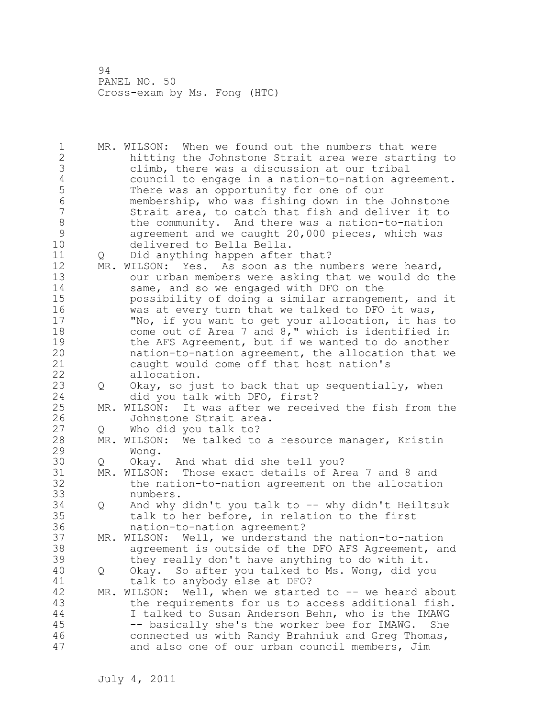1 MR. WILSON: When we found out the numbers that were 2 hitting the Johnstone Strait area were starting to 3 climb, there was a discussion at our tribal<br>4 council to engage in a nation-to-nation agre 4 council to engage in a nation-to-nation agreement.<br>5 There was an opportunity for one of our 5 There was an opportunity for one of our 6 membership, who was fishing down in the Johnstone Strait area, to catch that fish and deliver it to 8 the community. And there was a nation-to-nation<br>9 agreement and we caught 20,000 pieces, which was 9 agreement and we caught 20,000 pieces, which was<br>10 delivered to Bella Bella. delivered to Bella Bella. 11 Q Did anything happen after that? 12 MR. WILSON: Yes. As soon as the numbers were heard, 13 our urban members were asking that we would do the 14 same, and so we engaged with DFO on the 15 possibility of doing a similar arrangement, and it 16 was at every turn that we talked to DFO it was, 17 "No, if you want to get your allocation, it has to 18 come out of Area 7 and 8," which is identified in 19 the AFS Agreement, but if we wanted to do another<br>20 hation-to-nation agreement, the allocation that we nation-to-nation agreement, the allocation that we 21 caught would come off that host nation's 22 allocation. 23 Q Okay, so just to back that up sequentially, when 24 did you talk with DFO, first? 25 MR. WILSON: It was after we received the fish from the 26 Johnstone Strait area.<br>27 0 Who did you talk to? Q Who did you talk to? 28 MR. WILSON: We talked to a resource manager, Kristin 29 Wong. 30 Q Okay. And what did she tell you?<br>31 MR. WILSON: Those exact details of Ar 31 MR. WILSON: Those exact details of Area 7 and 8 and<br>32 the nation-to-nation agreement on the allocation the nation-to-nation agreement on the allocation 33 numbers. 34 Q And why didn't you talk to -- why didn't Heiltsuk 35 talk to her before, in relation to the first 36 nation-to-nation agreement? 37 MR. WILSON: Well, we understand the nation-to-nation 38 agreement is outside of the DFO AFS Agreement, and 39 they really don't have anything to do with it. 40 Q Okay. So after you talked to Ms. Wong, did you 41 talk to anybody else at DFO?<br>42 MR. WILSON: Well, when we starte MR. WILSON: Well, when we started to -- we heard about 43 the requirements for us to access additional fish. 44 I talked to Susan Anderson Behn, who is the IMAWG 45 -- basically she's the worker bee for IMAWG. She 46 connected us with Randy Brahniuk and Greg Thomas, 47 and also one of our urban council members, Jim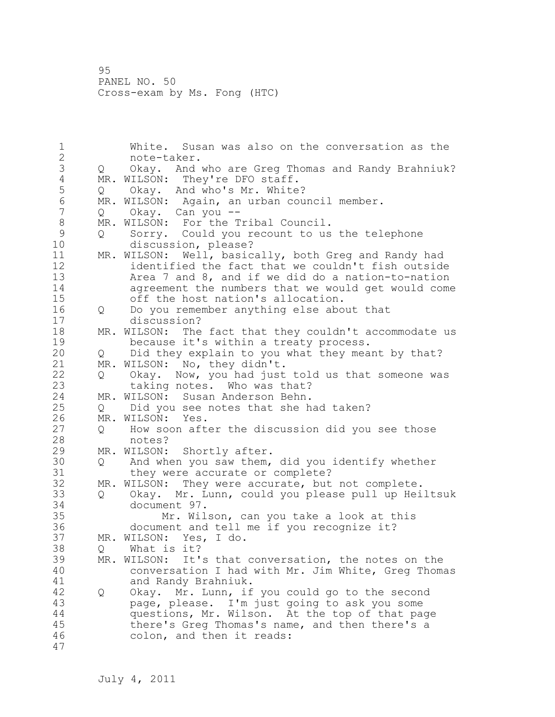1 White. Susan was also on the conversation as the 2 note-taker. 3 Q Okay. And who are Greg Thomas and Randy Brahniuk? 4 MR. WILSON: They're DFO staff.<br>5 0 Okay. And who's Mr. White 5 Q Okay. And who's Mr. White?<br>6 MR. WILSON: Again, an urban cou 6 MR. WILSON: Again, an urban council member.<br>7 0 Okav. Can vou --Q Okay. Can you --8 MR. WILSON: For the Tribal Council.<br>9 0 Sorry. Could you recount to us 9 Q Sorry. Could you recount to us the telephone<br>10 discussion, please? discussion, please? 11 MR. WILSON: Well, basically, both Greg and Randy had 12 identified the fact that we couldn't fish outside<br>13 13 Area 7 and 8, and if we did do a nation-to-nation Area  $7$  and  $8$ , and if we did do a nation-to-nation 14 agreement the numbers that we would get would come<br>15 off the host nation's allocation. off the host nation's allocation. 16 Q Do you remember anything else about that 17 discussion? 18 MR. WILSON: The fact that they couldn't accommodate us 19 because it's within a treaty process.<br>20 0 Did they explain to you what they mea 20 Q Did they explain to you what they meant by that? 21 MR. WILSON: No, they didn't. 22 Q Okay. Now, you had just told us that someone was 23 taking notes. Who was that? 24 MR. WILSON: Susan Anderson Behn. 25 Q Did you see notes that she had taken? 26 MR. WILSON: Yes.<br>27 Q How soon aft 27 Q How soon after the discussion did you see those<br>28 motes? notes? 29 MR. WILSON: Shortly after. 30 Q And when you saw them, did you identify whether 31 they were accurate or complete?<br>32 MR. WILSON: They were accurate, but MR. WILSON: They were accurate, but not complete. 33 Q Okay. Mr. Lunn, could you please pull up Heiltsuk 34 document 97. 35 Mr. Wilson, can you take a look at this 36 document and tell me if you recognize it? 37 MR. WILSON: Yes, I do. 38 Q What is it? 39 MR. WILSON: It's that conversation, the notes on the 40 conversation I had with Mr. Jim White, Greg Thomas 41 and Randy Brahniuk.<br>42 0 Okav. Mr. Lunn, if 42 Q Okay. Mr. Lunn, if you could go to the second 43 page, please. I'm just going to ask you some 44 questions, Mr. Wilson. At the top of that page 45 there's Greg Thomas's name, and then there's a 46 colon, and then it reads: 47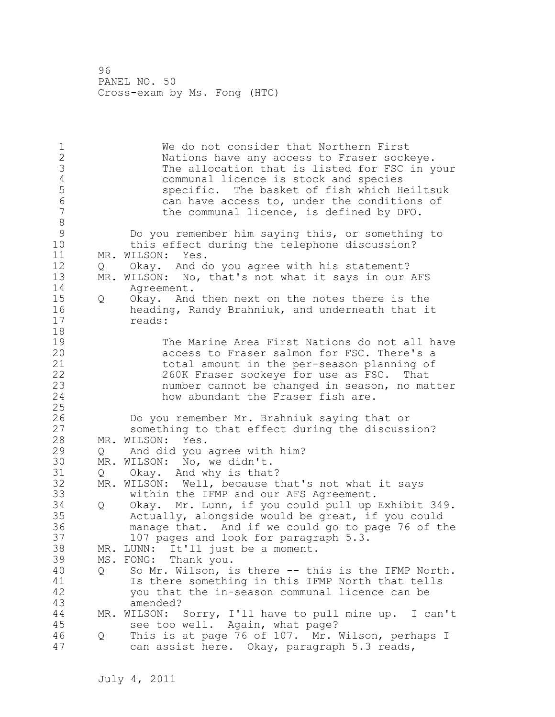1 We do not consider that Northern First<br>2 Nations have any access to Fraser sock Nations have any access to Fraser sockeye. 3 The allocation that is listed for FSC in your<br>4 communal licence is stock and species 4 communal licence is stock and species<br>5 specific. The basket of fish which H 5 specific. The basket of fish which Heiltsuk 6 6 can have access to, under the conditions of 7 can have access to, under the conditions of the communal licence, is defined by DFO. 8<br>9 9 Do you remember him saying this, or something to this effect during the telephone discussion? 11 MR. WILSON: Yes. 12 Q Okay. And do you agree with his statement? 13 MR. WILSON: No, that's not what it says in our AFS 14 Agreement. 15 Q Okay. And then next on the notes there is the 16 heading, Randy Brahniuk, and underneath that it 17 reads: 18 19 The Marine Area First Nations do not all have<br>20 access to Fraser salmon for FSC. There's a access to Fraser salmon for FSC. There's a 21 total amount in the per-season planning of 22 260K Fraser sockeye for use as FSC. That 23 number cannot be changed in season, no matter 24 how abundant the Fraser fish are. 25 26 Do you remember Mr. Brahniuk saying that or<br>27 something to that effect during the discuss something to that effect during the discussion? 28 MR. WILSON: Yes. 29 Q And did you agree with him? 30 MR. WILSON: No, we didn't.<br>31 0 Okav. And why is that Q Okay. And why is that? 32 MR. WILSON: Well, because that's not what it says 33 within the IFMP and our AFS Agreement. 34 Q Okay. Mr. Lunn, if you could pull up Exhibit 349. 35 Actually, alongside would be great, if you could 36 manage that. And if we could go to page 76 of the 37 107 pages and look for paragraph 5.3. 38 MR. LUNN: It'll just be a moment. 39 MS. FONG: Thank you. 40 Q So Mr. Wilson, is there -- this is the IFMP North. 41 Is there something in this IFMP North that tells<br>42 vou that the in-season communal licence can be you that the in-season communal licence can be 43 amended? 44 MR. WILSON: Sorry, I'll have to pull mine up. I can't 45 see too well. Again, what page? 46 Q This is at page 76 of 107. Mr. Wilson, perhaps I 47 can assist here. Okay, paragraph 5.3 reads,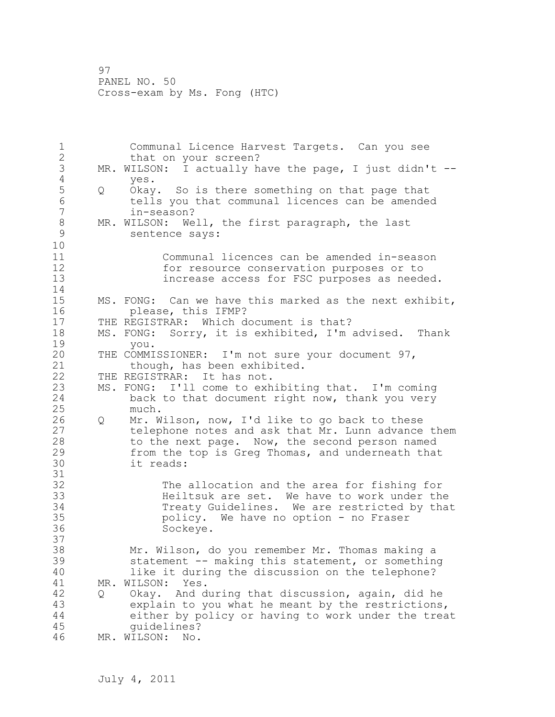1 Communal Licence Harvest Targets. Can you see 2 that on your screen? 3 MR. WILSON: I actually have the page, I just didn't --<br>4 ves. 4 yes.<br>5 Q Okay 5 Q Okay. So is there something on that page that 6 tells you that communal licences can be amended 7 in-season? 8 MR. WILSON: Well, the first paragraph, the last<br>9 sentence savs: sentence says: 10 11 Communal licences can be amended in-season 12 for resource conservation purposes or to<br>13 for essention FSC purposes as need increase access for FSC purposes as needed.  $\begin{array}{c} 14 \\ 15 \end{array}$ MS. FONG: Can we have this marked as the next exhibit, 16 please, this IFMP? 17 THE REGISTRAR: Which document is that? 18 MS. FONG: Sorry, it is exhibited, I'm advised. Thank 19 you. THE COMMISSIONER: I'm not sure your document 97, 21 though, has been exhibited. 22 THE REGISTRAR: It has not. 23 MS. FONG: I'll come to exhibiting that. I'm coming back to that document right now, thank you very 25 much.<br>26 0 Mr. W 26 Q Mr. Wilson, now, I'd like to go back to these 27 telephone notes and ask that Mr. Lunn advance them 28 to the next page. Now, the second person named 29 from the top is Greg Thomas, and underneath that<br>30 it reads: it reads: 31 32 The allocation and the area for fishing for 33 Heiltsuk are set. We have to work under the 34 Treaty Guidelines. We are restricted by that<br>35 molicy. We have no option - no Fraser policy. We have no option - no Fraser 36 Sockeye. 37 38 Mr. Wilson, do you remember Mr. Thomas making a 39 statement -- making this statement, or something 40 like it during the discussion on the telephone? 41 MR. WILSON: Yes. 42 Q Okay. And during that discussion, again, did he 43 explain to you what he meant by the restrictions, 44 either by policy or having to work under the treat 45 guidelines? 46 MR. WILSON: No.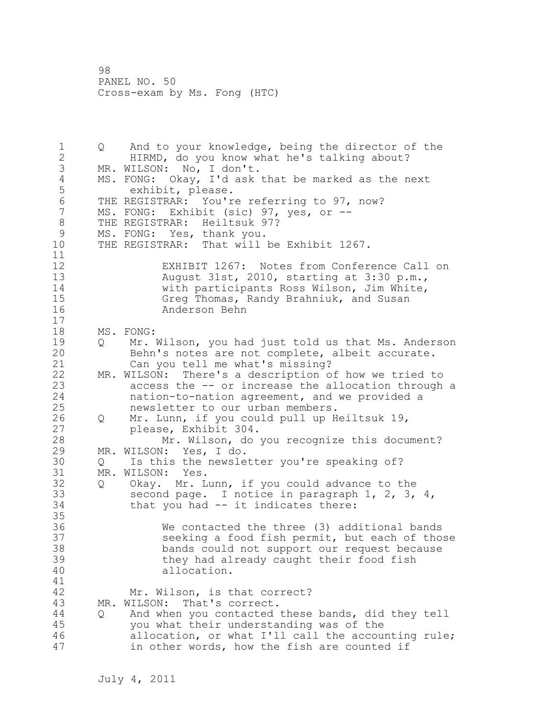1 Q And to your knowledge, being the director of the 2 HIRMD, do you know what he's talking about? 3 MR. WILSON: No, I don't.<br>4 MS. FONG: Okay, I'd ask 4 MS. FONG: Okay, I'd ask that be marked as the next<br>5 exhibit, please. exhibit, please. 6 THE REGISTRAR: You're referring to 97, now?<br>7 MS. FONG: Exhibit (sic) 97, ves, or --MS. FONG: Exhibit (sic) 97, yes, or --8 THE REGISTRAR: Heiltsuk 97?<br>9 MS. FONG: Yes, thank vou. 9 MS. FONG: Yes, thank you.<br>10 THE REGISTRAR: That will THE REGISTRAR: That will be Exhibit 1267. 11 12 EXHIBIT 1267: Notes from Conference Call on 13 August 31st, 2010, starting at 3:30 p.m., 14 with participants Ross Wilson, Jim White, 15 Greg Thomas, Randy Brahniuk, and Susan 16 Anderson Behn 17 18 MS. FONG: 19 Q Mr. Wilson, you had just told us that Ms. Anderson<br>20 Behn's notes are not complete, albeit accurate. Behn's notes are not complete, albeit accurate. 21 Can you tell me what's missing? 22 MR. WILSON: There's a description of how we tried to 23 access the -- or increase the allocation through a 24 nation-to-nation agreement, and we provided a 25 newsletter to our urban members. 26 Q Mr. Lunn, if you could pull up Heiltsuk 19,<br>27 blease, Exhibit 304. please, Exhibit 304. 28 Mr. Wilson, do you recognize this document? 29 MR. WILSON: Yes, I do. 30 Q Is this the newsletter you're speaking of?<br>31 MR. WILSON: Yes. MR. WILSON: Yes. 32 Q Okay. Mr. Lunn, if you could advance to the 33 second page. I notice in paragraph 1, 2, 3, 4, 34 that you had -- it indicates there: 35 36 We contacted the three (3) additional bands 37 seeking a food fish permit, but each of those 38 bands could not support our request because 39 they had already caught their food fish 40 allocation. 41<br>42 Mr. Wilson, is that correct? 43 MR. WILSON: That's correct. 44 Q And when you contacted these bands, did they tell 45 you what their understanding was of the 46 allocation, or what I'll call the accounting rule; 47 in other words, how the fish are counted if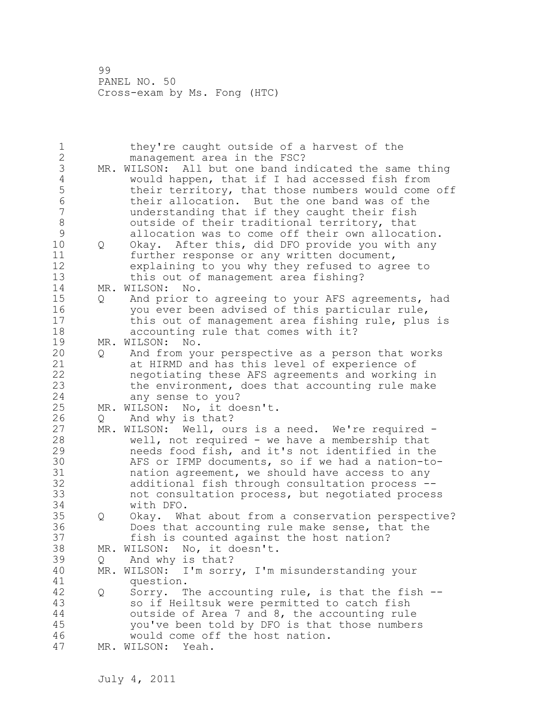1 they're caught outside of a harvest of the 2 management area in the FSC? 3 MR. WILSON: All but one band indicated the same thing<br>4 would happen, that if I had accessed fish from 4 would happen, that if I had accessed fish from 5 their territory, that those numbers would come off<br>6 their allocation. But the one band was of the 6 their allocation. But the one band was of the understanding that if they caught their fish 8 outside of their traditional territory, that 9 allocation was to come off their own allocation.<br>10 0 Okav. After this, did DFO provide you with any 10 Q Okay. After this, did DFO provide you with any 11 further response or any written document, 12 explaining to you why they refused to agree to 13 this out of management area fishing? 14 MR. WILSON: No. 15 Q And prior to agreeing to your AFS agreements, had 16 you ever been advised of this particular rule, 17 this out of management area fishing rule, plus is 18 accounting rule that comes with it? 19 MR. WILSON: No.<br>20 0 And from yo 20 Q And from your perspective as a person that works 21 at HIRMD and has this level of experience of 22 negotiating these AFS agreements and working in 23 the environment, does that accounting rule make 24 any sense to you? 25 MR. WILSON: No, it doesn't. 26 Q And why is that?<br>27 MR. WILSON: Well, ou MR. WILSON: Well, ours is a need. We're required -28 well, not required - we have a membership that 29 needs food fish, and it's not identified in the 30 AFS or IFMP documents, so if we had a nation-tonation agreement, we should have access to any 32 additional fish through consultation process -- 33 not consultation process, but negotiated process 34 with DFO. 35 Q Okay. What about from a conservation perspective? 36 Does that accounting rule make sense, that the 37 fish is counted against the host nation? 38 MR. WILSON: No, it doesn't. 39 Q And why is that? 40 MR. WILSON: I'm sorry, I'm misunderstanding your 41 question.<br>42 0 Sorry. T 42 Q Sorry. The accounting rule, is that the fish -- 43 so if Heiltsuk were permitted to catch fish 44 outside of Area 7 and 8, the accounting rule 45 you've been told by DFO is that those numbers 46 would come off the host nation. 47 MR. WILSON: Yeah.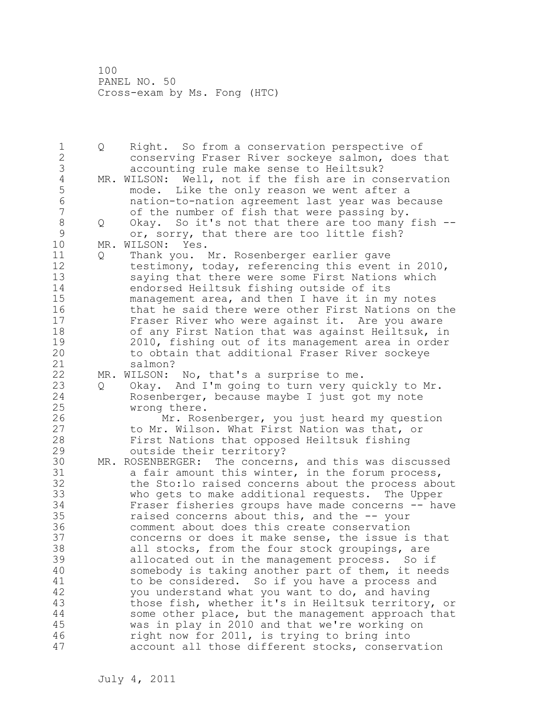1 Q Right. So from a conservation perspective of 2 conserving Fraser River sockeye salmon, does that 3 accounting rule make sense to Heiltsuk?<br>4 MR. WILSON: Well, not if the fish are in co 4 MR. WILSON: Well, not if the fish are in conservation<br>5 mode. Like the only reason we went after a 5 mode. Like the only reason we went after a 6 nation-to-nation agreement last year was because of the number of fish that were passing by. 8 Q Okay. So it's not that there are too many fish -- 9 or, sorry, that there are too little fish?<br>10 MR. WILSON: Yes. MR. WILSON: Yes. 11 Q Thank you. Mr. Rosenberger earlier gave 12 testimony, today, referencing this event in 2010, 13 saying that there were some First Nations which 14 endorsed Heiltsuk fishing outside of its 15 management area, and then I have it in my notes 16 that he said there were other First Nations on the 17 Fraser River who were against it. Are you aware 18 of any First Nation that was against Heiltsuk, in 19 2010, fishing out of its management area in order<br>20 to obtain that additional Fraser River sockeye to obtain that additional Fraser River sockeye 21 salmon? 22 MR. WILSON: No, that's a surprise to me. 23 Q Okay. And I'm going to turn very quickly to Mr. 24 Rosenberger, because maybe I just got my note 25 wrong there. 26 Mr. Rosenberger, you just heard my question<br>27 to Mr. Wilson. What First Nation was that, or to Mr. Wilson. What First Nation was that, or 28 First Nations that opposed Heiltsuk fishing 29 outside their territory? 30 MR. ROSENBERGER: The concerns, and this was discussed<br>31 a fair amount this winter, in the forum process, a fair amount this winter, in the forum process, 32 the Sto:lo raised concerns about the process about 33 who gets to make additional requests. The Upper 34 Fraser fisheries groups have made concerns -- have 35 raised concerns about this, and the -- your 36 comment about does this create conservation 37 concerns or does it make sense, the issue is that 38 all stocks, from the four stock groupings, are 39 allocated out in the management process. So if 40 somebody is taking another part of them, it needs 41 to be considered. So if you have a process and<br>42 vou understand what you want to do, and having you understand what you want to do, and having 43 those fish, whether it's in Heiltsuk territory, or 44 some other place, but the management approach that 45 was in play in 2010 and that we're working on 46 right now for 2011, is trying to bring into 47 account all those different stocks, conservation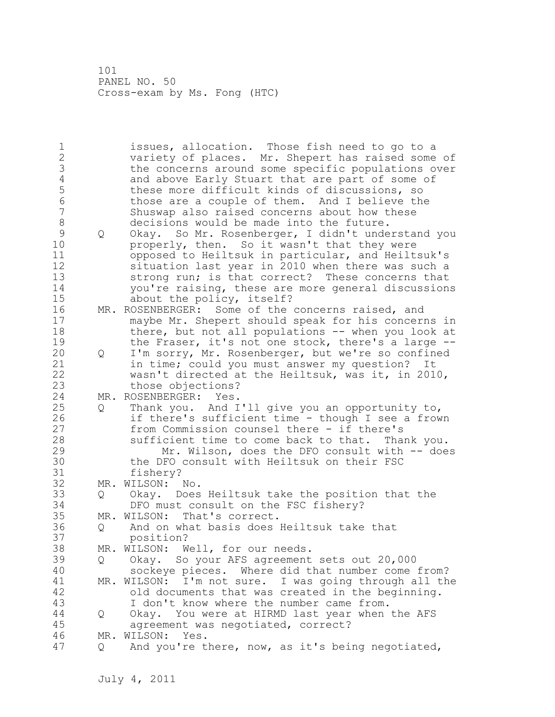1 issues, allocation. Those fish need to go to a 2 variety of places. Mr. Shepert has raised some of 3 the concerns around some specific populations over<br>4 and above Early Stuart that are part of some of 4 and above Early Stuart that are part of some of<br>5 these more difficult kinds of discussions, so 5 these more difficult kinds of discussions, so<br>6 those are a couple of them. And I believe the 6 those are a couple of them. And I believe the Shuswap also raised concerns about how these 8 decisions would be made into the future. 9 Q Okay. So Mr. Rosenberger, I didn't understand you properly, then. So it wasn't that they were 11 opposed to Heiltsuk in particular, and Heiltsuk's 12 situation last year in 2010 when there was such a 13 strong run; is that correct? These concerns that 14 you're raising, these are more general discussions 15 about the policy, itself? 16 MR. ROSENBERGER: Some of the concerns raised, and 17 maybe Mr. Shepert should speak for his concerns in 18 there, but not all populations -- when you look at 19 the Fraser, it's not one stock, there's a large --<br>20 0 I'm sorry, Mr. Rosenberger, but we're so confined 20 Q I'm sorry, Mr. Rosenberger, but we're so confined 21 in time; could you must answer my question? It 22 wasn't directed at the Heiltsuk, was it, in 2010, 23 those objections? 24 MR. ROSENBERGER: Yes. 25 Q Thank you. And I'll give you an opportunity to, 26 if there's sufficient time - though I see a frown<br>27 from Commission counsel there - if there's from Commission counsel there - if there's 28 sufficient time to come back to that. Thank you. 29 Mr. Wilson, does the DFO consult with -- does 30 the DFO consult with Heiltsuk on their FSC<br>31 fisherv? fishery? 32 MR. WILSON: No. 33 Q Okay. Does Heiltsuk take the position that the 34 DFO must consult on the FSC fishery? 35 MR. WILSON: That's correct. 36 Q And on what basis does Heiltsuk take that 37 position? 38 MR. WILSON: Well, for our needs. 39 Q Okay. So your AFS agreement sets out 20,000 40 sockeye pieces. Where did that number come from? 41 MR. WILSON: I'm not sure. I was going through all the 42 old documents that was created in the beginning. 43 I don't know where the number came from. 44 Q Okay. You were at HIRMD last year when the AFS 45 agreement was negotiated, correct? 46 MR. WILSON: Yes. 47 Q And you're there, now, as it's being negotiated,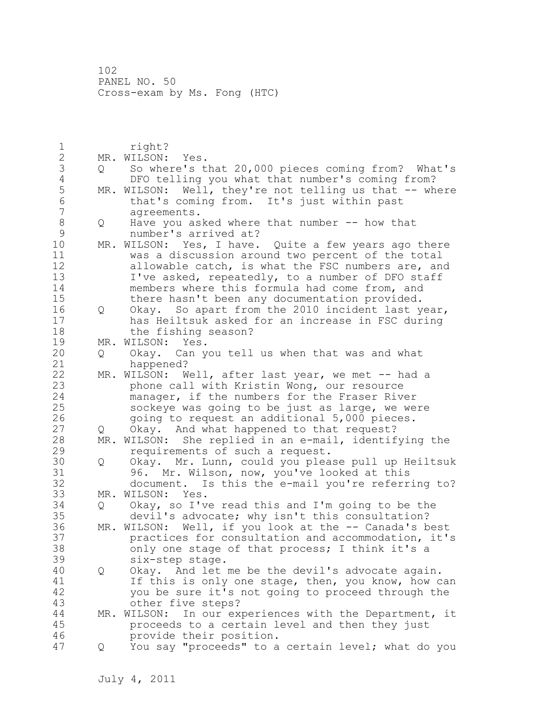1 right? 2 MR. WILSON: Yes. 3 Q So where's that 20,000 pieces coming from? What's 4 DFO telling you what that number's coming from?<br>5 MR. WILSON: Well, they're not telling us that -- wh 5 MR. WILSON: Well, they're not telling us that -- where<br>6 that's coming from. It's just within past 6 that's coming from. It's just within past agreements. 8 Q Have you asked where that number -- how that<br>9 mumber's arrived at? 9 mumber's arrived at?<br>10 MR. WILSON: Yes, I have. MR. WILSON: Yes, I have. Quite a few years ago there 11 was a discussion around two percent of the total 12 allowable catch, is what the FSC numbers are, and 13 I've asked, repeatedly, to a number of DFO staff 14 members where this formula had come from, and 15 there hasn't been any documentation provided. 16 Q Okay. So apart from the 2010 incident last year, 17 has Heiltsuk asked for an increase in FSC during 18 the fishing season? 19 MR. WILSON: Yes.<br>20 0 Okay. Can y 20 Q Okay. Can you tell us when that was and what 21 happened? 22 MR. WILSON: Well, after last year, we met -- had a 23 phone call with Kristin Wong, our resource 24 manager, if the numbers for the Fraser River 25 sockeye was going to be just as large, we were 26 going to request an additional 5,000 pieces.<br>27 0 Okay. And what happened to that request? Q Okay. And what happened to that request? 28 MR. WILSON: She replied in an e-mail, identifying the 29 requirements of such a request. 30 Q Okay. Mr. Lunn, could you please pull up Heiltsuk 31 96. Mr. Wilson, now, you've looked at this<br>32 document. Is this the e-mail vou're referr document. Is this the e-mail you're referring to? 33 MR. WILSON: Yes. 34 Q Okay, so I've read this and I'm going to be the 35 devil's advocate; why isn't this consultation? 36 MR. WILSON: Well, if you look at the -- Canada's best 37 practices for consultation and accommodation, it's 38 only one stage of that process; I think it's a 39 six-step stage. 40 Q Okay. And let me be the devil's advocate again. 41 If this is only one stage, then, you know, how can<br>42 vou be sure it's not going to proceed through the you be sure it's not going to proceed through the 43 other five steps? 44 MR. WILSON: In our experiences with the Department, it 45 proceeds to a certain level and then they just 46 provide their position. 47 Q You say "proceeds" to a certain level; what do you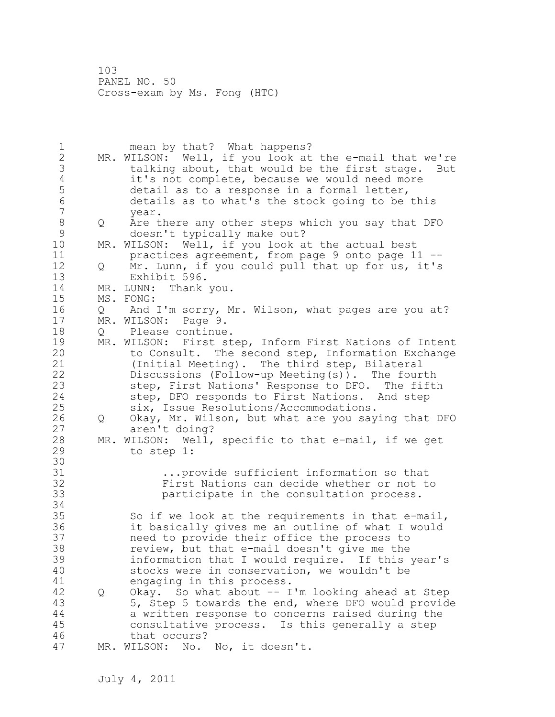1 mean by that? What happens? 2 MR. WILSON: Well, if you look at the e-mail that we're 3 talking about, that would be the first stage. But<br>4 it's not complete, because we would need more 4 it's not complete, because we would need more<br>5 detail as to a response in a formal letter, 5 detail as to a response in a formal letter,<br>6 details as to what's the stock going to be 6 details as to what's the stock going to be this year. 8 Q Are there any other steps which you say that DFO 9 doesn't typically make out?<br>10 MR. WILSON: Well, if you look a MR. WILSON: Well, if you look at the actual best 11 practices agreement, from page 9 onto page 11 -- 12 Q Mr. Lunn, if you could pull that up for us, it's 13 Exhibit 596. 14 MR. LUNN: Thank you. 15 MS. FONG: 16 Q And I'm sorry, Mr. Wilson, what pages are you at? 17 MR. WILSON: Page 9. 18 Q Please continue. 19 MR. WILSON: First step, Inform First Nations of Intent<br>20 to Consult. The second step, Information Exchange to Consult. The second step, Information Exchange 21 (Initial Meeting). The third step, Bilateral 22 Discussions (Follow-up Meeting(s)). The fourth 23 step, First Nations' Response to DFO. The fifth 24 step, DFO responds to First Nations. And step 25 six, Issue Resolutions/Accommodations. 26 Q Okay, Mr. Wilson, but what are you saying that DFO<br>27 aren't doing? aren't doing? 28 MR. WILSON: Well, specific to that e-mail, if we get 29 to step 1: 30<br>31 31 ...provide sufficient information so that<br>32 First Nations can decide whether or not t First Nations can decide whether or not to 33 participate in the consultation process. 34 35 So if we look at the requirements in that e-mail, 36 it basically gives me an outline of what I would 37 need to provide their office the process to 38 review, but that e-mail doesn't give me the 39 information that I would require. If this year's 40 stocks were in conservation, we wouldn't be 41 engaging in this process.<br>42 0 Okay. So what about -- I 42 Q Okay. So what about -- I'm looking ahead at Step 43 5, Step 5 towards the end, where DFO would provide 44 a written response to concerns raised during the 45 consultative process. Is this generally a step 46 that occurs? 47 MR. WILSON: No. No, it doesn't.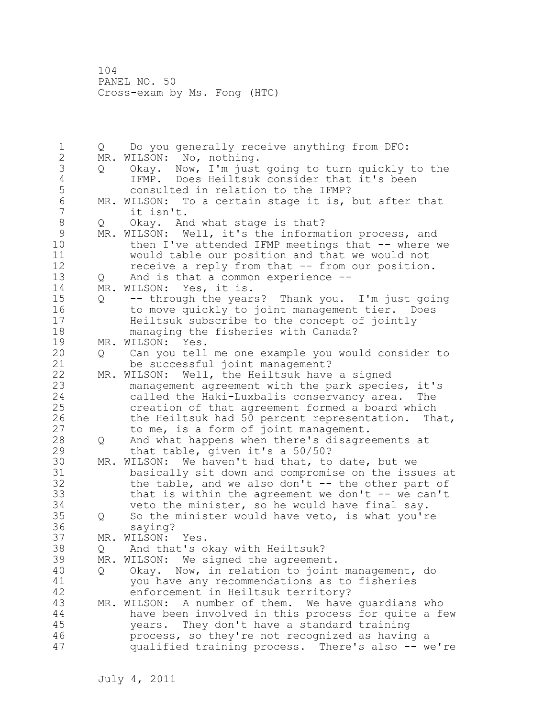1 Q Do you generally receive anything from DFO: 2 MR. WILSON: No, nothing. 3 Q Okay. Now, I'm just going to turn quickly to the 4 IFMP. Does Heiltsuk consider that it's been<br>5 consulted in relation to the IFMP? 5 consulted in relation to the IFMP?<br>6 MR. WILSON: To a certain stage it is, 6 MR. WILSON: To a certain stage it is, but after that<br>7 it isn't. it isn't. 8 Q Okay. And what stage is that? 9 MR. WILSON: Well, it's the information process, and<br>10 then I've attended IFMP meetings that -- where then I've attended IFMP meetings that  $--$  where we 11 would table our position and that we would not 12 receive a reply from that -- from our position. 13 Q And is that a common experience -- 14 MR. WILSON: Yes, it is. 15 Q -- through the years? Thank you. I'm just going 16 to move quickly to joint management tier. Does 17 Heiltsuk subscribe to the concept of jointly 18 managing the fisheries with Canada? 19 MR. WILSON: Yes.<br>20 0 Can you tell 20 Q Can you tell me one example you would consider to 21 be successful joint management? 22 MR. WILSON: Well, the Heiltsuk have a signed 23 management agreement with the park species, it's 24 called the Haki-Luxbalis conservancy area. The 25 creation of that agreement formed a board which 26 the Heiltsuk had 50 percent representation. That,<br>27 to me, is a form of joint management. to me, is a form of joint management. 28 Q And what happens when there's disagreements at 29 that table, given it's a 50/50? 30 MR. WILSON: We haven't had that, to date, but we basically sit down and compromise on the issues at 32 the table, and we also don't -- the other part of 33 that is within the agreement we don't -- we can't 34 veto the minister, so he would have final say. 35 Q So the minister would have veto, is what you're 36 saying? 37 MR. WILSON: Yes. 38 Q And that's okay with Heiltsuk? 39 MR. WILSON: We signed the agreement. 40 Q Okay. Now, in relation to joint management, do 41 you have any recommendations as to fisheries enforcement in Heiltsuk territory? 43 MR. WILSON: A number of them. We have guardians who 44 have been involved in this process for quite a few 45 years. They don't have a standard training 46 process, so they're not recognized as having a 47 qualified training process. There's also -- we're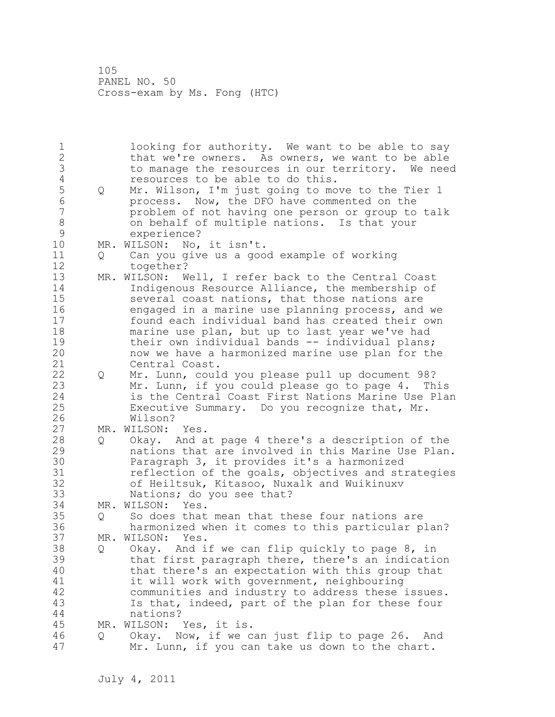1 looking for authority. We want to be able to say 2 that we're owners. As owners, we want to be able 3 to manage the resources in our territory. We need<br>4 sesources to be able to do this. 4 resources to be able to do this.<br>5 0 Mr. Wilson, I'm just going to mo 5 Q Mr. Wilson, I'm just going to move to the Tier 1 6 process. Now, the DFO have commented on the problem of not having one person or group to talk 8 on behalf of multiple nations. Is that your 9 experience?<br>10 MR.WILSON: No. MR. WILSON: No, it isn't. 11 Q Can you give us a good example of working 12 together? 13 MR. WILSON: Well, I refer back to the Central Coast 14 Indigenous Resource Alliance, the membership of 15 several coast nations, that those nations are 16 engaged in a marine use planning process, and we 17 found each individual band has created their own 18 marine use plan, but up to last year we've had 19 their own individual bands -- individual plans;<br>20 how we have a harmonized marine use plan for th now we have a harmonized marine use plan for the 21 Central Coast. 22 Q Mr. Lunn, could you please pull up document 98? 23 Mr. Lunn, if you could please go to page 4. This 24 is the Central Coast First Nations Marine Use Plan 25 Executive Summary. Do you recognize that, Mr. 26 Wilson?<br>27 MR. WILSON: MR. WILSON: Yes. 28 Q Okay. And at page 4 there's a description of the 29 nations that are involved in this Marine Use Plan. 30 **Paragraph 3, it provides it's a harmonized**<br>31 **Paragraph 1** and the goals, objectives and st. reflection of the goals, objectives and strategies 32 of Heiltsuk, Kitasoo, Nuxalk and Wuikinuxv 33 Nations; do you see that? 34 MR. WILSON: Yes. 35 Q So does that mean that these four nations are 36 harmonized when it comes to this particular plan? 37 MR. WILSON: Yes. 38 Q Okay. And if we can flip quickly to page 8, in 39 that first paragraph there, there's an indication 40 that there's an expectation with this group that 41 it will work with government, neighbouring<br>42 communities and industry to address these communities and industry to address these issues. 43 Is that, indeed, part of the plan for these four 44 nations? 45 MR. WILSON: Yes, it is. 46 Q Okay. Now, if we can just flip to page 26. And 47 Mr. Lunn, if you can take us down to the chart.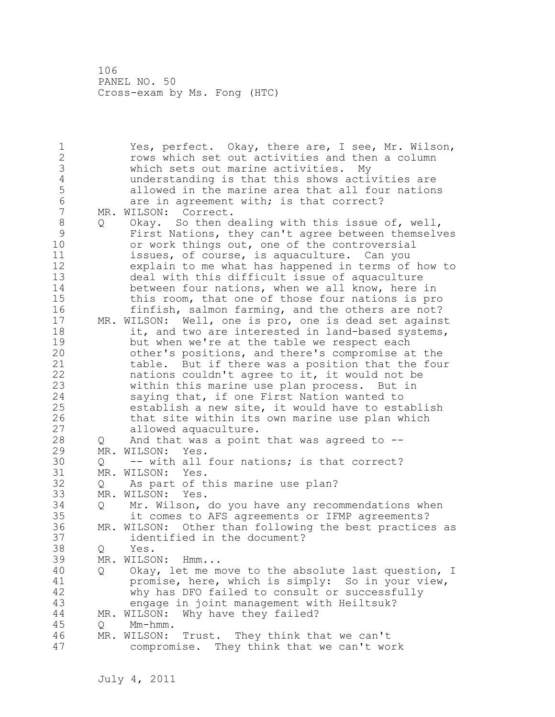1 Yes, perfect. Okay, there are, I see, Mr. Wilson, 2 rows which set out activities and then a column 3 which sets out marine activities. My 4 understanding is that this shows activities are<br>5 allowed in the marine area that all four nation: 5 allowed in the marine area that all four nations 6 are in agreement with; is that correct?<br>7 MR. WILSON: Correct. MR. WILSON: Correct. 8 Q Okay. So then dealing with this issue of, well,<br>9 First Nations, they can't agree between themsely 9 First Nations, they can't agree between themselves or work things out, one of the controversial 11 issues, of course, is aquaculture. Can you 12 explain to me what has happened in terms of how to 13 deal with this difficult issue of aquaculture 14 between four nations, when we all know, here in 15 this room, that one of those four nations is pro 16 finfish, salmon farming, and the others are not? 17 MR. WILSON: Well, one is pro, one is dead set against 18 it, and two are interested in land-based systems, 19 but when we're at the table we respect each<br>20 other's positions, and there's compromise a other's positions, and there's compromise at the 21 table. But if there was a position that the four 22 nations couldn't agree to it, it would not be 23 within this marine use plan process. But in 24 saying that, if one First Nation wanted to 25 establish a new site, it would have to establish 26 that site within its own marine use plan which<br>27 allowed aquaculture. allowed aquaculture. 28 Q And that was a point that was agreed to -- 29 MR. WILSON: Yes. 30 Q -- with all four nations; is that correct?<br>31 MR. WILSON: Yes. MR. WILSON: Yes. 32 Q As part of this marine use plan? 33 MR. WILSON: Yes. 34 Q Mr. Wilson, do you have any recommendations when 35 it comes to AFS agreements or IFMP agreements?<br>36 MR. WILSON: Other than following the best practice MR. WILSON: Other than following the best practices as 37 identified in the document? 38 Q Yes. 39 MR. WILSON: Hmm... 40 Q Okay, let me move to the absolute last question, I 41 promise, here, which is simply: So in your view,<br>42 why has DFO failed to consult or successfully why has DFO failed to consult or successfully 43 engage in joint management with Heiltsuk? 44 MR. WILSON: Why have they failed? 45 Q Mm-hmm. 46 MR. WILSON: Trust. They think that we can't 47 compromise. They think that we can't work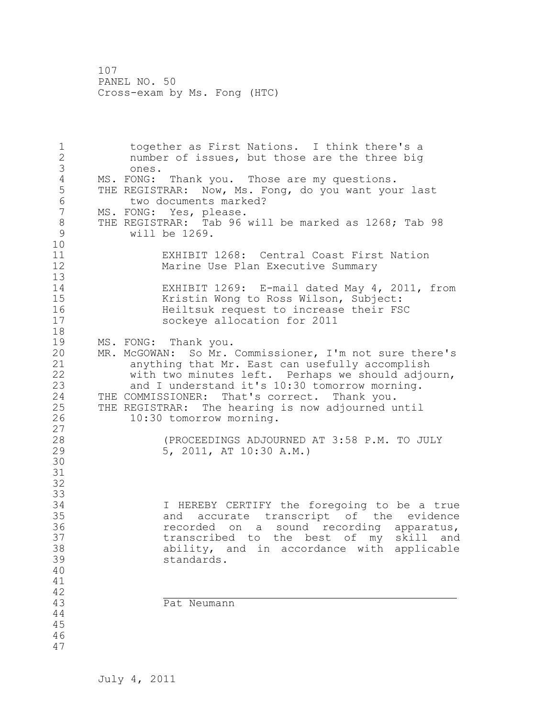1 together as First Nations. I think there's a 2 number of issues, but those are the three big 3 ones. 4 MS. FONG: Thank you. Those are my questions. 5 THE REGISTRAR: Now, Ms. Fong, do you want your last 6 two documents marked?<br>7 MS. FONG: Yes, please. MS. FONG: Yes, please. 8 THE REGISTRAR: Tab 96 will be marked as 1268; Tab 98<br>9 will be 1269. will be  $1269$ . 10 11 EXHIBIT 1268: Central Coast First Nation 12 Marine Use Plan Executive Summary 13 14 EXHIBIT 1269: E-mail dated May 4, 2011, from 15 Kristin Wong to Ross Wilson, Subject:<br>16 Heiltsuk request to increase their FS 16 16 Heiltsuk request to increase their FSC<br>17 Sockeve allocation for 2011 sockeye allocation for 2011 18 19 MS. FONG: Thank you.<br>20 MR. McGOWAN: So Mr. MR. McGOWAN: So Mr. Commissioner, I'm not sure there's 21 anything that Mr. East can usefully accomplish 22 with two minutes left. Perhaps we should adjourn, 23 and I understand it's 10:30 tomorrow morning.<br>24 THE COMMISSIONER: That's correct. Thank you. THE COMMISSIONER: That's correct. Thank you. 25 THE REGISTRAR: The hearing is now adjourned until 26 10:30 tomorrow morning.  $\begin{array}{c} 27 \\ 28 \end{array}$ 28 (PROCEEDINGS ADJOURNED AT 3:58 P.M. TO JULY 29 5, 2011, AT 10:30 A.M.) 30 31 32 33 34 I HEREBY CERTIFY the foregoing to be a true 35 and accurate transcript of the evidence 36 **1988** recorded on a sound recording apparatus,<br>37 **1988** transcribed to the best of my skill and 37 transcribed to the best of my skill and<br>38 ability, and in accordance with applicable  $ability,$  and in accordance with applicable 39 standards. 40 41  $42$ <br> $43$ Pat Neumann 44 45 46 47